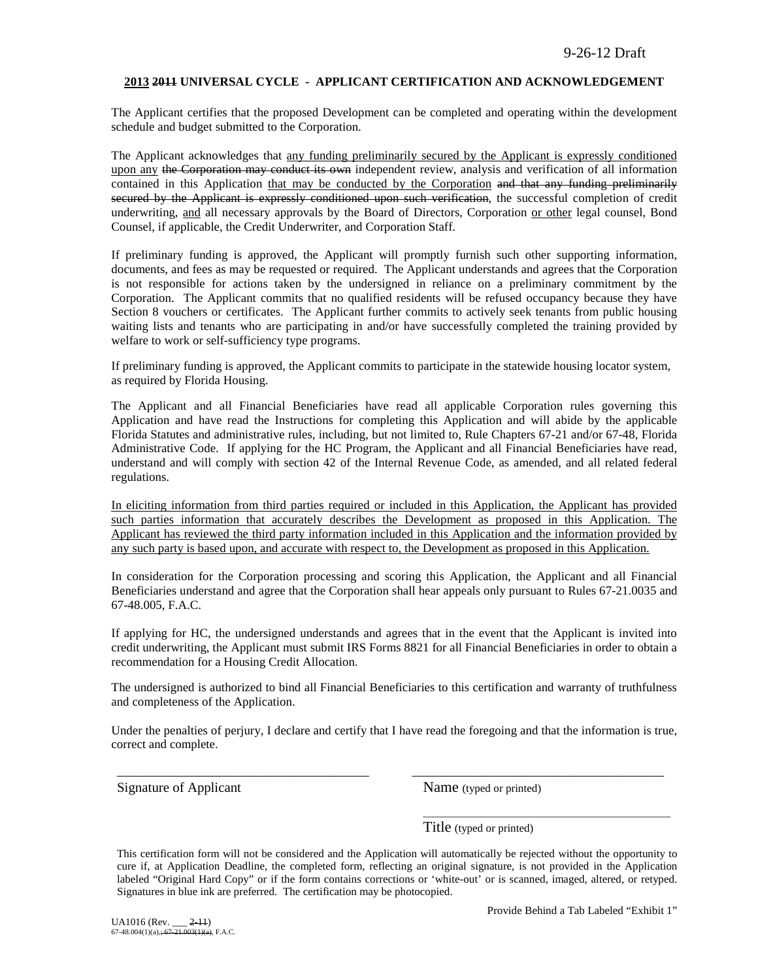#### **2013 2011 UNIVERSAL CYCLE - APPLICANT CERTIFICATION AND ACKNOWLEDGEMENT**

The Applicant certifies that the proposed Development can be completed and operating within the development schedule and budget submitted to the Corporation.

The Applicant acknowledges that any funding preliminarily secured by the Applicant is expressly conditioned upon any the Corporation may conduct its own independent review, analysis and verification of all information contained in this Application that may be conducted by the Corporation and that any funding preliminarily secured by the Applicant is expressly conditioned upon such verification, the successful completion of credit underwriting, and all necessary approvals by the Board of Directors, Corporation or other legal counsel, Bond Counsel, if applicable, the Credit Underwriter, and Corporation Staff.

If preliminary funding is approved, the Applicant will promptly furnish such other supporting information, documents, and fees as may be requested or required. The Applicant understands and agrees that the Corporation is not responsible for actions taken by the undersigned in reliance on a preliminary commitment by the Corporation. The Applicant commits that no qualified residents will be refused occupancy because they have Section 8 vouchers or certificates. The Applicant further commits to actively seek tenants from public housing waiting lists and tenants who are participating in and/or have successfully completed the training provided by welfare to work or self-sufficiency type programs.

If preliminary funding is approved, the Applicant commits to participate in the statewide housing locator system, as required by Florida Housing.

The Applicant and all Financial Beneficiaries have read all applicable Corporation rules governing this Application and have read the Instructions for completing this Application and will abide by the applicable Florida Statutes and administrative rules, including, but not limited to, Rule Chapters 67-21 and/or 67-48, Florida Administrative Code. If applying for the HC Program, the Applicant and all Financial Beneficiaries have read, understand and will comply with section 42 of the Internal Revenue Code, as amended, and all related federal regulations.

In eliciting information from third parties required or included in this Application, the Applicant has provided such parties information that accurately describes the Development as proposed in this Application. The Applicant has reviewed the third party information included in this Application and the information provided by any such party is based upon, and accurate with respect to, the Development as proposed in this Application.

In consideration for the Corporation processing and scoring this Application, the Applicant and all Financial Beneficiaries understand and agree that the Corporation shall hear appeals only pursuant to Rules 67-21.0035 and 67-48.005, F.A.C.

If applying for HC, the undersigned understands and agrees that in the event that the Applicant is invited into credit underwriting, the Applicant must submit IRS Forms 8821 for all Financial Beneficiaries in order to obtain a recommendation for a Housing Credit Allocation.

The undersigned is authorized to bind all Financial Beneficiaries to this certification and warranty of truthfulness and completeness of the Application.

Under the penalties of perjury, I declare and certify that I have read the foregoing and that the information is true, correct and complete.

\_\_\_\_\_\_\_\_\_\_\_\_\_\_\_\_\_\_\_\_\_\_\_\_\_\_\_\_\_\_\_\_\_\_\_\_\_ \_\_\_\_\_\_\_\_\_\_\_\_\_\_\_\_\_\_\_\_\_\_\_\_\_\_\_\_\_\_\_\_\_\_\_\_\_

Signature of Applicant Name (typed or printed)

Title (typed or printed)

This certification form will not be considered and the Application will automatically be rejected without the opportunity to cure if, at Application Deadline, the completed form, reflecting an original signature, is not provided in the Application labeled "Original Hard Copy" or if the form contains corrections or 'white-out' or is scanned, imaged, altered, or retyped. Signatures in blue ink are preferred. The certification may be photocopied.

\_\_\_\_\_\_\_\_\_\_\_\_\_\_\_\_\_\_\_\_\_\_\_\_\_\_\_\_\_\_\_\_\_\_\_\_\_\_\_\_\_\_\_\_\_\_\_\_\_\_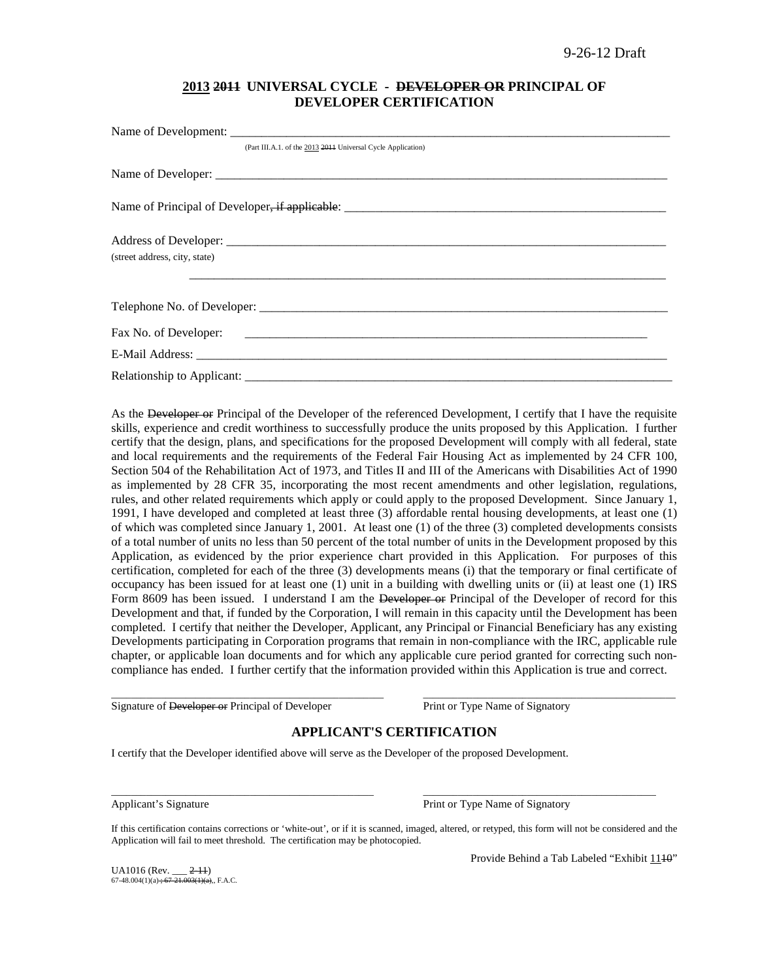### **2013 2011 UNIVERSAL CYCLE - DEVELOPER OR PRINCIPAL OF DEVELOPER CERTIFICATION**

| (Part III.A.1. of the 2013 2014 Universal Cycle Application) |
|--------------------------------------------------------------|
|                                                              |
|                                                              |
|                                                              |
| (street address, city, state)                                |
|                                                              |
|                                                              |
|                                                              |
|                                                              |

As the Developer or Principal of the Developer of the referenced Development, I certify that I have the requisite skills, experience and credit worthiness to successfully produce the units proposed by this Application. I further certify that the design, plans, and specifications for the proposed Development will comply with all federal, state and local requirements and the requirements of the Federal Fair Housing Act as implemented by 24 CFR 100, Section 504 of the Rehabilitation Act of 1973, and Titles II and III of the Americans with Disabilities Act of 1990 as implemented by 28 CFR 35, incorporating the most recent amendments and other legislation, regulations, rules, and other related requirements which apply or could apply to the proposed Development. Since January 1, 1991, I have developed and completed at least three (3) affordable rental housing developments, at least one (1) of which was completed since January 1, 2001. At least one (1) of the three (3) completed developments consists of a total number of units no less than 50 percent of the total number of units in the Development proposed by this Application, as evidenced by the prior experience chart provided in this Application. For purposes of this certification, completed for each of the three (3) developments means (i) that the temporary or final certificate of occupancy has been issued for at least one (1) unit in a building with dwelling units or (ii) at least one (1) IRS Form 8609 has been issued. I understand I am the Developer or Principal of the Developer of record for this Development and that, if funded by the Corporation, I will remain in this capacity until the Development has been completed. I certify that neither the Developer, Applicant, any Principal or Financial Beneficiary has any existing Developments participating in Corporation programs that remain in non-compliance with the IRC, applicable rule chapter, or applicable loan documents and for which any applicable cure period granted for correcting such noncompliance has ended. I further certify that the information provided within this Application is true and correct.

Signature of Developer or Principal of Developer Print or Type Name of Signatory

### **APPLICANT'S CERTIFICATION**

\_\_\_\_\_\_\_\_\_\_\_\_\_\_\_\_\_\_\_\_\_\_\_\_\_\_\_\_\_\_\_\_\_\_\_\_\_\_\_\_\_\_\_\_\_\_\_\_\_\_\_\_\_\_\_ \_\_\_\_\_\_\_\_\_\_\_\_\_\_\_\_\_\_\_\_\_\_\_\_\_\_\_\_\_\_\_\_\_\_\_\_\_\_\_\_\_\_\_\_\_\_\_\_\_\_\_

I certify that the Developer identified above will serve as the Developer of the proposed Development.

Applicant's Signature **Print of Type Name of Signatory** Print or Type Name of Signatory

If this certification contains corrections or 'white-out', or if it is scanned, imaged, altered, or retyped, this form will not be considered and the Application will fail to meet threshold. The certification may be photocopied.

\_\_\_\_\_\_\_\_\_\_\_\_\_\_\_\_\_\_\_\_\_\_\_\_\_\_\_\_\_\_\_\_\_\_\_\_\_\_\_\_\_\_\_\_\_\_\_\_\_\_\_\_\_ \_\_\_\_\_\_\_\_\_\_\_\_\_\_\_\_\_\_\_\_\_\_\_\_\_\_\_\_\_\_\_\_\_\_\_\_\_\_\_\_\_\_\_\_\_\_\_

UA1016 (Rev. \_\_\_ <del>2-11</del>)<br>67-48.004(1)(a) <del>; 67-21.003(1)(a)</del>,, F.A.C.

Provide Behind a Tab Labeled "Exhibit 1140"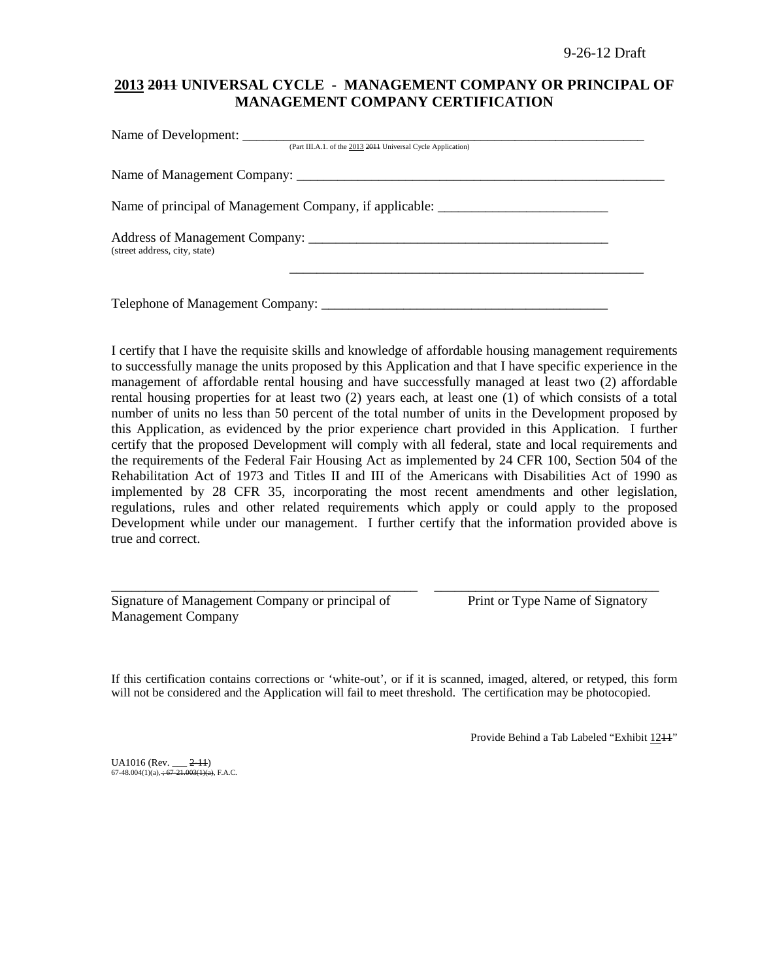# **2013 2011 UNIVERSAL CYCLE - MANAGEMENT COMPANY OR PRINCIPAL OF MANAGEMENT COMPANY CERTIFICATION**

| (Part III.A.1. of the 2013 2014 Universal Cycle Application)                      |  |
|-----------------------------------------------------------------------------------|--|
|                                                                                   |  |
| Name of principal of Management Company, if applicable: _________________________ |  |
| (street address, city, state)                                                     |  |
| Telephone of Management Company: ___________                                      |  |

I certify that I have the requisite skills and knowledge of affordable housing management requirements to successfully manage the units proposed by this Application and that I have specific experience in the management of affordable rental housing and have successfully managed at least two (2) affordable rental housing properties for at least two (2) years each, at least one (1) of which consists of a total number of units no less than 50 percent of the total number of units in the Development proposed by this Application, as evidenced by the prior experience chart provided in this Application. I further certify that the proposed Development will comply with all federal, state and local requirements and the requirements of the Federal Fair Housing Act as implemented by 24 CFR 100, Section 504 of the Rehabilitation Act of 1973 and Titles II and III of the Americans with Disabilities Act of 1990 as implemented by 28 CFR 35, incorporating the most recent amendments and other legislation, regulations, rules and other related requirements which apply or could apply to the proposed Development while under our management. I further certify that the information provided above is true and correct.

| Signature of Management Company or principal of |  |  |
|-------------------------------------------------|--|--|
| <b>Management Company</b>                       |  |  |

Print or Type Name of Signatory

If this certification contains corrections or 'white-out', or if it is scanned, imaged, altered, or retyped, this form will not be considered and the Application will fail to meet threshold. The certification may be photocopied.

\_\_\_\_\_\_\_\_\_\_\_\_\_\_\_\_\_\_\_\_\_\_\_\_\_\_\_\_\_\_\_\_\_\_\_\_\_\_\_\_\_\_\_\_\_ \_\_\_\_\_\_\_\_\_\_\_\_\_\_\_\_\_\_\_\_\_\_\_\_\_\_\_\_\_\_\_\_\_

Provide Behind a Tab Labeled "Exhibit 1211"

UA1016 (Rev. \_\_\_ <del>2-11</del>)<br>67-48.004(1)(a), <del>; 67-21.003(1)(a)</del>, F.A.C.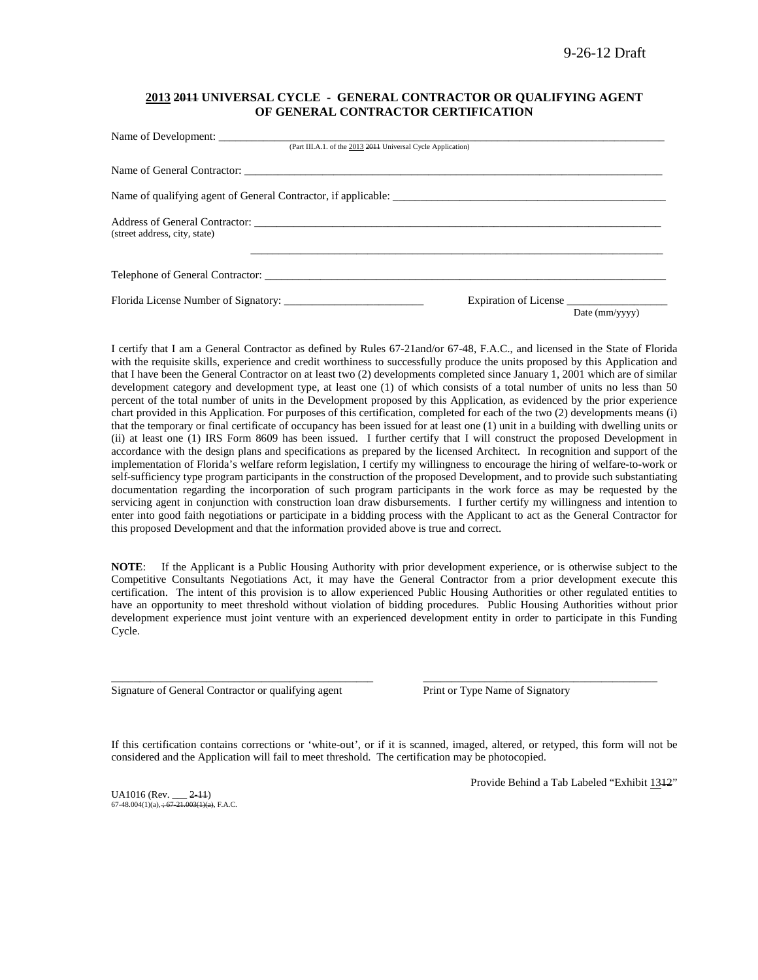#### **2013 2011 UNIVERSAL CYCLE - GENERAL CONTRACTOR OR QUALIFYING AGENT OF GENERAL CONTRACTOR CERTIFICATION**

| (Part III.A.1. of the 2013 2014 Universal Cycle Application)   |                       |                |
|----------------------------------------------------------------|-----------------------|----------------|
|                                                                |                       |                |
| Name of qualifying agent of General Contractor, if applicable: |                       |                |
| (street address, city, state)                                  |                       |                |
|                                                                |                       |                |
| Florida License Number of Signatory:                           | Expiration of License | Date (mm/yyyy) |

I certify that I am a General Contractor as defined by Rules 67-21and/or 67-48, F.A.C., and licensed in the State of Florida with the requisite skills, experience and credit worthiness to successfully produce the units proposed by this Application and that I have been the General Contractor on at least two (2) developments completed since January 1, 2001 which are of similar development category and development type, at least one (1) of which consists of a total number of units no less than 50 percent of the total number of units in the Development proposed by this Application, as evidenced by the prior experience chart provided in this Application. For purposes of this certification, completed for each of the two (2) developments means (i) that the temporary or final certificate of occupancy has been issued for at least one (1) unit in a building with dwelling units or (ii) at least one (1) IRS Form 8609 has been issued. I further certify that I will construct the proposed Development in accordance with the design plans and specifications as prepared by the licensed Architect. In recognition and support of the implementation of Florida's welfare reform legislation, I certify my willingness to encourage the hiring of welfare-to-work or self-sufficiency type program participants in the construction of the proposed Development, and to provide such substantiating documentation regarding the incorporation of such program participants in the work force as may be requested by the servicing agent in conjunction with construction loan draw disbursements. I further certify my willingness and intention to enter into good faith negotiations or participate in a bidding process with the Applicant to act as the General Contractor for this proposed Development and that the information provided above is true and correct.

**NOTE**: If the Applicant is a Public Housing Authority with prior development experience, or is otherwise subject to the Competitive Consultants Negotiations Act, it may have the General Contractor from a prior development execute this certification. The intent of this provision is to allow experienced Public Housing Authorities or other regulated entities to have an opportunity to meet threshold without violation of bidding procedures. Public Housing Authorities without prior development experience must joint venture with an experienced development entity in order to participate in this Funding Cycle.

Signature of General Contractor or qualifying agent Print or Type Name of Signatory

If this certification contains corrections or 'white-out', or if it is scanned, imaged, altered, or retyped, this form will not be considered and the Application will fail to meet threshold. The certification may be photocopied.

\_\_\_\_\_\_\_\_\_\_\_\_\_\_\_\_\_\_\_\_\_\_\_\_\_\_\_\_\_\_\_\_\_\_\_\_\_\_\_\_\_\_\_\_\_\_\_ \_\_\_\_\_\_\_\_\_\_\_\_\_\_\_\_\_\_\_\_\_\_\_\_\_\_\_\_\_\_\_\_\_\_\_\_\_\_\_\_\_\_

UA1016 (Rev. \_\_\_ <del>2-11</del>)<br>67-48.004(1)(a), <del>; 67-21.003(1)(a)</del>, F.A.C.

Provide Behind a Tab Labeled "Exhibit 1312"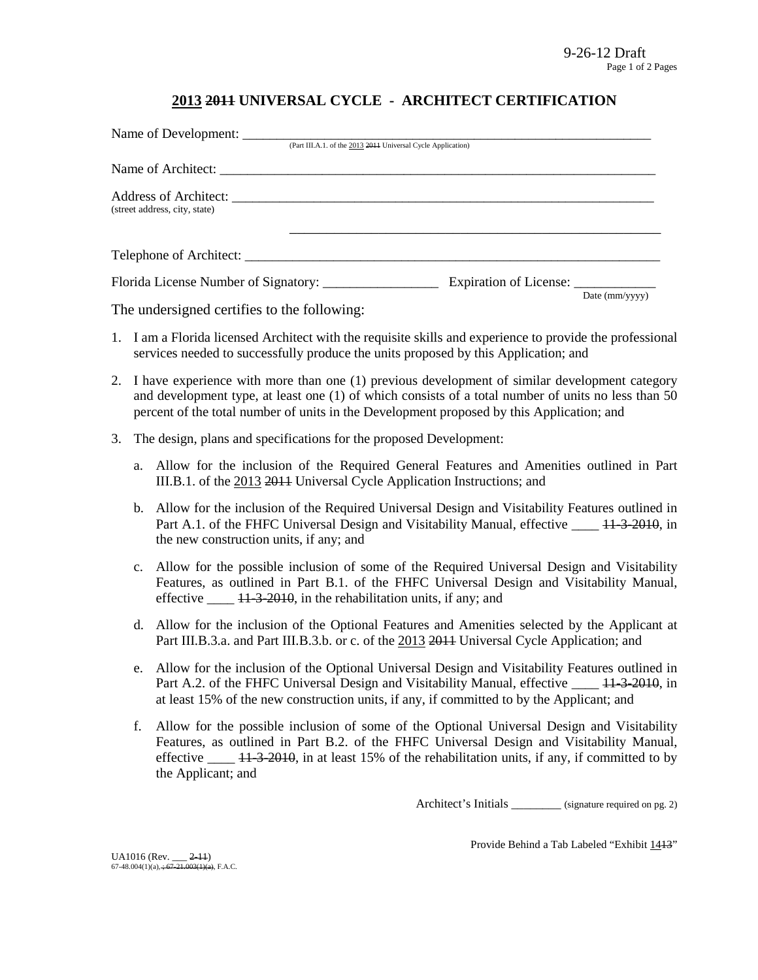# **2013 2011 UNIVERSAL CYCLE - ARCHITECT CERTIFICATION**

|                               | Name of Development:                                         |                        |
|-------------------------------|--------------------------------------------------------------|------------------------|
|                               | (Part III.A.1. of the 2013 2014 Universal Cycle Application) |                        |
|                               |                                                              |                        |
| (street address, city, state) |                                                              |                        |
|                               |                                                              |                        |
|                               | Expiration of License:                                       | Date $\text{(mm/vyy)}$ |

The undersigned certifies to the following:

- 1. I am a Florida licensed Architect with the requisite skills and experience to provide the professional services needed to successfully produce the units proposed by this Application; and
- 2. I have experience with more than one (1) previous development of similar development category and development type, at least one (1) of which consists of a total number of units no less than 50 percent of the total number of units in the Development proposed by this Application; and
- 3. The design, plans and specifications for the proposed Development:
	- a. Allow for the inclusion of the Required General Features and Amenities outlined in Part III.B.1. of the 2013 2011 Universal Cycle Application Instructions; and
	- b. Allow for the inclusion of the Required Universal Design and Visitability Features outlined in Part A.1. of the FHFC Universal Design and Visitability Manual, effective \_\_\_\_ 11-3-2010, in the new construction units, if any; and
	- c. Allow for the possible inclusion of some of the Required Universal Design and Visitability Features, as outlined in Part B.1. of the FHFC Universal Design and Visitability Manual, effective  $\frac{11-3-2010}{11-2010}$ , in the rehabilitation units, if any; and
	- d. Allow for the inclusion of the Optional Features and Amenities selected by the Applicant at Part III.B.3.a. and Part III.B.3.b. or c. of the 2013 2014 Universal Cycle Application; and
	- e. Allow for the inclusion of the Optional Universal Design and Visitability Features outlined in Part A.2. of the FHFC Universal Design and Visitability Manual, effective \_\_\_\_ 11-3-2010, in at least 15% of the new construction units, if any, if committed to by the Applicant; and
	- f. Allow for the possible inclusion of some of the Optional Universal Design and Visitability Features, as outlined in Part B.2. of the FHFC Universal Design and Visitability Manual, effective  $\frac{11-3-2010}{11}$ , in at least 15% of the rehabilitation units, if any, if committed to by the Applicant; and

Architect's Initials \_\_\_\_\_\_\_\_\_ (signature required on pg. 2)

Provide Behind a Tab Labeled "Exhibit 1413"

UA1016 (Rev. \_\_\_ <del>2-11</del>)<br>67-48.004(1)(a), <del>; 67-21.003(1)(a)</del>, F.A.C.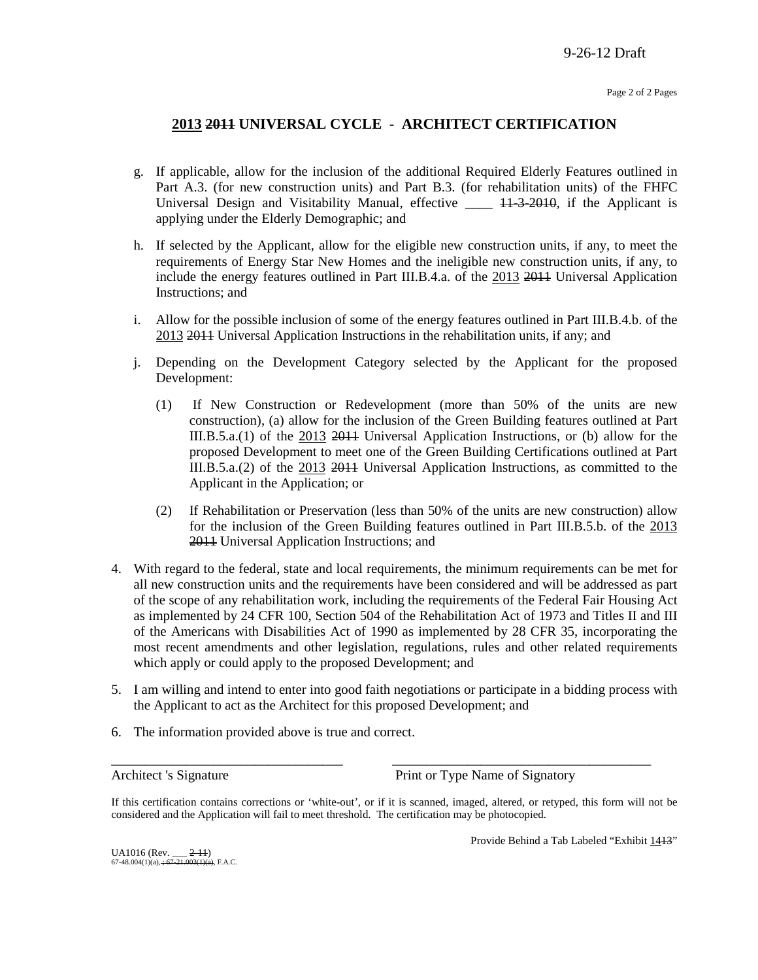## **2013 2011 UNIVERSAL CYCLE - ARCHITECT CERTIFICATION**

- g. If applicable, allow for the inclusion of the additional Required Elderly Features outlined in Part A.3. (for new construction units) and Part B.3. (for rehabilitation units) of the FHFC Universal Design and Visitability Manual, effective \_\_\_\_ 11-3-2010, if the Applicant is applying under the Elderly Demographic; and
- h. If selected by the Applicant, allow for the eligible new construction units, if any, to meet the requirements of Energy Star New Homes and the ineligible new construction units, if any, to include the energy features outlined in Part III.B.4.a. of the 2013 2011 Universal Application Instructions; and
- i. Allow for the possible inclusion of some of the energy features outlined in Part III.B.4.b. of the 2013 2011 Universal Application Instructions in the rehabilitation units, if any; and
- j. Depending on the Development Category selected by the Applicant for the proposed Development:
	- (1) If New Construction or Redevelopment (more than 50% of the units are new construction), (a) allow for the inclusion of the Green Building features outlined at Part III.B.5.a.(1) of the 2013 2011 Universal Application Instructions, or (b) allow for the proposed Development to meet one of the Green Building Certifications outlined at Part III.B.5.a.(2) of the 2013 2014 Universal Application Instructions, as committed to the Applicant in the Application; or
	- (2) If Rehabilitation or Preservation (less than 50% of the units are new construction) allow for the inclusion of the Green Building features outlined in Part III.B.5.b. of the 2013 2011 Universal Application Instructions; and
- 4. With regard to the federal, state and local requirements, the minimum requirements can be met for all new construction units and the requirements have been considered and will be addressed as part of the scope of any rehabilitation work, including the requirements of the Federal Fair Housing Act as implemented by 24 CFR 100, Section 504 of the Rehabilitation Act of 1973 and Titles II and III of the Americans with Disabilities Act of 1990 as implemented by 28 CFR 35, incorporating the most recent amendments and other legislation, regulations, rules and other related requirements which apply or could apply to the proposed Development; and
- 5. I am willing and intend to enter into good faith negotiations or participate in a bidding process with the Applicant to act as the Architect for this proposed Development; and
- 6. The information provided above is true and correct.

Architect 's Signature Print or Type Name of Signatory

If this certification contains corrections or 'white-out', or if it is scanned, imaged, altered, or retyped, this form will not be considered and the Application will fail to meet threshold. The certification may be photocopied.

\_\_\_\_\_\_\_\_\_\_\_\_\_\_\_\_\_\_\_\_\_\_\_\_\_\_\_\_\_\_\_\_\_\_ \_\_\_\_\_\_\_\_\_\_\_\_\_\_\_\_\_\_\_\_\_\_\_\_\_\_\_\_\_\_\_\_\_\_\_\_\_\_

Provide Behind a Tab Labeled "Exhibit 1413"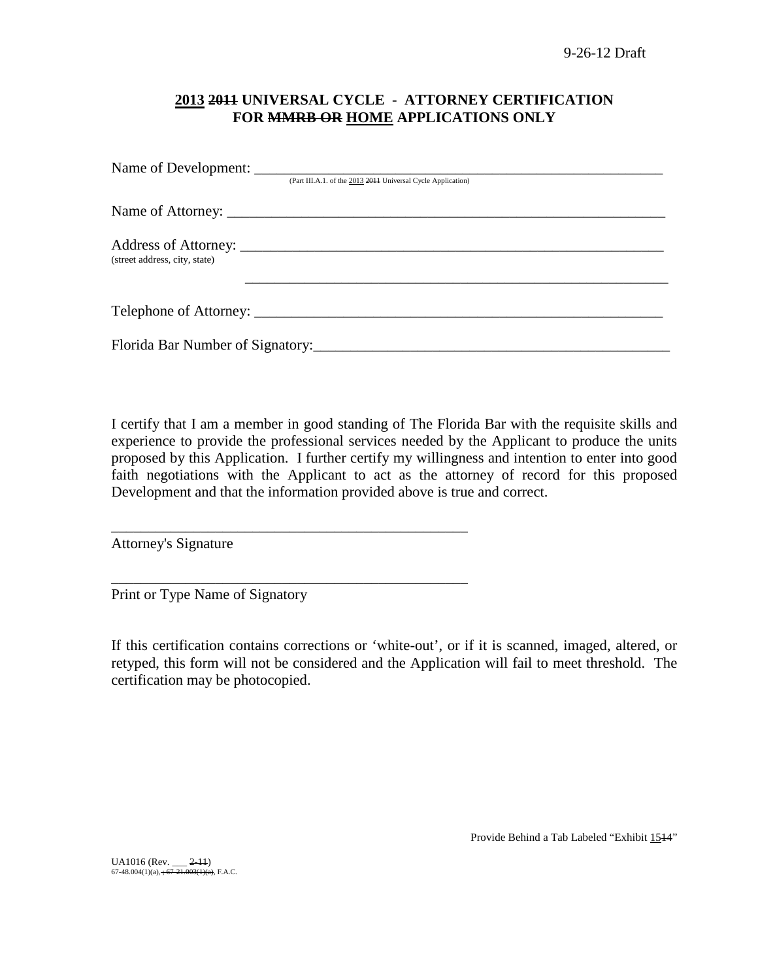# **2013 2011 UNIVERSAL CYCLE - ATTORNEY CERTIFICATION FOR MMRB OR HOME APPLICATIONS ONLY**

|                               | (Part III.A.1. of the 2013 2014 Universal Cycle Application) |
|-------------------------------|--------------------------------------------------------------|
|                               |                                                              |
| (street address, city, state) |                                                              |
|                               |                                                              |
|                               |                                                              |

I certify that I am a member in good standing of The Florida Bar with the requisite skills and experience to provide the professional services needed by the Applicant to produce the units proposed by this Application. I further certify my willingness and intention to enter into good faith negotiations with the Applicant to act as the attorney of record for this proposed Development and that the information provided above is true and correct.

Attorney's Signature

Print or Type Name of Signatory

\_\_\_\_\_\_\_\_\_\_\_\_\_\_\_\_\_\_\_\_\_\_\_\_\_\_\_\_\_\_\_\_\_\_\_\_\_\_\_\_\_\_\_\_\_\_\_\_

\_\_\_\_\_\_\_\_\_\_\_\_\_\_\_\_\_\_\_\_\_\_\_\_\_\_\_\_\_\_\_\_\_\_\_\_\_\_\_\_\_\_\_\_\_\_\_\_

If this certification contains corrections or 'white-out', or if it is scanned, imaged, altered, or retyped, this form will not be considered and the Application will fail to meet threshold. The certification may be photocopied.

Provide Behind a Tab Labeled "Exhibit 1514"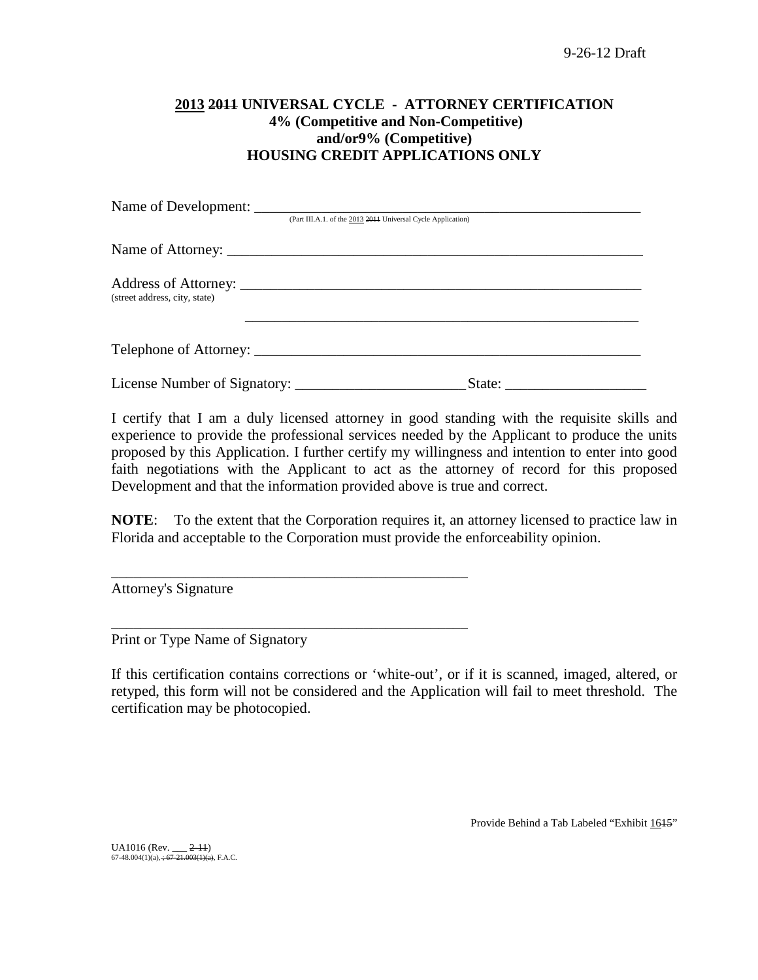# **2013 2011 UNIVERSAL CYCLE - ATTORNEY CERTIFICATION 4% (Competitive and Non-Competitive) and/or9% (Competitive) HOUSING CREDIT APPLICATIONS ONLY**

|                               | (Part III.A.1. of the 2013 2014 Universal Cycle Application) |
|-------------------------------|--------------------------------------------------------------|
|                               |                                                              |
| (street address, city, state) |                                                              |
|                               |                                                              |
|                               |                                                              |

I certify that I am a duly licensed attorney in good standing with the requisite skills and experience to provide the professional services needed by the Applicant to produce the units proposed by this Application. I further certify my willingness and intention to enter into good faith negotiations with the Applicant to act as the attorney of record for this proposed Development and that the information provided above is true and correct.

**NOTE**: To the extent that the Corporation requires it, an attorney licensed to practice law in Florida and acceptable to the Corporation must provide the enforceability opinion.

Attorney's Signature

Print or Type Name of Signatory

\_\_\_\_\_\_\_\_\_\_\_\_\_\_\_\_\_\_\_\_\_\_\_\_\_\_\_\_\_\_\_\_\_\_\_\_\_\_\_\_\_\_\_\_\_\_\_\_

\_\_\_\_\_\_\_\_\_\_\_\_\_\_\_\_\_\_\_\_\_\_\_\_\_\_\_\_\_\_\_\_\_\_\_\_\_\_\_\_\_\_\_\_\_\_\_\_

If this certification contains corrections or 'white-out', or if it is scanned, imaged, altered, or retyped, this form will not be considered and the Application will fail to meet threshold. The certification may be photocopied.

Provide Behind a Tab Labeled "Exhibit 1645"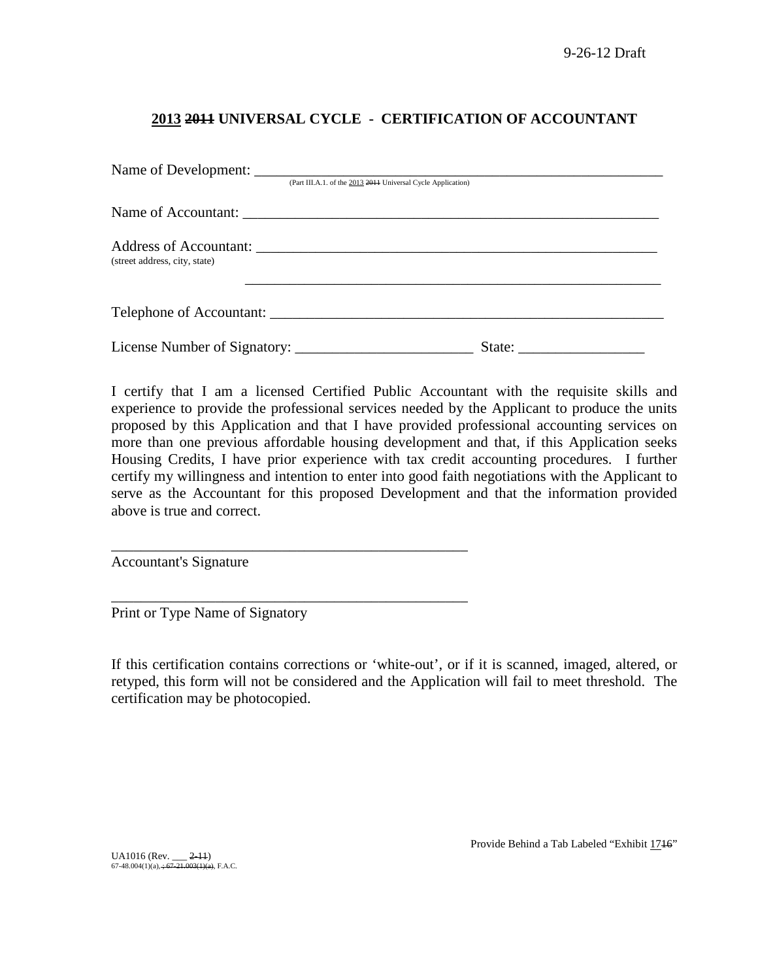# **2013 2011 UNIVERSAL CYCLE - CERTIFICATION OF ACCOUNTANT**

|                               | (Part III.A.1. of the 2013 2011 Universal Cycle Application) |  |
|-------------------------------|--------------------------------------------------------------|--|
|                               |                                                              |  |
| (street address, city, state) |                                                              |  |
|                               | Telephone of Accountant:                                     |  |
|                               |                                                              |  |

I certify that I am a licensed Certified Public Accountant with the requisite skills and experience to provide the professional services needed by the Applicant to produce the units proposed by this Application and that I have provided professional accounting services on more than one previous affordable housing development and that, if this Application seeks Housing Credits, I have prior experience with tax credit accounting procedures. I further certify my willingness and intention to enter into good faith negotiations with the Applicant to serve as the Accountant for this proposed Development and that the information provided above is true and correct.

Accountant's Signature

Print or Type Name of Signatory

\_\_\_\_\_\_\_\_\_\_\_\_\_\_\_\_\_\_\_\_\_\_\_\_\_\_\_\_\_\_\_\_\_\_\_\_\_\_\_\_\_\_\_\_\_\_\_\_

\_\_\_\_\_\_\_\_\_\_\_\_\_\_\_\_\_\_\_\_\_\_\_\_\_\_\_\_\_\_\_\_\_\_\_\_\_\_\_\_\_\_\_\_\_\_\_\_

If this certification contains corrections or 'white-out', or if it is scanned, imaged, altered, or retyped, this form will not be considered and the Application will fail to meet threshold. The certification may be photocopied.

UA1016 (Rev. \_\_\_ <del>2-11</del>)<br>67-48.004(1)(a), <del>; 67-21.003(1)(a)</del>, F.A.C.

Provide Behind a Tab Labeled "Exhibit 1716"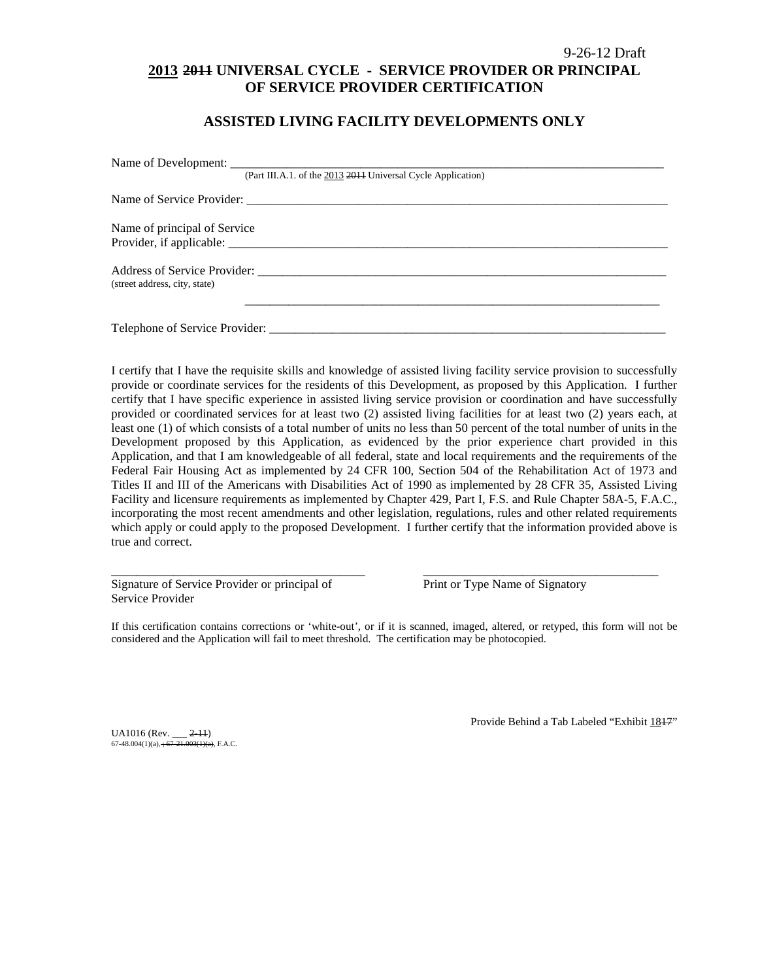### 9-26-12 Draft **2013 2011 UNIVERSAL CYCLE - SERVICE PROVIDER OR PRINCIPAL OF SERVICE PROVIDER CERTIFICATION**

### **ASSISTED LIVING FACILITY DEVELOPMENTS ONLY**

|                               | (Part III.A.1. of the 2013 2014 Universal Cycle Application) |
|-------------------------------|--------------------------------------------------------------|
|                               |                                                              |
| Name of principal of Service  |                                                              |
|                               |                                                              |
|                               |                                                              |
| (street address, city, state) |                                                              |
|                               |                                                              |
|                               |                                                              |

I certify that I have the requisite skills and knowledge of assisted living facility service provision to successfully provide or coordinate services for the residents of this Development, as proposed by this Application. I further certify that I have specific experience in assisted living service provision or coordination and have successfully provided or coordinated services for at least two (2) assisted living facilities for at least two (2) years each, at least one (1) of which consists of a total number of units no less than 50 percent of the total number of units in the Development proposed by this Application, as evidenced by the prior experience chart provided in this Application, and that I am knowledgeable of all federal, state and local requirements and the requirements of the Federal Fair Housing Act as implemented by 24 CFR 100, Section 504 of the Rehabilitation Act of 1973 and Titles II and III of the Americans with Disabilities Act of 1990 as implemented by 28 CFR 35, Assisted Living Facility and licensure requirements as implemented by Chapter 429, Part I, F.S. and Rule Chapter 58A-5, F.A.C., incorporating the most recent amendments and other legislation, regulations, rules and other related requirements which apply or could apply to the proposed Development. I further certify that the information provided above is true and correct.

Signature of Service Provider or principal of Print or Type Name of Signatory Service Provider

If this certification contains corrections or 'white-out', or if it is scanned, imaged, altered, or retyped, this form will not be considered and the Application will fail to meet threshold. The certification may be photocopied.

\_\_\_\_\_\_\_\_\_\_\_\_\_\_\_\_\_\_\_\_\_\_\_\_\_\_\_\_\_\_\_\_\_\_\_\_\_\_\_\_\_ \_\_\_\_\_\_\_\_\_\_\_\_\_\_\_\_\_\_\_\_\_\_\_\_\_\_\_\_\_\_\_\_\_\_\_\_\_\_

UA1016 (Rev. \_\_\_ <del>2-11</del>)<br>67-48.004(1)(a), <del>; 67-21.003(1)(a)</del>, F.A.C.

Provide Behind a Tab Labeled "Exhibit 1847"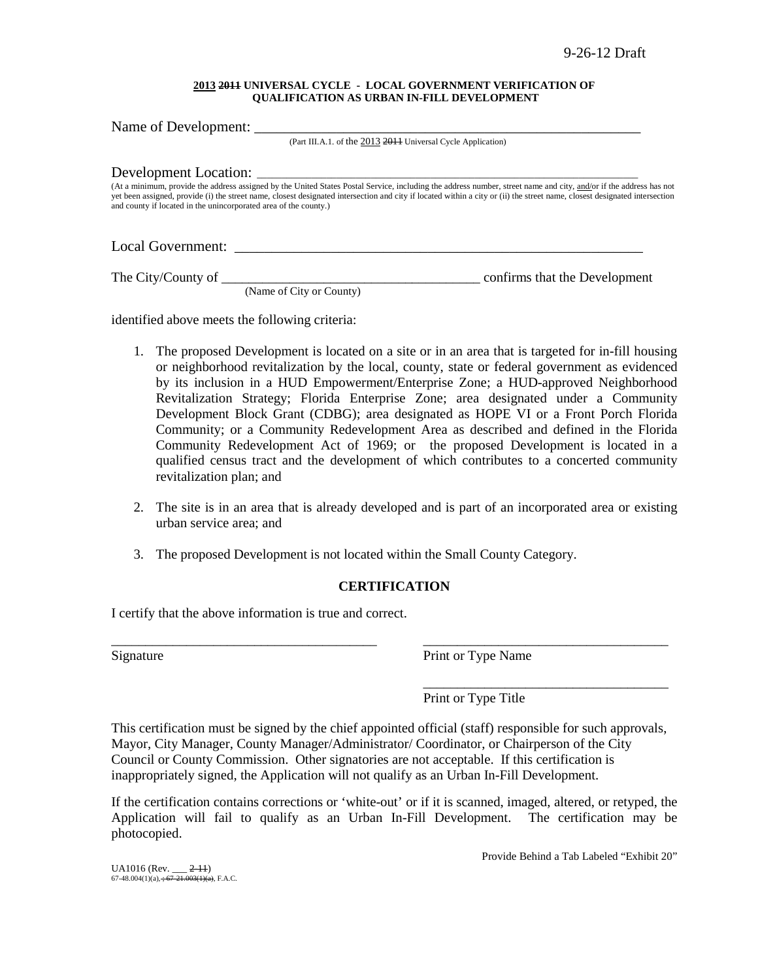#### **2013 2011 UNIVERSAL CYCLE - LOCAL GOVERNMENT VERIFICATION OF QUALIFICATION AS URBAN IN-FILL DEVELOPMENT**

Name of Development: (Part III.A.1. of the 2013 2011 Universal Cycle Application) Development Location: (At a minimum, provide the address assigned by the United States Postal Service, including the address number, street name and city, and/or if the address has not yet been assigned, provide (i) the street name, closest designated intersection and city if located within a city or (ii) the street name, closest designated intersection and county if located in the unincorporated area of the county.) Local Government:

The City/County of \_\_\_\_\_\_\_\_\_\_\_\_\_\_\_\_\_\_\_\_\_\_\_\_\_\_\_\_\_\_\_\_\_\_\_\_\_\_ confirms that the Development

(Name of City or County)

identified above meets the following criteria:

- 1. The proposed Development is located on a site or in an area that is targeted for in-fill housing or neighborhood revitalization by the local, county, state or federal government as evidenced by its inclusion in a HUD Empowerment/Enterprise Zone; a HUD-approved Neighborhood Revitalization Strategy; Florida Enterprise Zone; area designated under a Community Development Block Grant (CDBG); area designated as HOPE VI or a Front Porch Florida Community; or a Community Redevelopment Area as described and defined in the Florida Community Redevelopment Act of 1969; or the proposed Development is located in a qualified census tract and the development of which contributes to a concerted community revitalization plan; and
- 2. The site is in an area that is already developed and is part of an incorporated area or existing urban service area; and
- 3. The proposed Development is not located within the Small County Category.

### **CERTIFICATION**

\_\_\_\_\_\_\_\_\_\_\_\_\_\_\_\_\_\_\_\_\_\_\_\_\_\_\_\_\_\_\_\_\_\_\_\_\_\_\_ \_\_\_\_\_\_\_\_\_\_\_\_\_\_\_\_\_\_\_\_\_\_\_\_\_\_\_\_\_\_\_\_\_\_\_\_

I certify that the above information is true and correct.

Signature Print or Type Name

\_\_\_\_\_\_\_\_\_\_\_\_\_\_\_\_\_\_\_\_\_\_\_\_\_\_\_\_\_\_\_\_\_\_\_\_ Print or Type Title

This certification must be signed by the chief appointed official (staff) responsible for such approvals, Mayor, City Manager, County Manager/Administrator/ Coordinator, or Chairperson of the City Council or County Commission. Other signatories are not acceptable. If this certification is inappropriately signed, the Application will not qualify as an Urban In-Fill Development.

If the certification contains corrections or 'white-out' or if it is scanned, imaged, altered, or retyped, the Application will fail to qualify as an Urban In-Fill Development. The certification may be photocopied.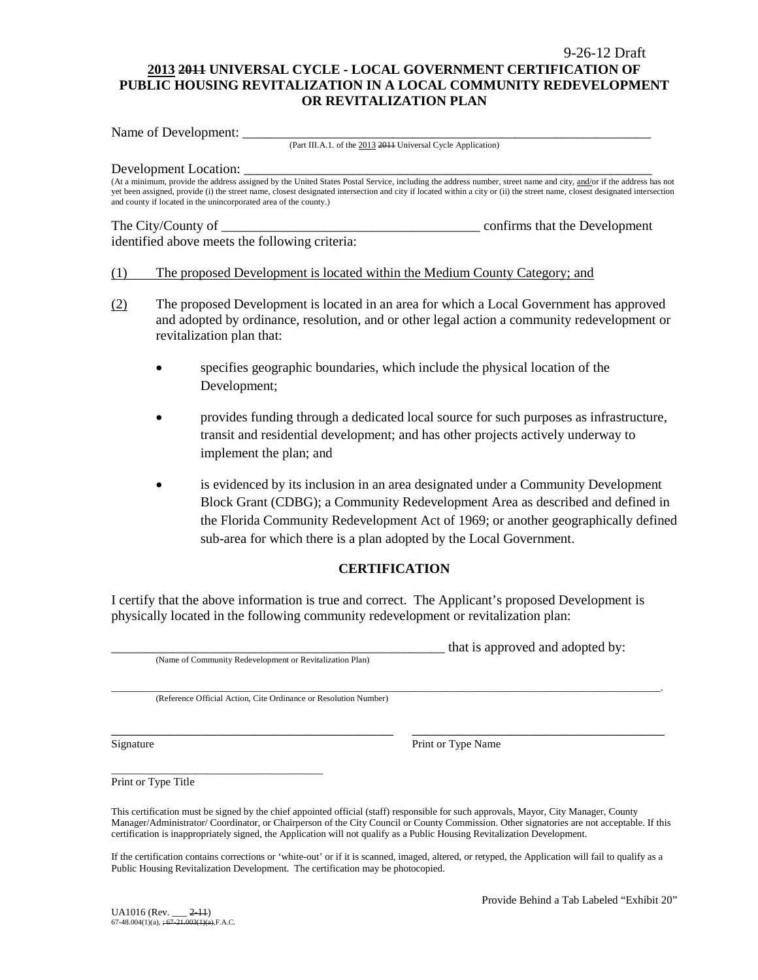### 9-26-12 Draft **2013 2011 UNIVERSAL CYCLE - LOCAL GOVERNMENT CERTIFICATION OF PUBLIC HOUSING REVITALIZATION IN A LOCAL COMMUNITY REDEVELOPMENT OR REVITALIZATION PLAN**

Name of Development:

(Part III.A.1. of the 2013 2011 Universal Cycle Application)

#### Development Location:

(At a minimum, provide the address assigned by the United States Postal Service, including the address number, street name and city, and/or if the address has not yet been assigned, provide (i) the street name, closest designated intersection and city if located within a city or (ii) the street name, closest designated intersection and county if located in the unincorporated area of the county.)

identified above meets the following criteria:

The City/County of \_\_\_\_\_\_\_\_\_\_\_\_\_\_\_\_\_\_\_\_\_\_\_\_\_\_\_\_\_\_\_\_\_\_\_\_\_\_ confirms that the Development

### (1) The proposed Development is located within the Medium County Category; and

- (2) The proposed Development is located in an area for which a Local Government has approved and adopted by ordinance, resolution, and or other legal action a community redevelopment or revitalization plan that:
	- specifies geographic boundaries, which include the physical location of the Development;
	- provides funding through a dedicated local source for such purposes as infrastructure, transit and residential development; and has other projects actively underway to implement the plan; and
	- is evidenced by its inclusion in an area designated under a Community Development Block Grant (CDBG); a Community Redevelopment Area as described and defined in the Florida Community Redevelopment Act of 1969; or another geographically defined sub-area for which there is a plan adopted by the Local Government.

### **CERTIFICATION**

I certify that the above information is true and correct. The Applicant's proposed Development is physically located in the following community redevelopment or revitalization plan:

(Name of Community Redevelopment or Revitalization Plan)

that is approved and adopted by:

\_\_\_\_\_\_\_\_\_\_\_\_\_\_\_\_\_\_\_\_\_\_\_\_\_\_\_\_\_\_\_\_\_\_\_\_\_\_\_\_\_\_\_\_\_\_\_\_\_\_\_\_\_\_\_\_\_\_\_\_\_\_\_\_\_\_\_\_\_\_\_\_\_\_\_\_\_\_\_\_\_\_\_\_\_\_\_\_\_\_\_\_\_\_\_\_\_\_\_\_\_\_\_\_\_\_\_\_\_\_\_. (Reference Official Action, Cite Ordinance or Resolution Number)

Signature Print or Type Name

Print or Type Title

\_\_\_\_\_\_\_\_\_\_\_\_\_\_\_\_\_\_\_\_\_\_\_\_\_\_\_\_\_\_\_\_\_\_\_\_\_\_

This certification must be signed by the chief appointed official (staff) responsible for such approvals, Mayor, City Manager, County Manager/Administrator/ Coordinator, or Chairperson of the City Council or County Commission. Other signatories are not acceptable. If this certification is inappropriately signed, the Application will not qualify as a Public Housing Revitalization Development.

\_\_\_\_\_\_\_\_\_\_\_\_\_\_\_\_\_\_\_\_\_\_\_\_\_\_\_\_\_\_\_\_\_\_\_\_\_\_ \_\_\_\_\_\_\_\_\_\_\_\_\_\_\_\_\_\_\_\_\_\_\_\_\_\_\_\_\_\_\_\_\_\_

If the certification contains corrections or 'white-out' or if it is scanned, imaged, altered, or retyped, the Application will fail to qualify as a Public Housing Revitalization Development. The certification may be photocopied.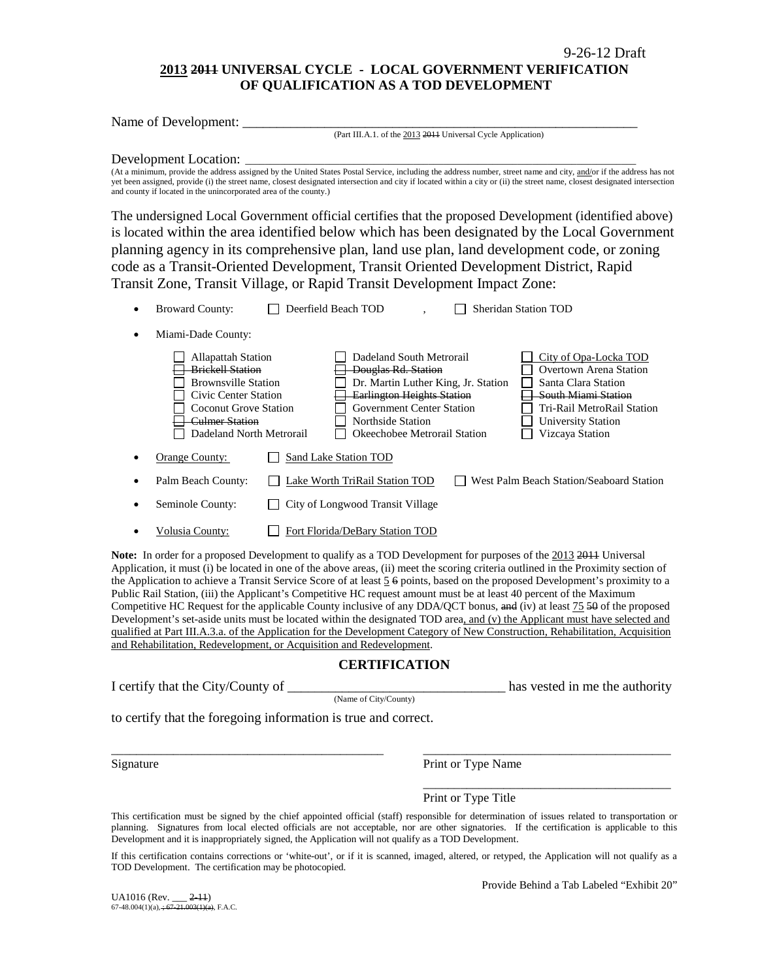### **2013 2011 UNIVERSAL CYCLE - LOCAL GOVERNMENT VERIFICATION OF QUALIFICATION AS A TOD DEVELOPMENT**

| Name of Development:                                                                                                                                                                                                                                                                                                                                                                                                                                                                                                                                                                                          |
|---------------------------------------------------------------------------------------------------------------------------------------------------------------------------------------------------------------------------------------------------------------------------------------------------------------------------------------------------------------------------------------------------------------------------------------------------------------------------------------------------------------------------------------------------------------------------------------------------------------|
| (Part III.A.1. of the 2013 2014 Universal Cycle Application)                                                                                                                                                                                                                                                                                                                                                                                                                                                                                                                                                  |
| Development Location:<br>(At a minimum, provide the address assigned by the United States Postal Service, including the address number, street name and city, and/or if the address has not<br>yet been assigned, provide (i) the street name, closest designated intersection and city if located within a city or (ii) the street name, closest designated intersection<br>and county if located in the unincorporated area of the county.)                                                                                                                                                                 |
| The undersigned Local Government official certifies that the proposed Development (identified above)<br>is located within the area identified below which has been designated by the Local Government<br>planning agency in its comprehensive plan, land use plan, land development code, or zoning<br>code as a Transit-Oriented Development, Transit Oriented Development District, Rapid<br>Transit Zone, Transit Village, or Rapid Transit Development Impact Zone:                                                                                                                                       |
| Deerfield Beach TOD<br><b>Sheridan Station TOD</b><br><b>Broward County:</b><br>Miami-Dade County:<br>٠                                                                                                                                                                                                                                                                                                                                                                                                                                                                                                       |
| Dadeland South Metrorail<br><b>Allapattah Station</b><br>City of Opa-Locka TOD<br><b>Brickell Station</b><br>Overtown Arena Station<br>Douglas Rd. Station<br><b>Brownsville Station</b><br>Dr. Martin Luther King, Jr. Station<br>Santa Clara Station<br><b>Earlington Heights Station</b><br>South Miami Station<br><b>Civic Center Station</b><br><b>Government Center Station</b><br>Tri-Rail MetroRail Station<br><b>Coconut Grove Station</b><br><b>Culmer Station</b><br>Northside Station<br><b>University Station</b><br>Dadeland North Metrorail<br>Okeechobee Metrorail Station<br>Vizcaya Station |
| Sand Lake Station TOD<br>Orange County:                                                                                                                                                                                                                                                                                                                                                                                                                                                                                                                                                                       |
| Palm Beach County:<br>Lake Worth TriRail Station TOD<br>West Palm Beach Station/Seaboard Station<br>٠                                                                                                                                                                                                                                                                                                                                                                                                                                                                                                         |
| City of Longwood Transit Village<br>Seminole County:                                                                                                                                                                                                                                                                                                                                                                                                                                                                                                                                                          |
| Fort Florida/DeBary Station TOD<br>Volusia County:                                                                                                                                                                                                                                                                                                                                                                                                                                                                                                                                                            |

Note: In order for a proposed Development to qualify as a TOD Development for purposes of the 2013 2011 Universal Application, it must (i) be located in one of the above areas, (ii) meet the scoring criteria outlined in the Proximity section of the Application to achieve a Transit Service Score of at least 5 6 points, based on the proposed Development's proximity to a Public Rail Station, (iii) the Applicant's Competitive HC request amount must be at least 40 percent of the Maximum Competitive HC Request for the applicable County inclusive of any DDA/QCT bonus, and (iv) at least 75 50 of the proposed Development's set-aside units must be located within the designated TOD area, and (v) the Applicant must have selected and qualified at Part III.A.3.a. of the Application for the Development Category of New Construction, Rehabilitation, Acquisition and Rehabilitation, Redevelopment, or Acquisition and Redevelopment.

### **CERTIFICATION**

(Name of City/County)

has vested in me the authority

to certify that the foregoing information is true and correct.

Signature Print or Type Name

Print or Type Title

This certification must be signed by the chief appointed official (staff) responsible for determination of issues related to transportation or planning. Signatures from local elected officials are not acceptable, nor are other signatories. If the certification is applicable to this Development and it is inappropriately signed, the Application will not qualify as a TOD Development.

\_\_\_\_\_\_\_\_\_\_\_\_\_\_\_\_\_\_\_\_\_\_\_\_\_\_\_\_\_\_\_\_\_\_\_\_\_\_\_\_\_\_\_\_ \_\_\_\_\_\_\_\_\_\_\_\_\_\_\_\_\_\_\_\_\_\_\_\_\_\_\_\_\_\_\_\_\_\_\_\_\_\_\_\_

If this certification contains corrections or 'white-out', or if it is scanned, imaged, altered, or retyped, the Application will not qualify as a TOD Development. The certification may be photocopied.

UA1016 (Rev. \_\_\_ <del>2-11</del>)<br>67-48.004(1)(a), <del>; 67-21.003(1)(a)</del>, F.A.C.

Provide Behind a Tab Labeled "Exhibit 20"

\_\_\_\_\_\_\_\_\_\_\_\_\_\_\_\_\_\_\_\_\_\_\_\_\_\_\_\_\_\_\_\_\_\_\_\_\_\_\_\_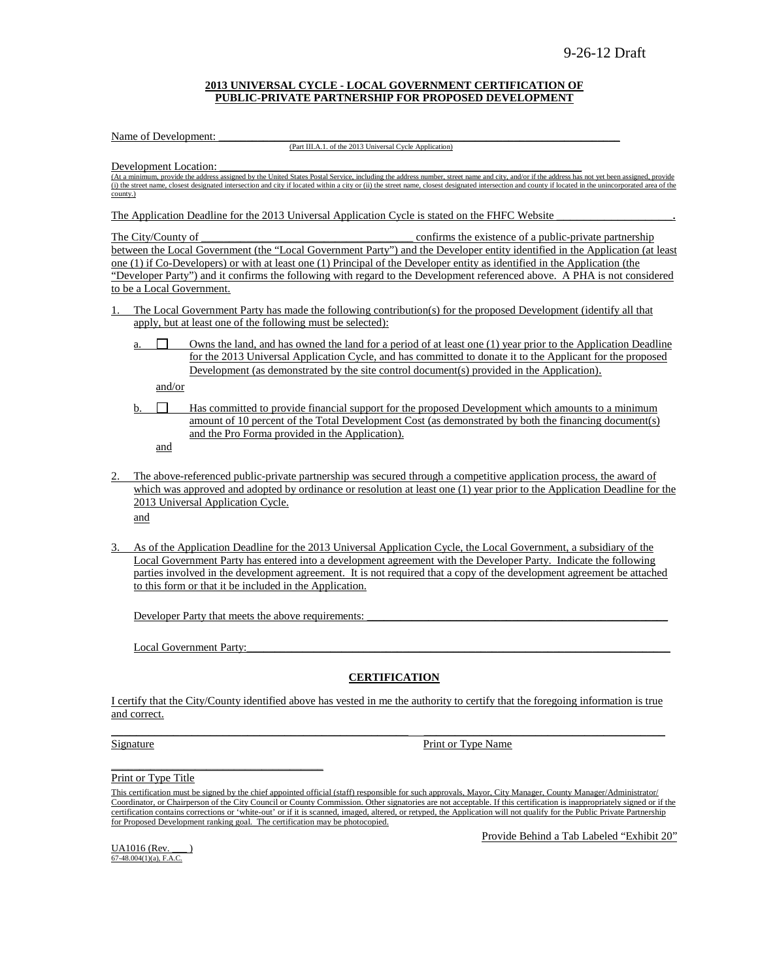#### **2013 UNIVERSAL CYCLE - LOCAL GOVERNMENT CERTIFICATION OF PUBLIC-PRIVATE PARTNERSHIP FOR PROPOSED DEVELOPMENT**

Name of Development:

(Part III.A.1. of the 2013 Universal Cycle Application)

Development Location:

(At a minimum, provide the address assigned by the United States Postal Service, including the address number, street name and city, and/or if the address has not yet been assigned, provide (i) the street name, closest designated intersection and city if located within a city or (ii) the street name, closest designated intersection and county if located in the unincorporated area of the county.)

The Application Deadline for the 2013 Universal Application Cycle is stated on the FHFC Website

The City/County of \_\_\_\_\_\_\_\_\_\_\_\_\_\_\_\_\_\_\_\_\_\_\_\_\_\_\_\_\_\_\_\_\_\_\_\_\_\_ confirms the existence of a public-private partnership between the Local Government (the "Local Government Party") and the Developer entity identified in the Application (at least one (1) if Co-Developers) or with at least one (1) Principal of the Developer entity as identified in the Application (the "Developer Party") and it confirms the following with regard to the Development referenced above. A PHA is not considered to be a Local Government.

- 1. The Local Government Party has made the following contribution(s) for the proposed Development (identify all that apply, but at least one of the following must be selected):
	- a.  $\Box$  Owns the land, and has owned the land for a period of at least one (1) year prior to the Application Deadline for the 2013 Universal Application Cycle, and has committed to donate it to the Applicant for the proposed Development (as demonstrated by the site control document(s) provided in the Application).

and/or

 $b.$   $\Box$  Has committed to provide financial support for the proposed Development which amounts to a minimum amount of 10 percent of the Total Development Cost (as demonstrated by both the financing document(s) and the Pro Forma provided in the Application).

and

2. The above-referenced public-private partnership was secured through a competitive application process, the award of which was approved and adopted by ordinance or resolution at least one (1) year prior to the Application Deadline for the 2013 Universal Application Cycle.

and

3. As of the Application Deadline for the 2013 Universal Application Cycle, the Local Government, a subsidiary of the Local Government Party has entered into a development agreement with the Developer Party. Indicate the following parties involved in the development agreement. It is not required that a copy of the development agreement be attached to this form or that it be included in the Application.

Developer Party that meets the above requirements:

Local Government Party:

 $\overline{\phantom{a}}$  , and the contract of the contract of the contract of the contract of the contract of the contract of the contract of the contract of the contract of the contract of the contract of the contract of the contrac

#### **CERTIFICATION**

I certify that the City/County identified above has vested in me the authority to certify that the foregoing information is true and correct.  $\mathcal{L}_\mathcal{L} = \{ \mathcal{L}_\mathcal{L} = \{ \mathcal{L}_\mathcal{L} = \{ \mathcal{L}_\mathcal{L} = \{ \mathcal{L}_\mathcal{L} = \{ \mathcal{L}_\mathcal{L} = \{ \mathcal{L}_\mathcal{L} = \{ \mathcal{L}_\mathcal{L} = \{ \mathcal{L}_\mathcal{L} = \{ \mathcal{L}_\mathcal{L} = \{ \mathcal{L}_\mathcal{L} = \{ \mathcal{L}_\mathcal{L} = \{ \mathcal{L}_\mathcal{L} = \{ \mathcal{L}_\mathcal{L} = \{ \mathcal{L}_\mathcal{$ 

Signature Print or Type Name

Print or Type Title

Provide Behind a Tab Labeled "Exhibit 20"

UA1016 (Rev. 67-48.004(1)(a), F.A.C.

This certification must be signed by the chief appointed official (staff) responsible for such approvals, Mayor, City Manager, County Manager/Administrator/ Coordinator, or Chairperson of the City Council or County Commission. Other signatories are not acceptable. If this certification is inappropriately signed or if the certification contains corrections or 'white-out' or if it is scanned, imaged, altered, or retyped, the Application will not qualify for the Public Private Partnership for Proposed Development ranking goal. The certification may be photocopied.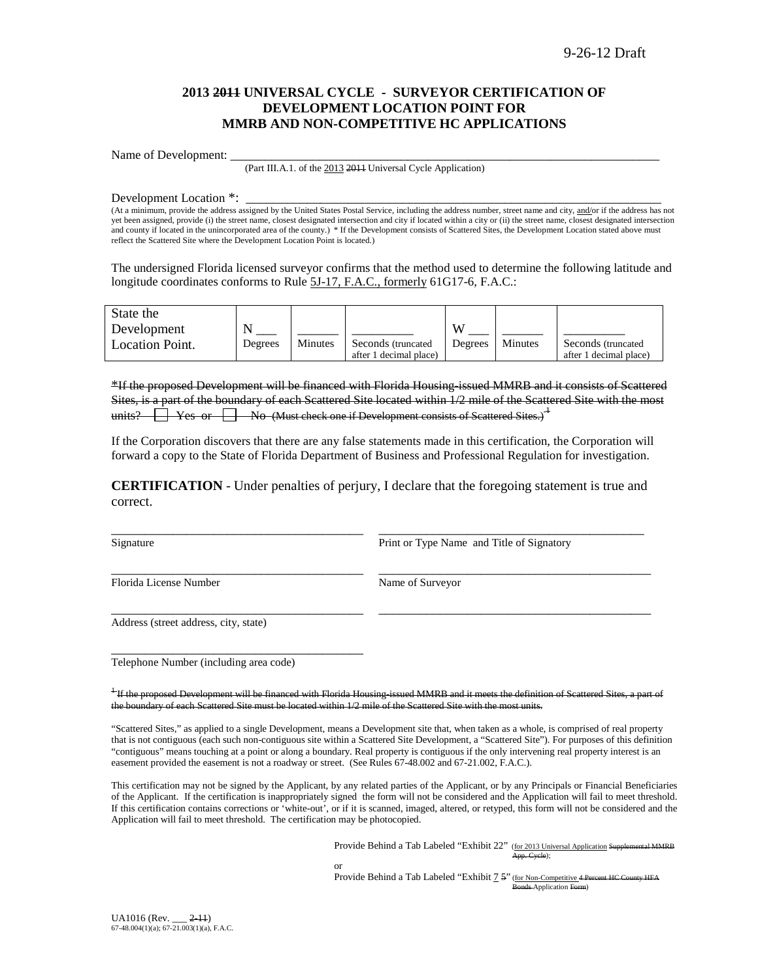### **2013 2011 UNIVERSAL CYCLE - SURVEYOR CERTIFICATION OF DEVELOPMENT LOCATION POINT FOR MMRB AND NON-COMPETITIVE HC APPLICATIONS**

Name of Development:

(Part III.A.1. of the 2013 2011 Universal Cycle Application)

Development Location \*:

(At a minimum, provide the address assigned by the United States Postal Service, including the address number, street name and city, and/or if the address has not yet been assigned, provide (i) the street name, closest designated intersection and city if located within a city or (ii) the street name, closest designated intersection and county if located in the unincorporated area of the county.) \* If the Development consists of Scattered Sites, the Development Location stated above must reflect the Scattered Site where the Development Location Point is located.)

The undersigned Florida licensed surveyor confirms that the method used to determine the following latitude and longitude coordinates conforms to Rule 5J-17, F.A.C., formerly 61G17-6, F.A.C.:

| State the              |         |         |                        |         |         |                        |
|------------------------|---------|---------|------------------------|---------|---------|------------------------|
| Development            |         |         |                        | VY.     |         |                        |
| <b>Location Point.</b> | Degrees | Minutes | Seconds (truncated)    | Degrees | Minutes | Seconds (truncated)    |
|                        |         |         | after 1 decimal place) |         |         | after 1 decimal place) |

\*If the proposed Development will be financed with Florida Housing-issued MMRB and it consists of Scattered Sites, is a part of the boundary of each Scattered Site located within 1/2 mile of the Scattered Site with the most units?  $\Box$  Yes or  $\Box$  No (Must check one if Development consists of Scattered Sites.)<sup>1</sup>

If the Corporation discovers that there are any false statements made in this certification, the Corporation will forward a copy to the State of Florida Department of Business and Professional Regulation for investigation.

**CERTIFICATION** - Under penalties of perjury, I declare that the foregoing statement is true and correct.

\_\_\_\_\_\_\_\_\_\_\_\_\_\_\_\_\_\_\_\_\_\_\_\_\_\_\_\_\_\_\_\_\_\_\_\_\_ \_\_\_\_\_\_\_\_\_\_\_\_\_\_\_\_\_\_\_\_\_\_\_\_\_\_\_\_\_\_\_\_\_\_\_\_\_\_\_\_

\_\_\_\_\_\_\_\_\_\_\_\_\_\_\_\_\_\_\_\_\_\_\_\_\_\_\_\_\_\_\_\_\_\_\_\_\_ \_\_\_\_\_\_\_\_\_\_\_\_\_\_\_\_\_\_\_\_\_\_\_\_\_\_\_\_\_\_\_\_\_\_\_\_\_\_\_\_

\_\_\_\_\_\_\_\_\_\_\_\_\_\_\_\_\_\_\_\_\_\_\_\_\_\_\_\_\_\_\_\_\_\_\_\_\_ \_\_\_\_\_\_\_\_\_\_\_\_\_\_\_\_\_\_\_\_\_\_\_\_\_\_\_\_\_\_\_\_\_\_\_\_\_\_\_ Signature **Print or Type Name and Title of Signatory** Print or Type Name and Title of Signatory

Florida License Number Name of Surveyor

Address (street address, city, state)

Telephone Number (including area code)

\_\_\_\_\_\_\_\_\_\_\_\_\_\_\_\_\_\_\_\_\_\_\_\_\_\_\_\_\_\_\_\_\_\_\_\_\_

<sup>1</sup> If the proposed Development will be financed with Florida Housing-issued MMRB and it the boundary of each Scattered Site must be located within 1/2 mile of the Scattered Site with the most units.

"Scattered Sites," as applied to a single Development, means a Development site that, when taken as a whole, is comprised of real property that is not contiguous (each such non-contiguous site within a Scattered Site Development, a "Scattered Site"). For purposes of this definition "contiguous" means touching at a point or along a boundary. Real property is contiguous if the only intervening real property interest is an easement provided the easement is not a roadway or street. (See Rules 67-48.002 and 67-21.002, F.A.C.).

This certification may not be signed by the Applicant, by any related parties of the Applicant, or by any Principals or Financial Beneficiaries of the Applicant. If the certification is inappropriately signed the form will not be considered and the Application will fail to meet threshold. If this certification contains corrections or 'white-out', or if it is scanned, imaged, altered, or retyped, this form will not be considered and the Application will fail to meet threshold. The certification may be photocopied.

> Provide Behind a Tab Labeled "Exhibit 22" (for 2013 Universal Application Supplemental MMRB .<br><del>App. Cycle</del>):

or

Provide Behind a Tab Labeled "Exhibit  $7.5$ " (for Non-Competitive 4 Percent HC Bonds-Application Form)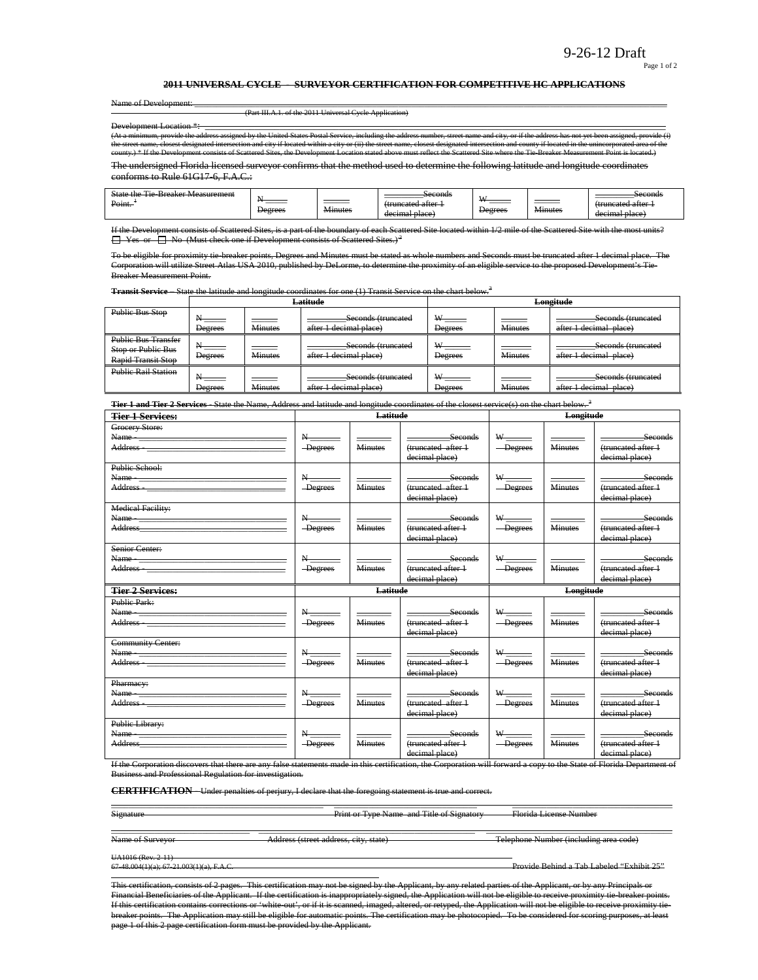Page 1 of 2

#### **2011 UNIVERSAL CYCLE - SURVEYOR CERTIFICATION FOR COMPETITIVE HC APPLICATIONS**

Name of Development: \_\_\_\_\_\_\_\_\_\_\_\_\_\_\_\_\_\_\_\_\_\_\_\_\_\_\_\_\_\_\_\_\_\_\_\_\_\_\_\_\_\_\_\_\_\_\_\_\_\_\_\_\_\_\_\_\_\_\_\_\_\_\_\_\_\_\_\_\_\_\_\_\_\_\_\_\_\_\_\_\_\_\_\_\_\_\_\_\_\_\_\_\_\_\_\_\_\_\_\_\_\_\_\_\_\_\_\_\_ (Part III.A.1. of the 2011 Universal Cycle Application) Development Location  $*$ provide the address assigned by the United States Postal Service, including the address number, street<br>closest designated intersection and city if located within a city or (ii) the street name, closest designate the street of the street designated intervent intersection and complete the street name and city, or if the address has not yet been assignated in the unincorporation and county if located within a city or (ii) the street county.) \* If the Development consists of Scattered Sites, the Development Location stated above must reflect the Scattered Site where the Tie-Breaker Measurement Point is located.)

The undersigned Florida licensed surveyor confirms that the method used to determine the following latitude and longitude coordinates conforms to Rule 61G17-6, F.A.C.:

| <b>TY</b><br>Point.<br>catad attar<br>attor<br>$t_{\text{min}}$<br>_______<br>$+$ mm<br>n far<br>________<br>_______<br>_______<br><del></del><br><del>uuncatou anor</del><br>$\sim$ $\sim$<br>$\sim$ $\sim$<br><b>Minutes</b><br>Minutes<br>Degrees<br>Degrees<br><del>decimal place  </del><br>decimal place | $\sim$<br>State<br>$+h$<br>Breaker Measurement<br>ه ۱<br> |  |  | Seconds |  |  | Seconds |
|----------------------------------------------------------------------------------------------------------------------------------------------------------------------------------------------------------------------------------------------------------------------------------------------------------------|-----------------------------------------------------------|--|--|---------|--|--|---------|
|----------------------------------------------------------------------------------------------------------------------------------------------------------------------------------------------------------------------------------------------------------------------------------------------------------------|-----------------------------------------------------------|--|--|---------|--|--|---------|

ists of Scattered Sites, is a part of the boundary of each Scattered Site located within 1/2 mile of the Scatte  $\Box$  Yes or  $\Box$  No (Must check one if Development consists of Scattered Sites.)<sup>2</sup>

To be eligible for proximity tie-breaker points, Degrees and Minutes must be stated as whole numbers and Seconds must be truncated after 1 decimal place. The Corporation will utilize Street Atlas USA 2010, published by DeLorme, to determine the proximity of an eligible service to the proposed Development's Tie-Breaker Measurement Point.

**Transit Service** – State the latitude and longitude coordinates for one (1) Transit Service on the chart below.<sup>3</sup>

|                                                                               |                |                | Latitude                                     | Longitude                          |                |                                              |  |
|-------------------------------------------------------------------------------|----------------|----------------|----------------------------------------------|------------------------------------|----------------|----------------------------------------------|--|
| <b>Public Bus Stop</b>                                                        | <b>Degrees</b> | <b>Minutes</b> | Seconds (truncated<br>after 1 decimal place) | $W_{\text{max}}$<br><b>Degrees</b> | <b>Minutes</b> | Seconds (truncated<br>after 1 decimal place) |  |
| <b>Public Bus Transfer</b><br>Stop or Public Bus<br><b>Rapid Transit Stop</b> | Degrees        | <b>Minutes</b> | Seconds (truncated<br>after 1 decimal place) | <b>Degrees</b>                     | <b>Minutes</b> | Seconds (truncated<br>after 1 decimal place) |  |
| <b>Public Rail Station</b>                                                    | <b>Degrees</b> | <b>Minutes</b> | Seconds (truncated<br>after 1 decimal place) | W <sub>-</sub><br><b>Degrees</b>   | <b>Minutes</b> | Seconds (truncated<br>after 1 decimal place) |  |

**Tier 1 and Tier 2 Services** - State the Name, Address and latitude and longitude coordinates of the closest service(s) on the chart below. <sup>3</sup>

| <b>Tier 1 Services:</b>                                                                                                                                                                                                                                                                                                                                                                                                                                                       |                                                       | Latitude       |                                                        | Longitude                                               |                |                                                        |
|-------------------------------------------------------------------------------------------------------------------------------------------------------------------------------------------------------------------------------------------------------------------------------------------------------------------------------------------------------------------------------------------------------------------------------------------------------------------------------|-------------------------------------------------------|----------------|--------------------------------------------------------|---------------------------------------------------------|----------------|--------------------------------------------------------|
| Grocery Store:<br>Address - The Commission of the Commission of the Commission of the Commission of the Commission of the Commission of the Commission of the Commission of the Commission of the Commission of the Commission of the Commission                                                                                                                                                                                                                              | $\rm N_{\rm \, max}$<br>-Degrees                      | <b>Minutes</b> | Seconds<br>(truncated after 1<br>decimal place)        | $\mathbf{W}$ _________<br>-Degrees                      | <b>Minutes</b> | Seconds<br>(truncated after 1<br>decimal place)        |
| Public School:<br>Address - The Commission of the Commission of the Commission of the Commission of the Commission of the Commission of the Commission of the Commission of the Commission of the Commission of the Commission of the Commission                                                                                                                                                                                                                              | $N_{\underline{\hspace{1cm}}\phantom{1}}$<br>-Degrees | Minutes        | Seconds<br>(truncated after 1<br>decimal place)        | $W$ <sub>------</sub><br>-Degrees                       | <b>Minutes</b> | <b>Seconds</b><br>(truncated after 1<br>decimal place) |
| <b>Medical Facility:</b><br>Address and the contract of the contract of the contract of the contract of the contract of the contract of the contract of the contract of the contract of the contract of the contract of the contract of the contract of th                                                                                                                                                                                                                    | N<br>-Degrees                                         | <b>Minutes</b> | Seconds<br>(truncated after 1<br>decimal place)        | $W$ and $W$<br>-Degrees                                 | <b>Minutes</b> | seconds<br>(truncated after 1<br>decimal place)        |
| Senior Center:<br>Address - The Committee of the Committee of the Committee of the Committee of the Committee of the Committee of the Committee of the Committee of the Committee of the Committee of the Committee of the Committee of the Comm                                                                                                                                                                                                                              | $N_{\frac{1}{2}}$<br>-Degrees                         | <b>Minutes</b> | Seconds<br>(truncated after 1<br>decimal place)        | $-\n$ Degrees                                           | <b>Minutes</b> | <b>Seconds</b><br>(truncated after 1<br>decimal place) |
|                                                                                                                                                                                                                                                                                                                                                                                                                                                                               | Latitude                                              |                |                                                        | Longitude                                               |                |                                                        |
| <b>Tier 2 Services:</b>                                                                                                                                                                                                                                                                                                                                                                                                                                                       |                                                       |                |                                                        |                                                         |                |                                                        |
| <b>Public Park:</b><br>Address - 2008 - 2009 - 2010 - 2010 - 2010 - 2010 - 2010 - 2010 - 2010 - 2010 - 2010 - 2010 - 2010 - 2010 - 20                                                                                                                                                                                                                                                                                                                                         | $\rm N_{\rm \, max}$<br>-Degrees                      | <b>Minutes</b> | Seconds<br>(truncated after 1<br>decimal place)        | $\mathbf{w}_{\text{max}}$<br>$-\text{Degrees}$          | <b>Minutes</b> | <b>Seconds</b><br>(truncated after 1<br>decimal place) |
| <b>Community Center:</b>                                                                                                                                                                                                                                                                                                                                                                                                                                                      | $\mathbf{N}_{\text{max}}$<br><b>Degrees</b>           | <b>Minutes</b> | Seconds<br>(truncated after 1<br>decimal place)        | $\ensuremath{\mathsf{w}}\xspace_\text{max}$<br>-Degrees | <b>Minutes</b> | Seconds<br>(truncated after 1<br>decimal place)        |
| Pharmacy:<br>Name and the contract of the contract of the contract of the contract of the contract of the contract of the contract of the contract of the contract of the contract of the contract of the contract of the contract of the c<br>Address - The Committee of the Committee of the Committee of the Committee of the Committee of the Committee of the Committee of the Committee of the Committee of the Committee of the Committee of the Committee of the Comm | $N_{\frac{1}{2}}$<br>-Degrees                         | <b>Minutes</b> | <b>Seconds</b><br>(truncated after 1<br>decimal place) | $W$ <sub>_______</sub><br>-Degrees                      | <b>Minutes</b> | Seconds<br>(truncated after +<br>decimal place)        |

If the Corporation discovers that there are any false statements made in this certification, the Corporation will forward a copy to the State of Florida Department of<br>Business and Professional Regulation for investigation .<br>and Professional Regulation for investigation.

**CERTIFICATION** - Under penalties of perjury, I declare that the foregoing statement is true and correct.

\_\_\_\_\_\_\_\_\_\_\_\_\_\_\_\_\_\_\_\_\_\_\_\_\_\_\_\_\_\_\_\_\_\_\_\_\_\_\_\_\_\_\_\_\_\_\_\_\_ \_\_\_\_\_\_\_\_\_\_\_\_\_\_\_\_\_\_\_\_\_\_\_\_\_\_\_\_\_\_\_\_\_ \_\_\_\_\_\_\_\_\_\_\_\_\_\_\_\_\_\_\_\_\_\_\_\_\_\_\_\_\_\_\_\_\_\_\_\_\_

Signature **Print or Type Name and Title of Signatory** Florida License Number

\_\_\_\_\_\_\_\_\_\_\_\_\_\_\_\_\_\_\_\_\_\_\_\_\_\_\_\_\_\_\_\_ \_\_\_\_\_\_\_\_\_\_\_\_\_\_\_\_\_\_\_\_\_\_\_\_\_\_\_\_\_\_\_\_\_\_\_\_\_\_\_\_\_\_\_\_\_\_\_\_\_\_ \_\_\_\_\_\_\_\_\_\_\_\_\_\_\_\_\_\_\_\_\_\_\_\_\_\_\_\_\_\_\_\_\_\_\_\_\_\_\_\_\_\_\_ Name of Surveyor Address (street address, city, state) Telephone Number (including area code)

UA1016 (Rev. 2-11)<br>67-48.004(1)(a); 67-21.003(1)(a), F.A.C.

Provide Behind a Tab Labeled "Exhibit 25"

This certification, consists of 2 pages. This certification may not be signed by the Applicant, by any related parties of the Applicant, or by any Principals or Financial Beneficiaries of the Applicant. If the certification is inappropriately signed, the Application will not be eligible to receive proximity tie-breaker points.<br>If this certification contains corrections or 'white-o ed, imaged, altered, or retyped, the Application will not be eligible to receive proximity tiebreaker points. The Application may still be eligible for automatic points. The certification may be photocopied. To be considered for scoring purposes, at least page 1 of this 2 page certification form must be provided by the Applicant.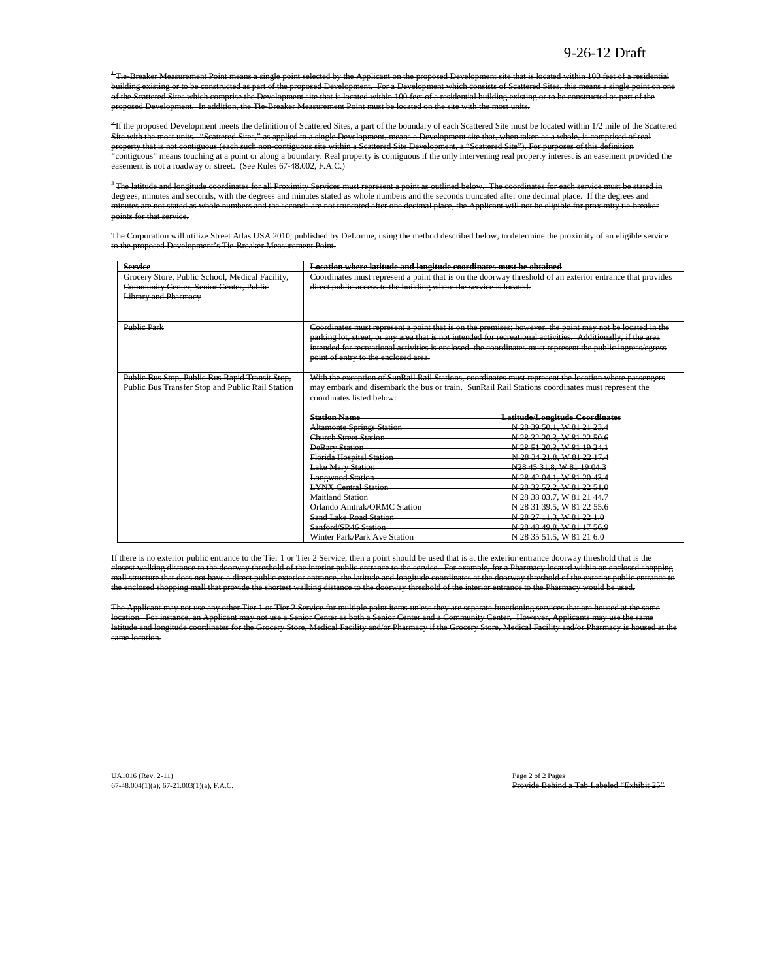<sup>+</sup>Tie-Breaker Measurement Point means a single point selected by the Applicant on the proposed Development site that is located within 100 feet of a residential building existing or to be constructed as part of the proposed Development. For a Development which consists of Scattered Sites, this means a single point on one of the Scattered Sites which comprise the Development site that is located within 100 feet of a residential building existing or to be constructed as part of the proposed Development. In addition, the Tie-Breaker Measurement Point must be located on the site with the most units.

<sup>2</sup>If the proposed Development meets the definition of Scattered Sites, a part of the boundary of each Scattered Site must be located within 1/2 mile of the Scattered Site with the most units. "Scattered Sites," as applied to a single Development, means a Development site that, when taken as a whole, is comprised of real property that is not contiguous (each such non-contiguous site within a Scattered Site Development, a "Scattered Site"). For purposes of this definition "contiguous" means touching at a point or along a boundary. Real property is contiguous if the only intervening real property interest is an easement provided the ent is not a roadway or street. (See Rules 67-48.002, F.A.C.)

 $^3$ The latitude and longitude coordinates for all Proximity Services must represent a point as outlined below. The coordinates for each service must be stated in degrees, minutes and seconds, with the degrees and minutes stated as whole numbers and the seconds truncated after one decimal place. If the degrees and minutes are not stated as whole numbers and the seconds are not truncated after one decimal place, the Applicant will not be eligible for proximity tie-breaker points for that service.

The Corporation will utilize Street Atlas USA 2010, published by DeLorme, using the method described below, to determine the proximity of an eligible service to the proposed Development's Tie-Breaker Measurement Point.

| <b>Service</b>                                                                             | Location where latitude and longitude coordinates must be obtained |                                                                                                              |
|--------------------------------------------------------------------------------------------|--------------------------------------------------------------------|--------------------------------------------------------------------------------------------------------------|
| Grocery Store, Public School, Medical Facility,<br>Community Center, Senior Center, Public | direct public access to the building where the service is located. | Coordinates must represent a point that is on the doorway threshold of an exterior entrance that provides    |
| <b>Library and Pharmacy</b>                                                                |                                                                    |                                                                                                              |
|                                                                                            |                                                                    |                                                                                                              |
|                                                                                            |                                                                    |                                                                                                              |
| <b>Public Park</b>                                                                         |                                                                    | Coordinates must represent a point that is on the premises; however, the point may not be located in the     |
|                                                                                            |                                                                    | parking lot, street, or any area that is not intended for recreational activities. Additionally, if the area |
|                                                                                            |                                                                    | intended for recreational activities is enclosed, the coordinates must represent the public ingress/egress   |
|                                                                                            | point of entry to the enclosed area.                               |                                                                                                              |
|                                                                                            |                                                                    |                                                                                                              |
| Public Bus Stop, Public Bus Rapid Transit Stop,                                            |                                                                    | With the exception of SunRail Rail Stations, coordinates must represent the location where passengers        |
| Public Bus Transfer Stop and Public Rail Station                                           |                                                                    | may embark and disembark the bus or train. SunRail Rail Stations coordinates must represent the              |
|                                                                                            | coordinates listed below:                                          |                                                                                                              |
|                                                                                            | <b>Station Name</b>                                                | <b>Latitude/Longitude Coordinates</b>                                                                        |
|                                                                                            | <b>Altamonte Springs Station</b>                                   | N 28 39 50.1, W 81 21 23.4                                                                                   |
|                                                                                            | <b>Church Street Station</b>                                       | N 28 32 20.3, W 81 22 50.6                                                                                   |
|                                                                                            | <b>DeBary Station</b>                                              | N 28 51 20.3, W 81 19 24.1                                                                                   |
|                                                                                            | Florida Hospital Station                                           | N 28 34 21 8, W 81 22 17.4                                                                                   |
|                                                                                            | <b>Lake Mary Station</b>                                           | N28 45 31.8, W 81 19 04.3                                                                                    |
|                                                                                            | <b>Longwood Station</b>                                            | N 28 42 04.1, W 81 20 43.4                                                                                   |
|                                                                                            | <b>LYNX Central Station</b>                                        | N 28 32 52.2, W 81 22 51.0                                                                                   |
|                                                                                            | <b>Maitland Station</b>                                            | N 28 38 03.7, W 81 21 44.7                                                                                   |
|                                                                                            | Orlando Amtrak/ORMC Station                                        | N 28 31 39.5, W 81 22 55.6                                                                                   |
|                                                                                            | Sand Lake Road Station                                             | N 28 27 11.3, W 81 22 1.0                                                                                    |
|                                                                                            | Sanford/SR46 Station                                               | N 28 48 49.8, W 81 17 56.9                                                                                   |
|                                                                                            | Winter Park/Park Ave Station                                       | N 28 35 51.5, W 81 21 6.0                                                                                    |

If there is no exterior public entrance to the Tier 1 or Tier 2 Service, then a point should be used that is at the exterior entrance doorway threshold that is the closest walking distance to the doorway threshold of the interior public entrance to the service. For example, for a Pharmacy located within an enclosed shopping mall structure that does not have a direct public exterior entrance, the latitude and longitude coordinates at the doorway threshold of the exterior public entrance the enclosed shopping mall that provide the shortest walking distance to the doorway threshold of the interior entrance to the Pharmacy would be used.

The Applicant may not use any other Tier 1 or Tier 2 Service for multiple point items unless they are separate functioning services that are housed at the same location. For instance, an Applicant may not use a Senior Center as both a Senior Center and a Community Center. However, Applicants may use the same latitude and longitude coordinates for the Grocery Store, Medical Facility and/or Pharmacy if the Grocery Store, Medical Facility and/or Pharmacy is housed at the same location.

UA1016 (Rev. 2-11)<br>67-48.004(1)(a); 67-21.003(1)(a), F.A.C. Provide Behind a Tab Labeled "Exhibit 25"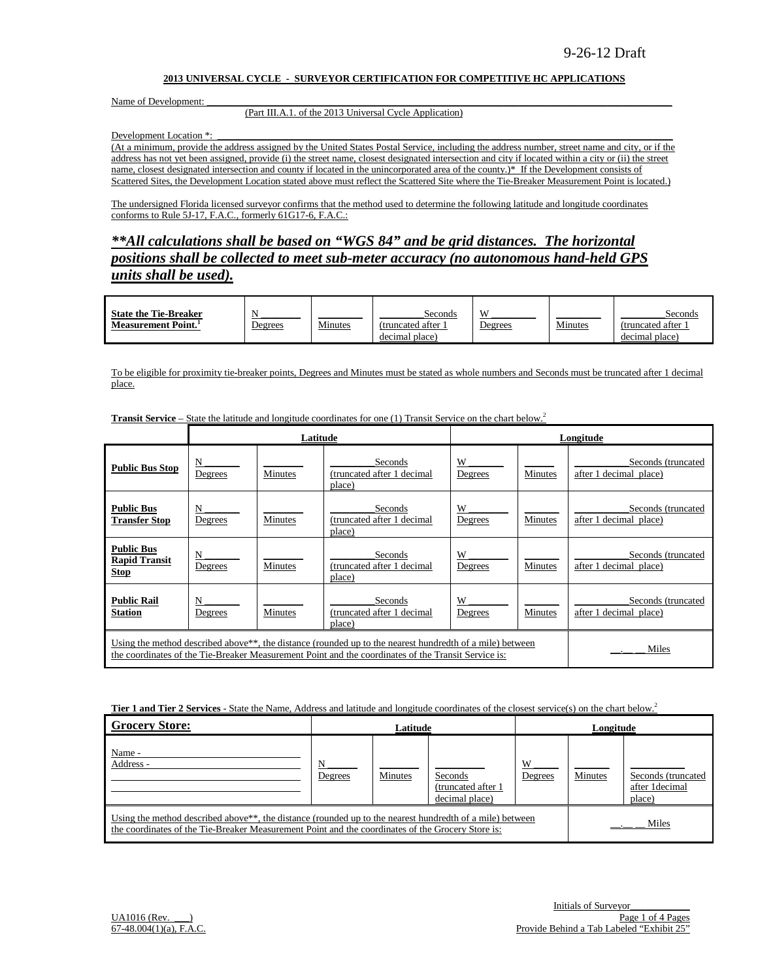#### **2013 UNIVERSAL CYCLE - SURVEYOR CERTIFICATION FOR COMPETITIVE HC APPLICATIONS**

Name of Development:

#### (Part III.A.1. of the 2013 Universal Cycle Application)

Development Location \*:

(At a minimum, provide the address assigned by the United States Postal Service, including the address number, street name and city, or if the address has not yet been assigned, provide (i) the street name, closest designated intersection and city if located within a city or (ii) the street name, closest designated intersection and county if located in the unincorporated area of the county.)\* If the Development consists of Scattered Sites, the Development Location stated above must reflect the Scattered Site where the Tie-Breaker Measurement Point is located.)

The undersigned Florida licensed surveyor confirms that the method used to determine the following latitude and longitude coordinates conforms to Rule 5J-17, F.A.C., formerly 61G17-6, F.A.C.:

*\*\*All calculations shall be based on "WGS 84" and be grid distances. The horizontal positions shall be collected to meet sub-meter accuracy (no autonomous hand-held GPS units shall be used).*

| <b>State the Tie-Breaker</b>    |         |         | Seconds           | X              |         | Seconds           |
|---------------------------------|---------|---------|-------------------|----------------|---------|-------------------|
| Measurement Point. <sup>1</sup> | Degrees | Minutes | (truncated after) | <u>Jegrees</u> | Minutes | (truncated after) |
|                                 |         |         | decimal place)    |                |         | decimal place)    |

To be eligible for proximity tie-breaker points, Degrees and Minutes must be stated as whole numbers and Seconds must be truncated after 1 decimal place.

|                                                                                                                                                                                                                                       |              | Latitude |                                                 | Longitude    |                |                                              |  |
|---------------------------------------------------------------------------------------------------------------------------------------------------------------------------------------------------------------------------------------|--------------|----------|-------------------------------------------------|--------------|----------------|----------------------------------------------|--|
| <b>Public Bus Stop</b>                                                                                                                                                                                                                | N<br>Degrees | Minutes  | Seconds<br>(truncated after 1 decimal<br>place) | W<br>Degrees | Minutes        | Seconds (truncated<br>after 1 decimal place) |  |
| <b>Public Bus</b><br><b>Transfer Stop</b>                                                                                                                                                                                             | N<br>Degrees | Minutes  | Seconds<br>(truncated after 1 decimal<br>place) | W<br>Degrees | <b>Minutes</b> | Seconds (truncated<br>after 1 decimal place) |  |
| <b>Public Bus</b><br><b>Rapid Transit</b><br><b>Stop</b>                                                                                                                                                                              | N<br>Degrees | Minutes  | Seconds<br>(truncated after 1 decimal<br>place) | W<br>Degrees | Minutes        | Seconds (truncated<br>after 1 decimal place) |  |
| <b>Public Rail</b><br><b>Station</b>                                                                                                                                                                                                  | N<br>Degrees | Minutes  | Seconds<br>(truncated after 1 decimal<br>place) | W<br>Degrees | Minutes        | Seconds (truncated<br>after 1 decimal place) |  |
| Using the method described above <sup>**</sup> , the distance (rounded up to the nearest hundredth of a mile) between<br>Miles<br>the coordinates of the Tie-Breaker Measurement Point and the coordinates of the Transit Service is: |              |          |                                                 |              |                |                                              |  |

**Transit Service –** State the latitude and longitude coordinates for one (1) Transit Service on the chart below.<sup>2</sup>

**Tier 1 and Tier 2 Services** - State the Name, Address and latitude and longitude coordinates of the closest service(s) on the chart below.<sup>2</sup>

| <b>Grocery Store:</b>                                                                                                                                                                                                      | Latitude     |         |                                                  |              | Longitude |                                                |  |
|----------------------------------------------------------------------------------------------------------------------------------------------------------------------------------------------------------------------------|--------------|---------|--------------------------------------------------|--------------|-----------|------------------------------------------------|--|
| Name -<br>Address -                                                                                                                                                                                                        | N<br>Degrees | Minutes | Seconds<br>(truncated after 1)<br>decimal place) | W<br>Degrees | Minutes   | Seconds (truncated<br>after 1decimal<br>place) |  |
| Using the method described above <sup>**</sup> , the distance (rounded up to the nearest hundredth of a mile) between<br>the coordinates of the Tie-Breaker Measurement Point and the coordinates of the Grocery Store is: |              |         |                                                  | Miles        |           |                                                |  |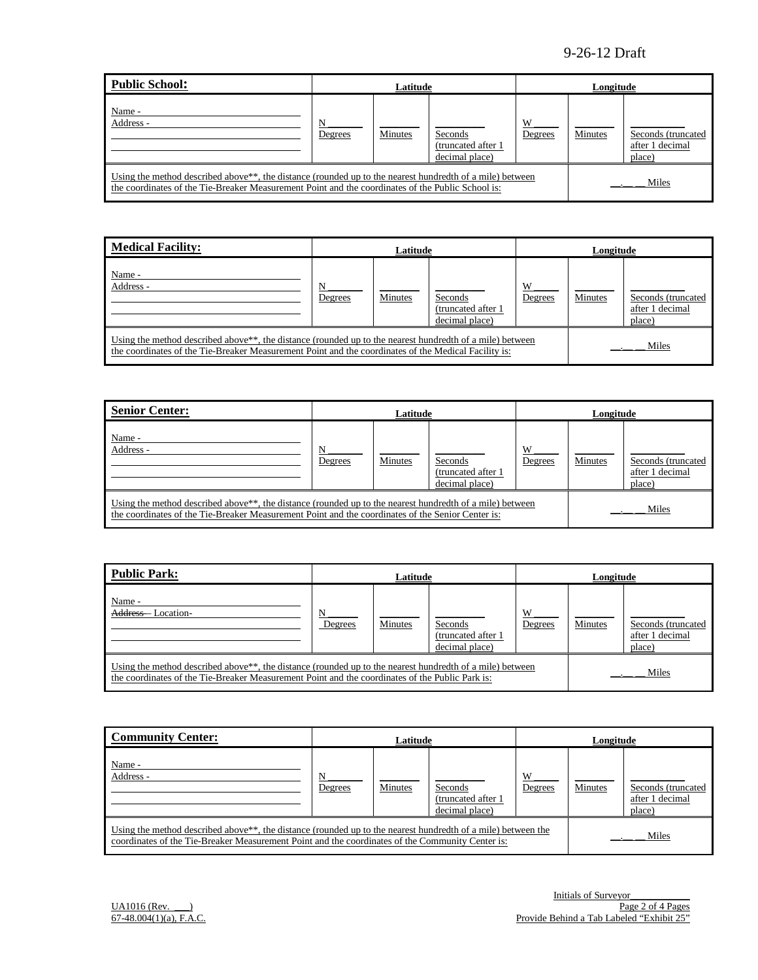| Public School:                                                                                                                                                                                                             | Latitude     |         |                                                 |              | Longitude |                                                 |  |
|----------------------------------------------------------------------------------------------------------------------------------------------------------------------------------------------------------------------------|--------------|---------|-------------------------------------------------|--------------|-----------|-------------------------------------------------|--|
| Name -<br>Address -                                                                                                                                                                                                        | N<br>Degrees | Minutes | Seconds<br>(truncated after 1<br>decimal place) | W<br>Degrees | Minutes   | Seconds (truncated<br>after 1 decimal<br>place) |  |
| Using the method described above <sup>**</sup> , the distance (rounded up to the nearest hundredth of a mile) between<br>the coordinates of the Tie-Breaker Measurement Point and the coordinates of the Public School is: |              |         |                                                 | Miles        |           |                                                 |  |

| <b>Medical Facility:</b>                                                                                                                                                                                                      | Latitude     |         |                                                  | Longitude    |         |                                                 |
|-------------------------------------------------------------------------------------------------------------------------------------------------------------------------------------------------------------------------------|--------------|---------|--------------------------------------------------|--------------|---------|-------------------------------------------------|
| Name -<br>Address -                                                                                                                                                                                                           | N<br>Degrees | Minutes | Seconds<br>(truncated after 1)<br>decimal place) | W<br>Degrees | Minutes | Seconds (truncated<br>after 1 decimal<br>place) |
| Using the method described above <sup>**</sup> , the distance (rounded up to the nearest hundredth of a mile) between<br>the coordinates of the Tie-Breaker Measurement Point and the coordinates of the Medical Facility is: |              |         |                                                  |              |         | Miles                                           |

| <b>Senior Center:</b>                                                                                                                                                                                                      | Latitude     |         |                                                 |              | Longitude |                                                 |  |
|----------------------------------------------------------------------------------------------------------------------------------------------------------------------------------------------------------------------------|--------------|---------|-------------------------------------------------|--------------|-----------|-------------------------------------------------|--|
| Name -<br>Address -                                                                                                                                                                                                        | N<br>Degrees | Minutes | Seconds<br>(truncated after 1<br>decimal place) | W<br>Degrees | Minutes   | Seconds (truncated<br>after 1 decimal<br>place) |  |
| Using the method described above <sup>**</sup> , the distance (rounded up to the nearest hundredth of a mile) between<br>the coordinates of the Tie-Breaker Measurement Point and the coordinates of the Senior Center is: |              |         | Miles                                           |              |           |                                                 |  |

| Public Park:                                                                                                                                                                                                             | Latitude     |         |                                                 |              | Longitude |                                                 |  |
|--------------------------------------------------------------------------------------------------------------------------------------------------------------------------------------------------------------------------|--------------|---------|-------------------------------------------------|--------------|-----------|-------------------------------------------------|--|
| Name -<br>Address-<br>Location-                                                                                                                                                                                          | N<br>Degrees | Minutes | Seconds<br>(truncated after 1<br>decimal place) | W<br>Degrees | Minutes   | Seconds (truncated<br>after 1 decimal<br>place) |  |
| Using the method described above <sup>**</sup> , the distance (rounded up to the nearest hundredth of a mile) between<br>the coordinates of the Tie-Breaker Measurement Point and the coordinates of the Public Park is: |              |         |                                                 |              | Miles     |                                                 |  |

| <b>Community Center:</b>                                                                                                                                                                                                      | Latitude     |         |                                                  | Longitude    |         |                                                  |
|-------------------------------------------------------------------------------------------------------------------------------------------------------------------------------------------------------------------------------|--------------|---------|--------------------------------------------------|--------------|---------|--------------------------------------------------|
| Name -<br>Address -                                                                                                                                                                                                           | N<br>Degrees | Minutes | Seconds<br>(truncated after 1)<br>decimal place) | W<br>Degrees | Minutes | Seconds (truncated)<br>after 1 decimal<br>place) |
| Using the method described above <sup>**</sup> , the distance (rounded up to the nearest hundredth of a mile) between the<br>coordinates of the Tie-Breaker Measurement Point and the coordinates of the Community Center is: |              |         |                                                  |              |         | Miles                                            |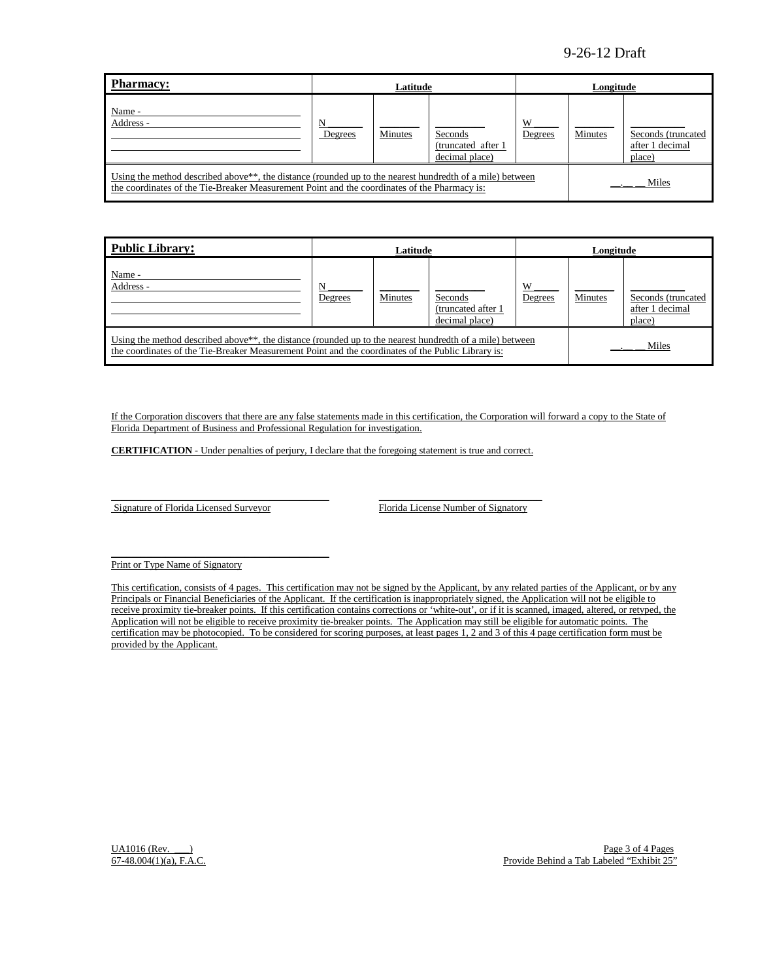| Pharmacy:                                                                                                                                                                                                                      |              | Latitude |                                                  |              | Longitude |                                                  |
|--------------------------------------------------------------------------------------------------------------------------------------------------------------------------------------------------------------------------------|--------------|----------|--------------------------------------------------|--------------|-----------|--------------------------------------------------|
| Name -<br>Address -                                                                                                                                                                                                            | N<br>Degrees | Minutes  | Seconds<br>(truncated after 1)<br>decimal place) | W<br>Degrees | Minutes   | Seconds (truncated)<br>after 1 decimal<br>place) |
| Using the method described above <sup>**</sup> , the distance (rounded up to the nearest hundredth of a mile) between<br>Miles<br>the coordinates of the Tie-Breaker Measurement Point and the coordinates of the Pharmacy is: |              |          |                                                  |              |           |                                                  |

| <b>Public Library:</b>                                                                                                                                                                                                               |              | Latitude       |                                                  |              | Longitude |                                                 |
|--------------------------------------------------------------------------------------------------------------------------------------------------------------------------------------------------------------------------------------|--------------|----------------|--------------------------------------------------|--------------|-----------|-------------------------------------------------|
| Name -<br>Address -                                                                                                                                                                                                                  | N<br>Degrees | <b>Minutes</b> | Seconds<br>(truncated after 1)<br>decimal place) | W<br>Degrees | Minutes   | Seconds (truncated<br>after 1 decimal<br>place) |
| Using the method described above <sup>**</sup> , the distance (rounded up to the nearest hundredth of a mile) between<br>Miles<br>the coordinates of the Tie-Breaker Measurement Point and the coordinates of the Public Library is: |              |                |                                                  |              |           |                                                 |

If the Corporation discovers that there are any false statements made in this certification, the Corporation will forward a copy to the State of Florida Department of Business and Professional Regulation for investigation.

**CERTIFICATION** - Under penalties of perjury, I declare that the foregoing statement is true and correct.

Signature of Florida Licensed Surveyor Florida License Number of Signatory

 $\mathcal{L} = \{ \mathcal{L}^{\mathcal{L}} \mathcal{L}^{\mathcal{L}} \mathcal{L}^{\mathcal{L}} \mathcal{L}^{\mathcal{L}} \mathcal{L}^{\mathcal{L}} \mathcal{L}^{\mathcal{L}} \mathcal{L}^{\mathcal{L}} \mathcal{L}^{\mathcal{L}} \mathcal{L}^{\mathcal{L}} \mathcal{L}^{\mathcal{L}} \mathcal{L}^{\mathcal{L}} \mathcal{L}^{\mathcal{L}} \mathcal{L}^{\mathcal{L}} \mathcal{L}^{\mathcal{L}} \mathcal{L}^{\mathcal{L}} \mathcal{L}^{\mathcal{L}} \mathcal$ 

\_\_\_\_\_\_\_\_\_\_\_\_\_\_\_\_\_\_\_\_\_\_\_\_\_\_\_\_\_\_\_\_\_\_\_\_\_\_\_\_\_\_\_\_ \_\_\_\_\_\_\_\_\_\_\_\_\_\_\_\_\_\_\_\_\_\_\_\_\_\_\_\_\_\_\_\_\_

Print or Type Name of Signatory

This certification, consists of 4 pages. This certification may not be signed by the Applicant, by any related parties of the Applicant, or by any Principals or Financial Beneficiaries of the Applicant. If the certification is inappropriately signed, the Application will not be eligible to receive proximity tie-breaker points. If this certification contains corrections or 'white-out', or if it is scanned, imaged, altered, or retyped, the Application will not be eligible to receive proximity tie-breaker points. The Application may still be eligible for automatic points. The certification may be photocopied. To be considered for scoring purposes, at least pages 1, 2 and 3 of this 4 page certification form must be provided by the Applicant.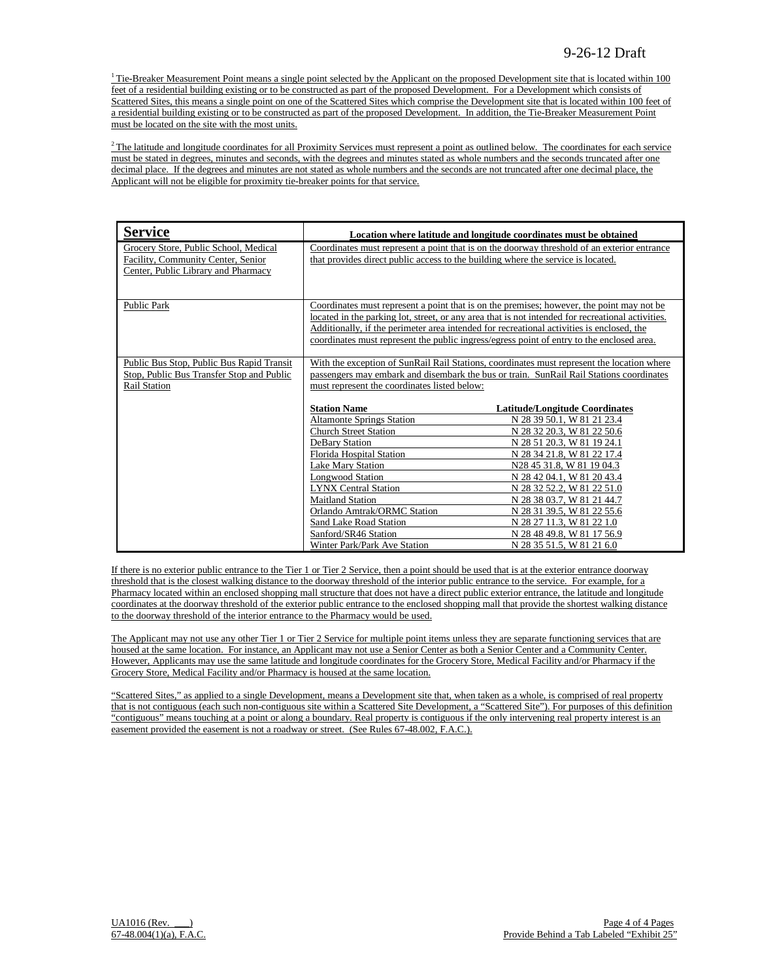$1$ <sup>1</sup> Tie-Breaker Measurement Point means a single point selected by the Applicant on the proposed Development site that is located within 100 feet of a residential building existing or to be constructed as part of the proposed Development. For a Development which consists of Scattered Sites, this means a single point on one of the Scattered Sites which comprise the Development site that is located within 100 feet of a residential building existing or to be constructed as part of the proposed Development. In addition, the Tie-Breaker Measurement Point must be located on the site with the most units.

 $2$ The latitude and longitude coordinates for all Proximity Services must represent a point as outlined below. The coordinates for each service must be stated in degrees, minutes and seconds, with the degrees and minutes stated as whole numbers and the seconds truncated after one decimal place. If the degrees and minutes are not stated as whole numbers and the seconds are not truncated after one decimal place, the Applicant will not be eligible for proximity tie-breaker points for that service.

| <b>Service</b>                                                                                                     |                                                                                                                                                                                                                                       | Location where latitude and longitude coordinates must be obtained                                                                                                                             |  |
|--------------------------------------------------------------------------------------------------------------------|---------------------------------------------------------------------------------------------------------------------------------------------------------------------------------------------------------------------------------------|------------------------------------------------------------------------------------------------------------------------------------------------------------------------------------------------|--|
| Grocery Store, Public School, Medical<br>Facility, Community Center, Senior<br>Center, Public Library and Pharmacy | that provides direct public access to the building where the service is located.                                                                                                                                                      | Coordinates must represent a point that is on the doorway threshold of an exterior entrance                                                                                                    |  |
| <b>Public Park</b>                                                                                                 | Additionally, if the perimeter area intended for recreational activities is enclosed, the<br>coordinates must represent the public ingress/egress point of entry to the enclosed area.                                                | Coordinates must represent a point that is on the premises; however, the point may not be<br>located in the parking lot, street, or any area that is not intended for recreational activities. |  |
| Public Bus Stop, Public Bus Rapid Transit<br>Stop, Public Bus Transfer Stop and Public<br><b>Rail Station</b>      | With the exception of SunRail Rail Stations, coordinates must represent the location where<br>passengers may embark and disembark the bus or train. SunRail Rail Stations coordinates<br>must represent the coordinates listed below: |                                                                                                                                                                                                |  |
|                                                                                                                    | <b>Station Name</b>                                                                                                                                                                                                                   | <b>Latitude/Longitude Coordinates</b>                                                                                                                                                          |  |
|                                                                                                                    | <b>Altamonte Springs Station</b>                                                                                                                                                                                                      | N 28 39 50.1, W 81 21 23.4                                                                                                                                                                     |  |
|                                                                                                                    | <b>Church Street Station</b>                                                                                                                                                                                                          | N 28 32 20.3, W 81 22 50.6                                                                                                                                                                     |  |
|                                                                                                                    | DeBary Station                                                                                                                                                                                                                        | N 28 51 20.3, W 81 19 24.1                                                                                                                                                                     |  |
|                                                                                                                    | Florida Hospital Station                                                                                                                                                                                                              | N 28 34 21.8, W 81 22 17.4                                                                                                                                                                     |  |
|                                                                                                                    | <b>Lake Mary Station</b>                                                                                                                                                                                                              | N28 45 31.8, W 81 19 04.3                                                                                                                                                                      |  |
|                                                                                                                    | <b>Longwood Station</b>                                                                                                                                                                                                               | N 28 42 04.1, W 81 20 43.4                                                                                                                                                                     |  |
|                                                                                                                    | <b>LYNX Central Station</b>                                                                                                                                                                                                           | N 28 32 52.2, W 81 22 51.0                                                                                                                                                                     |  |
|                                                                                                                    | <b>Maitland Station</b>                                                                                                                                                                                                               | N 28 38 03.7, W 81 21 44.7                                                                                                                                                                     |  |
|                                                                                                                    | Orlando Amtrak/ORMC Station                                                                                                                                                                                                           | N 28 31 39.5, W 81 22 55.6                                                                                                                                                                     |  |
|                                                                                                                    | Sand Lake Road Station                                                                                                                                                                                                                | N 28 27 11.3, W 81 22 1.0                                                                                                                                                                      |  |
|                                                                                                                    | Sanford/SR46 Station                                                                                                                                                                                                                  | N 28 48 49.8, W 81 17 56.9                                                                                                                                                                     |  |
|                                                                                                                    | Winter Park/Park Ave Station                                                                                                                                                                                                          | N 28 35 51.5, W 81 21 6.0                                                                                                                                                                      |  |

If there is no exterior public entrance to the Tier 1 or Tier 2 Service, then a point should be used that is at the exterior entrance doorway threshold that is the closest walking distance to the doorway threshold of the interior public entrance to the service. For example, for a Pharmacy located within an enclosed shopping mall structure that does not have a direct public exterior entrance, the latitude and longitude coordinates at the doorway threshold of the exterior public entrance to the enclosed shopping mall that provide the shortest walking distance to the doorway threshold of the interior entrance to the Pharmacy would be used.

The Applicant may not use any other Tier 1 or Tier 2 Service for multiple point items unless they are separate functioning services that are housed at the same location. For instance, an Applicant may not use a Senior Center as both a Senior Center and a Community Center. However, Applicants may use the same latitude and longitude coordinates for the Grocery Store, Medical Facility and/or Pharmacy if the Grocery Store, Medical Facility and/or Pharmacy is housed at the same location.

"Scattered Sites," as applied to a single Development, means a Development site that, when taken as a whole, is comprised of real property that is not contiguous (each such non-contiguous site within a Scattered Site Development, a "Scattered Site"). For purposes of this definition "contiguous" means touching at a point or along a boundary. Real property is contiguous if the only intervening real property interest is an easement provided the easement is not a roadway or street. (See Rules 67-48.002, F.A.C.).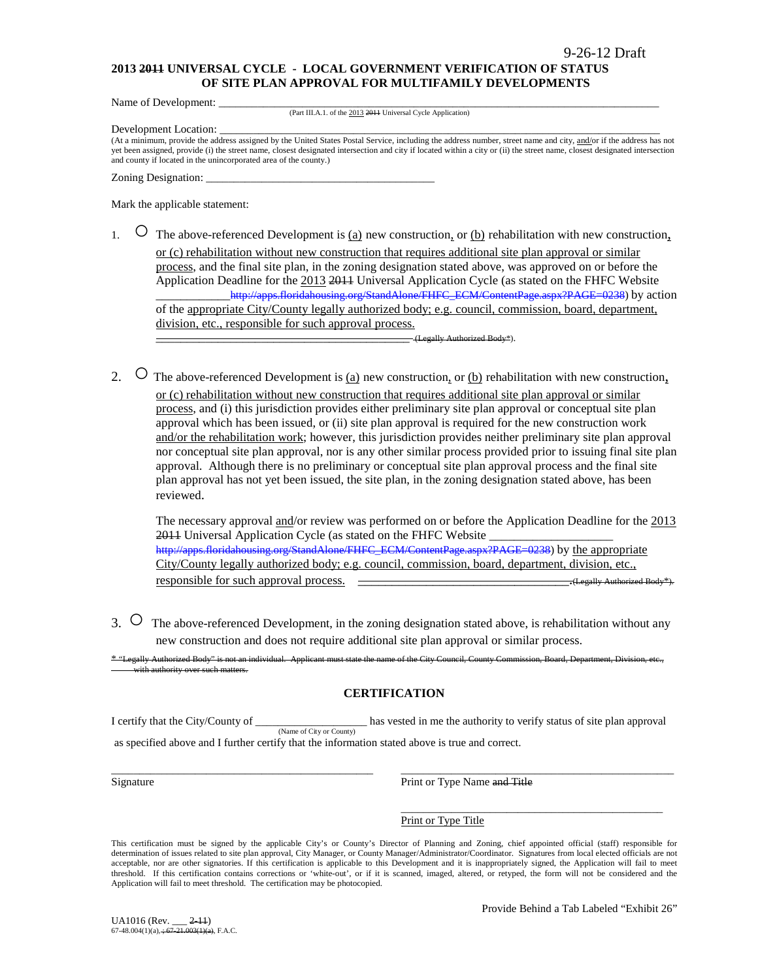#### **2013 2011 UNIVERSAL CYCLE - LOCAL GOVERNMENT VERIFICATION OF STATUS OF SITE PLAN APPROVAL FOR MULTIFAMILY DEVELOPMENTS**

Name of Development:

(Part III.A.1. of the 2013 2011 Universal Cycle Application)

Development Location:

(At a minimum, provide the address assigned by the United States Postal Service, including the address number, street name and city, and/or if the address has not yet been assigned, provide (i) the street name, closest designated intersection and city if located within a city or (ii) the street name, closest designated intersection and county if located in the unincorporated area of the county.)

Zoning Designation:

Mark the applicable statement:

1.  $\circ$  The above-referenced Development is <u>(a)</u> new construction, or <u>(b)</u> rehabilitation with new construction, or (c) rehabilitation without new construction that requires additional site plan approval or similar process, and the final site plan, in the zoning designation stated above, was approved on or before the Application Deadline for the 2013 2011 Universal Application Cycle (as stated on the FHFC Website \_\_\_\_\_\_\_\_\_\_\_[\\_http://apps.floridahousing.org/StandAlone/FHFC\\_ECM/ContentPage.aspx?PAGE=0238\)](http://apps.floridahousing.org/StandAlone/FHFC_ECM/ContentPage.aspx?PAGE=0238) by action of the appropriate City/County legally authorized body; e.g. council, commission, board, department, division, etc., responsible for such approval process.

\_\_\_\_\_\_\_\_\_\_\_\_\_\_\_\_\_\_\_\_\_\_\_\_\_\_\_\_\_\_\_\_\_\_\_\_\_\_\_\_\_ (Legally Authorized Body\*).

2.  $\circ$  The above-referenced Development is (a) new construction, or (b) rehabilitation with new construction, or (c) rehabilitation without new construction that requires additional site plan approval or similar process, and (i) this jurisdiction provides either preliminary site plan approval or conceptual site plan approval which has been issued, or (ii) site plan approval is required for the new construction work and/or the rehabilitation work; however, this jurisdiction provides neither preliminary site plan approval nor conceptual site plan approval, nor is any other similar process provided prior to issuing final site plan approval. Although there is no preliminary or conceptual site plan approval process and the final site plan approval has not yet been issued, the site plan, in the zoning designation stated above, has been reviewed.

The necessary approval and/or review was performed on or before the Application Deadline for the 2013 2011 Universal Application Cycle (as stated on the FHFC Website [http://apps.floridahousing.org/StandAlone/FHFC\\_ECM/ContentPage.aspx?PAGE=0238\)](http://apps.floridahousing.org/StandAlone/FHFC_ECM/ContentPage.aspx?PAGE=0238) by the appropriate City/County legally authorized body; e.g. council, commission, board, department, division, etc., responsible for such approval process. \_\_\_\_\_\_\_\_\_\_\_\_\_\_\_\_\_\_\_\_\_\_\_\_\_\_\_\_\_\_\_.(Legally Authorized Body\*).

3. ○ The above-referenced Development, in the zoning designation stated above, is rehabilitation without any new construction and does not require additional site plan approval or similar process.

\* "Legally Authorized Body" is not an individual. Applicant must state the name of the City Council, County Commission, Board, Department, Division, etc., ith authority over such matters.

### **CERTIFICATION**

I certify that the City/County of \_\_\_\_\_\_\_\_\_\_\_\_\_\_\_\_\_\_\_\_ has vested in me the authority to verify status of site plan approval (Name of City or County) as specified above and I further certify that the information stated above is true and correct.

\_\_\_\_\_\_\_\_\_\_\_\_\_\_\_\_\_\_\_\_\_\_\_\_\_\_\_\_\_\_\_\_\_\_\_\_\_\_\_\_\_\_\_\_\_\_\_ \_\_\_\_\_\_\_\_\_\_\_\_\_\_\_\_\_\_\_\_\_\_\_\_\_\_\_\_\_\_\_\_\_\_\_\_\_\_\_\_\_\_\_\_\_\_\_\_\_ Signature **Print or Type Name and Title** 

Print or Type Title

This certification must be signed by the applicable City's or County's Director of Planning and Zoning, chief appointed official (staff) responsible for determination of issues related to site plan approval, City Manager, or County Manager/Administrator/Coordinator. Signatures from local elected officials are not acceptable, nor are other signatories. If this certification is applicable to this Development and it is inappropriately signed, the Application will fail to meet threshold. If this certification contains corrections or 'white-out', or if it is scanned, imaged, altered, or retyped, the form will not be considered and the Application will fail to meet threshold. The certification may be photocopied.

\_\_\_\_\_\_\_\_\_\_\_\_\_\_\_\_\_\_\_\_\_\_\_\_\_\_\_\_\_\_\_\_\_\_\_\_\_\_\_\_\_\_\_\_\_\_\_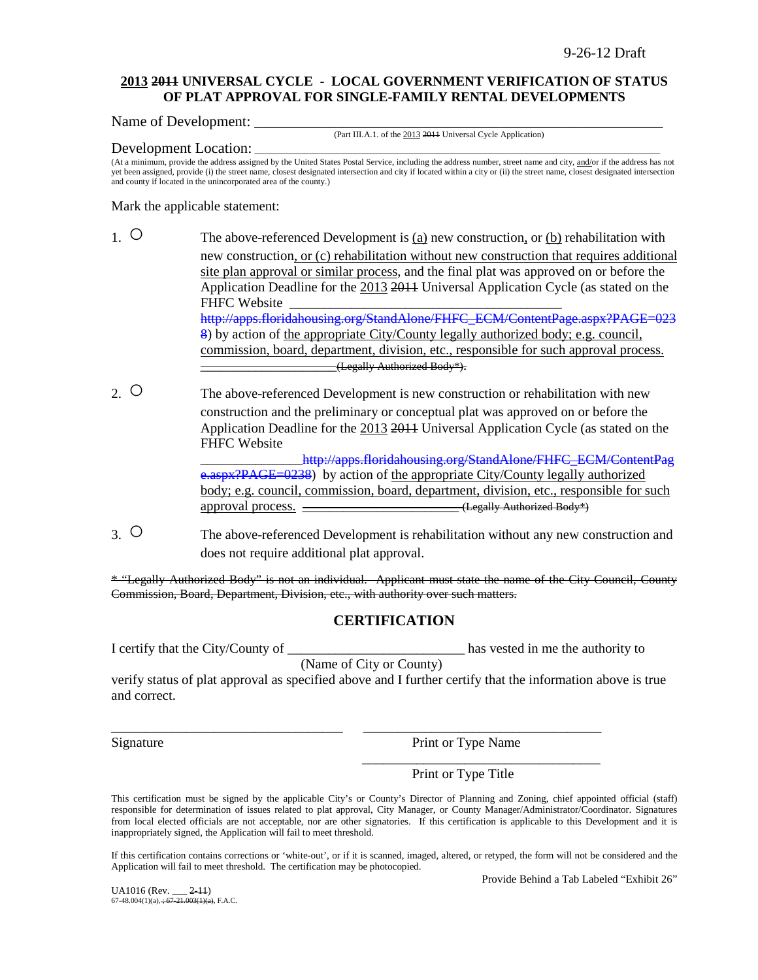### **2013 2011 UNIVERSAL CYCLE - LOCAL GOVERNMENT VERIFICATION OF STATUS OF PLAT APPROVAL FOR SINGLE-FAMILY RENTAL DEVELOPMENTS**

Name of Development:

(Part III.A.1. of the 2013 2011 Universal Cycle Application)

#### Development Location:

(At a minimum, provide the address assigned by the United States Postal Service, including the address number, street name and city, and/or if the address has not yet been assigned, provide (i) the street name, closest designated intersection and city if located within a city or (ii) the street name, closest designated intersection and county if located in the unincorporated area of the county.)

Mark the applicable statement:

- 1. The above-referenced Development is (a) new construction, or (b) rehabilitation with new construction, or (c) rehabilitation without new construction that requires additional site plan approval or similar process, and the final plat was approved on or before the Application Deadline for the 2013 2011 Universal Application Cycle (as stated on the FHFC Website [http://apps.floridahousing.org/StandAlone/FHFC\\_ECM/ContentPage.aspx?PAGE=023](http://apps.floridahousing.org/StandAlone/FHFC_ECM/ContentPage.aspx?PAGE=0238) [8\)](http://apps.floridahousing.org/StandAlone/FHFC_ECM/ContentPage.aspx?PAGE=0238) by action of the appropriate City/County legally authorized body; e.g. council, commission, board, department, division, etc., responsible for such approval process. \_\_\_\_\_\_\_\_\_\_\_\_\_\_\_\_\_\_\_\_(Legally Authorized Body\*).
- 2. O The above-referenced Development is new construction or rehabilitation with new construction and the preliminary or conceptual plat was approved on or before the Application Deadline for the 2013 2011 Universal Application Cycle (as stated on the FHFC Website http://apps.floridahousing.org/StandAlone/FHFC\_ECM/ContentPag

[e.aspx?PAGE=0238\)](http://apps.floridahousing.org/StandAlone/FHFC_ECM/ContentPage.aspx?PAGE=0238) by action of the appropriate City/County legally authorized body; e.g. council, commission, board, department, division, etc., responsible for such approval process.  $\overline{\qquad \qquad }$  (Legally Authorized Body\*)

3. ○ The above-referenced Development is rehabilitation without any new construction and does not require additional plat approval.

\* "Legally Authorized Body" is not an individual. Applicant must state the name of the City Council, County Commission, Board, Department, Division, etc., with authority over such matters.

## **CERTIFICATION**

I certify that the City/County of \_\_\_\_\_\_\_\_\_\_\_\_\_\_\_\_\_\_\_\_\_\_\_\_\_\_ has vested in me the authority to

(Name of City or County)

\_\_\_\_\_\_\_\_\_\_\_\_\_\_\_\_\_\_\_\_\_\_\_\_\_\_\_\_\_\_\_\_\_\_ \_\_\_\_\_\_\_\_\_\_\_\_\_\_\_\_\_\_\_\_\_\_\_\_\_\_\_\_\_\_\_\_\_\_\_

verify status of plat approval as specified above and I further certify that the information above is true and correct.

Signature Print or Type Name

\_\_\_\_\_\_\_\_\_\_\_\_\_\_\_\_\_\_\_\_\_\_\_\_\_\_\_\_\_\_\_\_\_\_\_

Print or Type Title

This certification must be signed by the applicable City's or County's Director of Planning and Zoning, chief appointed official (staff) responsible for determination of issues related to plat approval, City Manager, or County Manager/Administrator/Coordinator. Signatures from local elected officials are not acceptable, nor are other signatories. If this certification is applicable to this Development and it is inappropriately signed, the Application will fail to meet threshold.

If this certification contains corrections or 'white-out', or if it is scanned, imaged, altered, or retyped, the form will not be considered and the Application will fail to meet threshold. The certification may be photocopied.

Provide Behind a Tab Labeled "Exhibit 26"

UA1016 (Rev. \_\_\_ 2-11)  $67-48.004(1)(a)$ ,  $\div 67-21.003(1)(a)$ , F.A.C.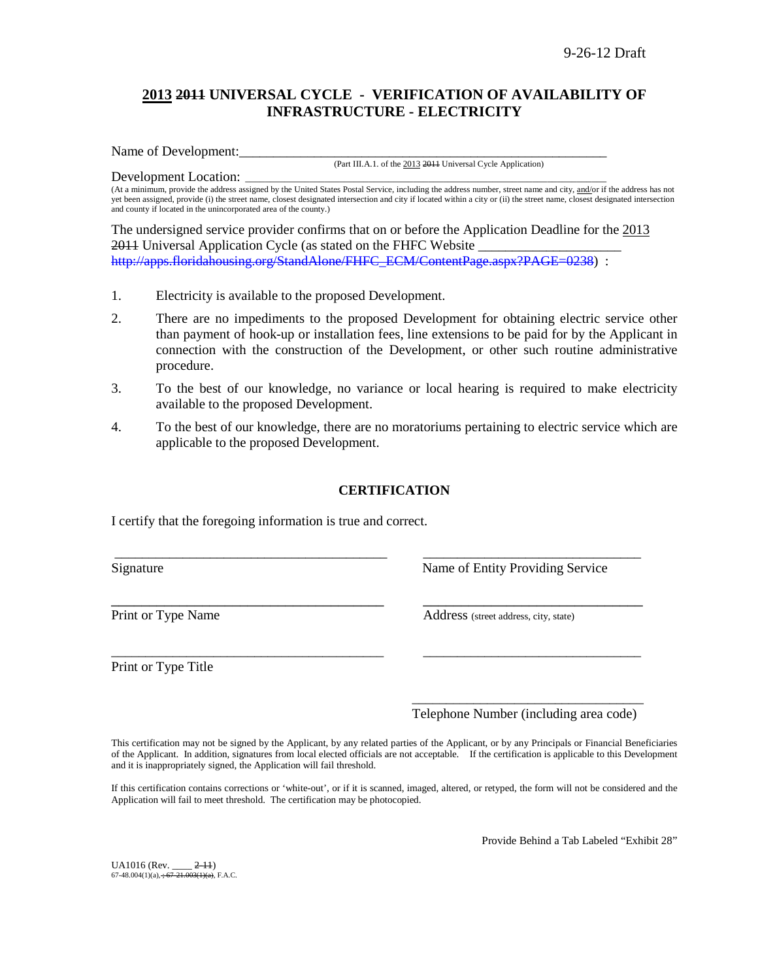# **2013 2011 UNIVERSAL CYCLE - VERIFICATION OF AVAILABILITY OF INFRASTRUCTURE - ELECTRICITY**

Name of Development:

(Part III.A.1. of the 2013 2011 Universal Cycle Application)

Development Location: (At a minimum, provide the address assigned by the United States Postal Service, including the address number, street name and city, and/or if the address has not yet been assigned, provide (i) the street name, closest designated intersection and city if located within a city or (ii) the street name, closest designated intersection and county if located in the unincorporated area of the county.)

The undersigned service provider confirms that on or before the Application Deadline for the 2013 2011 Universal Application Cycle (as stated on the FHFC Website \_ [http://apps.floridahousing.org/StandAlone/FHFC\\_ECM/ContentPage.aspx?PAGE=0238\)](http://apps.floridahousing.org/StandAlone/FHFC_ECM/ContentPage.aspx?PAGE=0238) :

- 1. Electricity is available to the proposed Development.
- 2. There are no impediments to the proposed Development for obtaining electric service other than payment of hook-up or installation fees, line extensions to be paid for by the Applicant in connection with the construction of the Development, or other such routine administrative procedure.
- 3. To the best of our knowledge, no variance or local hearing is required to make electricity available to the proposed Development.
- 4. To the best of our knowledge, there are no moratoriums pertaining to electric service which are applicable to the proposed Development.

### **CERTIFICATION**

\_\_\_\_\_\_\_\_\_\_\_\_\_\_\_\_\_\_\_\_\_\_\_\_\_\_\_\_\_\_\_\_\_\_\_\_\_\_\_\_ \_\_\_\_\_\_\_\_\_\_\_\_\_\_\_\_\_\_\_\_\_\_\_\_\_\_\_\_\_\_\_\_

\_\_\_\_\_\_\_\_\_\_\_\_\_\_\_\_\_\_\_\_\_\_\_\_\_\_\_\_\_\_\_\_\_\_\_\_ \_\_\_\_\_\_\_\_\_\_\_\_\_\_\_\_\_\_\_\_\_\_\_\_\_\_\_\_\_

\_\_\_\_\_\_\_\_\_\_\_\_\_\_\_\_\_\_\_\_\_\_\_\_\_\_\_\_\_\_\_\_\_\_\_\_\_\_\_\_ \_\_\_\_\_\_\_\_\_\_\_\_\_\_\_\_\_\_\_\_\_\_\_\_\_\_\_\_\_\_\_\_

I certify that the foregoing information is true and correct.

Signature Name of Entity Providing Service

Print or Type Name Address (street address, city, state)

Print or Type Title

\_\_\_\_\_\_\_\_\_\_\_\_\_\_\_\_\_\_\_\_\_\_\_\_\_\_\_\_\_\_\_\_\_\_ Telephone Number (including area code)

This certification may not be signed by the Applicant, by any related parties of the Applicant, or by any Principals or Financial Beneficiaries of the Applicant. In addition, signatures from local elected officials are not acceptable. If the certification is applicable to this Development and it is inappropriately signed, the Application will fail threshold.

If this certification contains corrections or 'white-out', or if it is scanned, imaged, altered, or retyped, the form will not be considered and the Application will fail to meet threshold. The certification may be photocopied.

Provide Behind a Tab Labeled "Exhibit 28"

UA1016 (Rev. \_\_\_\_ 2-11)  $67-48.004(1)(a)$ ,  $\div 67-21.003(1)(a)$ , F.A.C.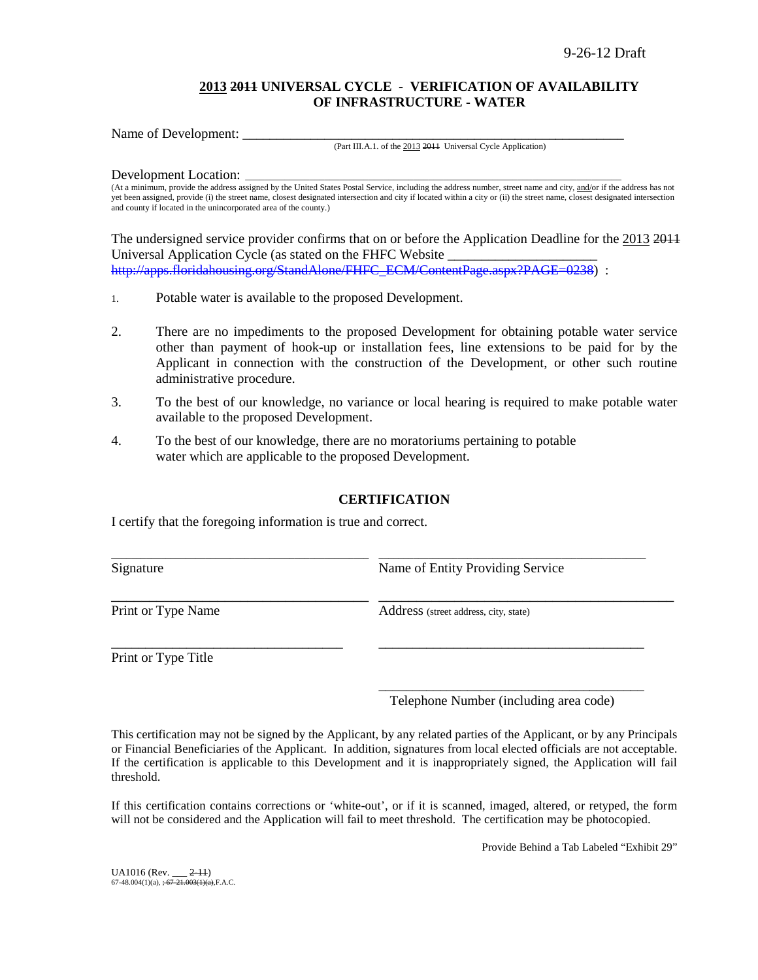### **2013 2011 UNIVERSAL CYCLE - VERIFICATION OF AVAILABILITY OF INFRASTRUCTURE - WATER**

Name of Development:

#### (Part III.A.1. of the 2013 2011 Universal Cycle Application)

Development Location:

(At a minimum, provide the address assigned by the United States Postal Service, including the address number, street name and city, and/or if the address has not yet been assigned, provide (i) the street name, closest designated intersection and city if located within a city or (ii) the street name, closest designated intersection and county if located in the unincorporated area of the county.)

The undersigned service provider confirms that on or before the Application Deadline for the 2013 2011 Universal Application Cycle (as stated on the FHFC Website \_\_\_\_\_\_\_\_\_\_\_\_\_\_\_\_\_\_\_\_\_\_ [http://apps.floridahousing.org/StandAlone/FHFC\\_ECM/ContentPage.aspx?PAGE=0238\)](http://apps.floridahousing.org/StandAlone/FHFC_ECM/ContentPage.aspx?PAGE=0238) :

- 1. Potable water is available to the proposed Development.
- 2. There are no impediments to the proposed Development for obtaining potable water service other than payment of hook-up or installation fees, line extensions to be paid for by the Applicant in connection with the construction of the Development, or other such routine administrative procedure.
- 3. To the best of our knowledge, no variance or local hearing is required to make potable water available to the proposed Development.
- 4. To the best of our knowledge, there are no moratoriums pertaining to potable water which are applicable to the proposed Development.

### **CERTIFICATION**

I certify that the foregoing information is true and correct.

| Signature          | Name of Entity Providing Service      |
|--------------------|---------------------------------------|
| Print or Type Name | Address (street address, city, state) |
|                    |                                       |

Print or Type Title

\_\_\_\_\_\_\_\_\_\_\_\_\_\_\_\_\_\_\_\_\_\_\_\_\_\_\_\_\_\_\_\_\_\_\_\_\_\_\_ Telephone Number (including area code)

This certification may not be signed by the Applicant, by any related parties of the Applicant, or by any Principals or Financial Beneficiaries of the Applicant. In addition, signatures from local elected officials are not acceptable. If the certification is applicable to this Development and it is inappropriately signed, the Application will fail threshold.

If this certification contains corrections or 'white-out', or if it is scanned, imaged, altered, or retyped, the form will not be considered and the Application will fail to meet threshold. The certification may be photocopied.

Provide Behind a Tab Labeled "Exhibit 29"

UA1016 (Rev. \_\_\_ 2-11)<br>67-48.004(1)(a), <del>; 67-21.003(1)(a),</del>F.A.C.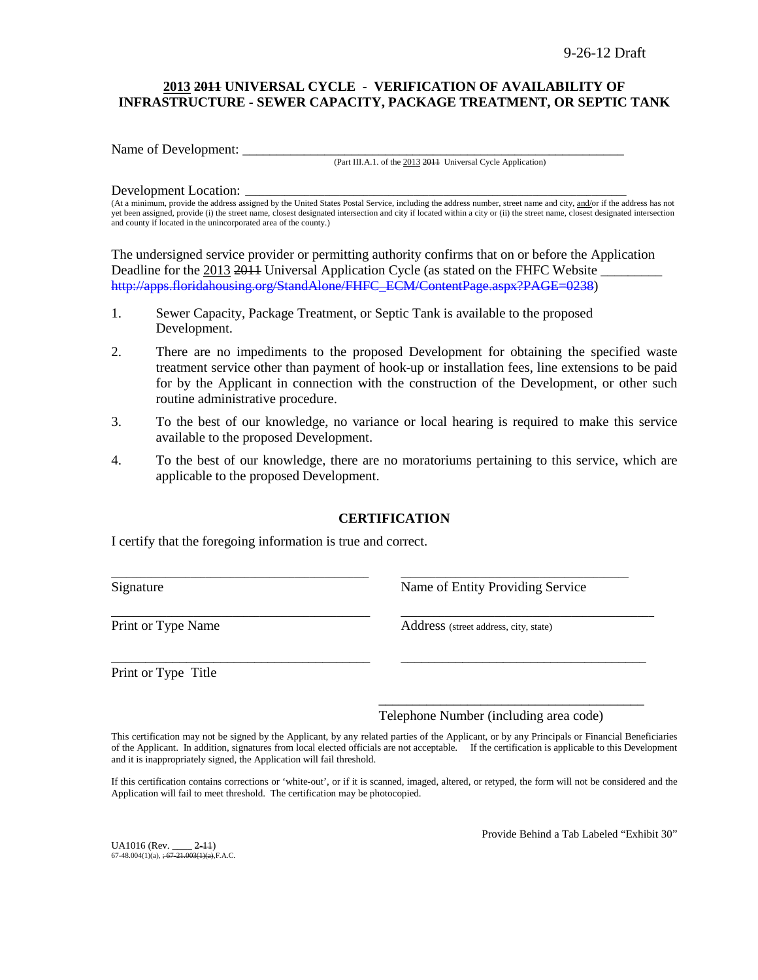### **2013 2011 UNIVERSAL CYCLE - VERIFICATION OF AVAILABILITY OF INFRASTRUCTURE - SEWER CAPACITY, PACKAGE TREATMENT, OR SEPTIC TANK**

Name of Development:

(Part III.A.1. of the 2013 2011 Universal Cycle Application)

#### Development Location:

(At a minimum, provide the address assigned by the United States Postal Service, including the address number, street name and city, and/or if the address has not yet been assigned, provide (i) the street name, closest designated intersection and city if located within a city or (ii) the street name, closest designated intersection and county if located in the unincorporated area of the county.)

The undersigned service provider or permitting authority confirms that on or before the Application Deadline for the 2013 2011 Universal Application Cycle (as stated on the FHFC Website [http://apps.floridahousing.org/StandAlone/FHFC\\_ECM/ContentPage.aspx?PAGE=0238\)](http://apps.floridahousing.org/StandAlone/FHFC_ECM/ContentPage.aspx?PAGE=0238)

- 1. Sewer Capacity, Package Treatment, or Septic Tank is available to the proposed Development.
- 2. There are no impediments to the proposed Development for obtaining the specified waste treatment service other than payment of hook-up or installation fees, line extensions to be paid for by the Applicant in connection with the construction of the Development, or other such routine administrative procedure.
- 3. To the best of our knowledge, no variance or local hearing is required to make this service available to the proposed Development.
- 4. To the best of our knowledge, there are no moratoriums pertaining to this service, which are applicable to the proposed Development.

### **CERTIFICATION**

\_\_\_\_\_\_\_\_\_\_\_\_\_\_\_\_\_\_\_\_\_\_\_\_\_\_\_\_\_\_\_\_\_\_\_\_\_\_\_\_\_\_\_\_\_\_\_\_\_\_\_\_ \_\_\_\_\_\_\_\_\_\_\_\_\_\_\_\_\_\_\_\_\_\_\_\_\_\_\_\_\_\_\_\_\_\_\_\_\_\_\_\_\_\_\_\_\_\_

\_\_\_\_\_\_\_\_\_\_\_\_\_\_\_\_\_\_\_\_\_\_\_\_\_\_\_\_\_\_\_\_\_\_\_\_\_\_\_\_\_\_\_\_\_\_\_ \_\_\_\_\_\_\_\_\_\_\_\_\_\_\_\_\_\_\_\_\_\_\_\_\_\_\_\_\_\_\_\_\_\_\_\_\_\_\_\_\_\_\_\_\_\_

\_\_\_\_\_\_\_\_\_\_\_\_\_\_\_\_\_\_\_\_\_\_\_\_\_\_\_\_\_\_\_\_\_\_\_\_\_\_ \_\_\_\_\_\_\_\_\_\_\_\_\_\_\_\_\_\_\_\_\_\_\_\_\_\_\_\_\_\_\_\_\_\_\_\_

I certify that the foregoing information is true and correct.

Signature **Name of Entity Providing Service** Research Name of Entity Providing Service

Print or Type Name<br>
Address (street address, city, state)

Print or Type Title

Telephone Number (including area code)

\_\_\_\_\_\_\_\_\_\_\_\_\_\_\_\_\_\_\_\_\_\_\_\_\_\_\_\_\_\_\_\_\_\_\_\_\_\_\_

This certification may not be signed by the Applicant, by any related parties of the Applicant, or by any Principals or Financial Beneficiaries of the Applicant. In addition, signatures from local elected officials are not acceptable. If the certification is applicable to this Development and it is inappropriately signed, the Application will fail threshold.

If this certification contains corrections or 'white-out', or if it is scanned, imaged, altered, or retyped, the form will not be considered and the Application will fail to meet threshold. The certification may be photocopied.

UA1016 (Rev. 2-11)  $67-48.004(1)(a)$ ,  $\div 67-21.003(1)(a)$ , F.A.C. Provide Behind a Tab Labeled "Exhibit 30"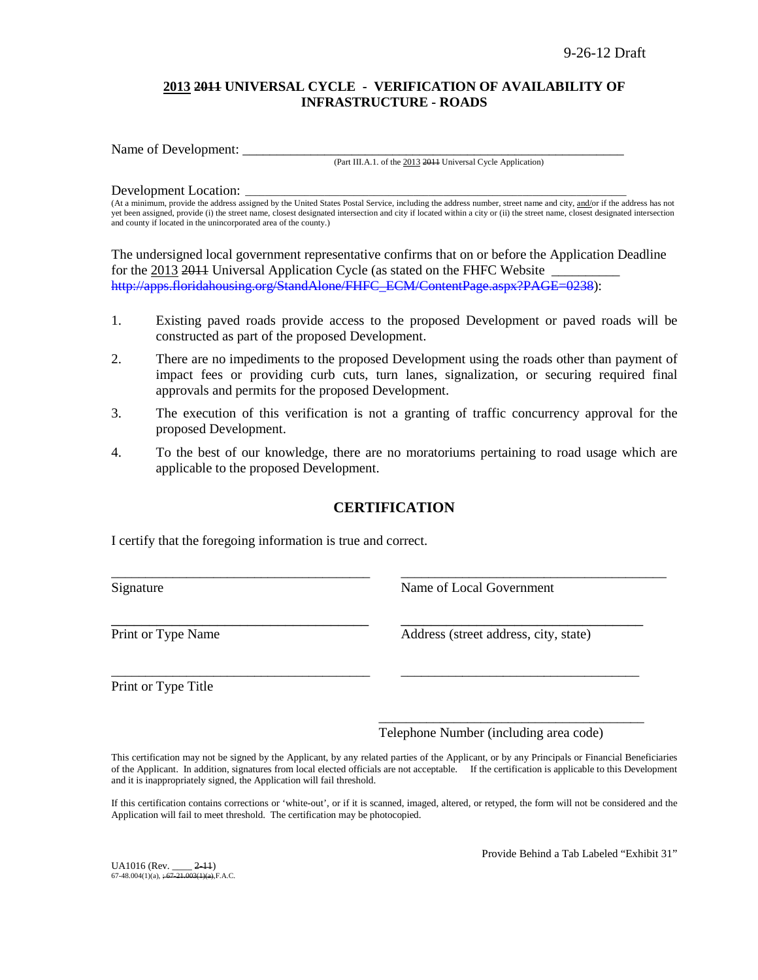### **2013 2011 UNIVERSAL CYCLE - VERIFICATION OF AVAILABILITY OF INFRASTRUCTURE - ROADS**

Name of Development:

(Part III.A.1. of the 2013 2011 Universal Cycle Application)

#### Development Location:

(At a minimum, provide the address assigned by the United States Postal Service, including the address number, street name and city, and/or if the address has not yet been assigned, provide (i) the street name, closest designated intersection and city if located within a city or (ii) the street name, closest designated intersection and county if located in the unincorporated area of the county.)

The undersigned local government representative confirms that on or before the Application Deadline for the 2013 2014 Universal Application Cycle (as stated on the FHFC Website [http://apps.floridahousing.org/StandAlone/FHFC\\_ECM/ContentPage.aspx?PAGE=0238\)](http://apps.floridahousing.org/StandAlone/FHFC_ECM/ContentPage.aspx?PAGE=0238):

- 1. Existing paved roads provide access to the proposed Development or paved roads will be constructed as part of the proposed Development.
- 2. There are no impediments to the proposed Development using the roads other than payment of impact fees or providing curb cuts, turn lanes, signalization, or securing required final approvals and permits for the proposed Development.
- 3. The execution of this verification is not a granting of traffic concurrency approval for the proposed Development.
- 4. To the best of our knowledge, there are no moratoriums pertaining to road usage which are applicable to the proposed Development.

# **CERTIFICATION**

\_\_\_\_\_\_\_\_\_\_\_\_\_\_\_\_\_\_\_\_\_\_\_\_\_\_\_\_\_\_\_\_\_\_\_\_\_\_ \_\_\_\_\_\_\_\_\_\_\_\_\_\_\_\_\_\_\_\_\_\_\_\_\_\_\_\_\_\_\_\_\_\_\_\_\_\_\_

\_\_\_\_\_\_\_\_\_\_\_\_\_\_\_\_\_\_\_\_\_\_\_\_\_\_\_\_\_\_\_\_\_\_\_\_\_\_ \_\_\_\_\_\_\_\_\_\_\_\_\_\_\_\_\_\_\_\_\_\_\_\_\_\_\_\_\_\_\_\_\_\_\_

I certify that the foregoing information is true and correct.

Signature Name of Local Government

\_\_\_\_\_\_\_\_\_\_\_\_\_\_\_\_\_\_\_\_\_\_\_\_\_\_\_\_\_\_\_\_\_\_ \_\_\_\_\_\_\_\_\_\_\_\_\_\_\_\_\_\_\_\_\_\_\_\_\_\_\_\_\_\_\_\_ Print or Type Name Address (street address, city, state)

Print or Type Title

\_\_\_\_\_\_\_\_\_\_\_\_\_\_\_\_\_\_\_\_\_\_\_\_\_\_\_\_\_\_\_\_\_\_\_\_\_\_\_ Telephone Number (including area code)

This certification may not be signed by the Applicant, by any related parties of the Applicant, or by any Principals or Financial Beneficiaries of the Applicant. In addition, signatures from local elected officials are not acceptable. If the certification is applicable to this Development and it is inappropriately signed, the Application will fail threshold.

If this certification contains corrections or 'white-out', or if it is scanned, imaged, altered, or retyped, the form will not be considered and the Application will fail to meet threshold. The certification may be photocopied.

UA1016 (Rev. \_\_\_\_ 2-11)  $67-48.004(1)(a)$ ,  $\div 67-21.003(1)(a)$ , F.A.C. Provide Behind a Tab Labeled "Exhibit 31"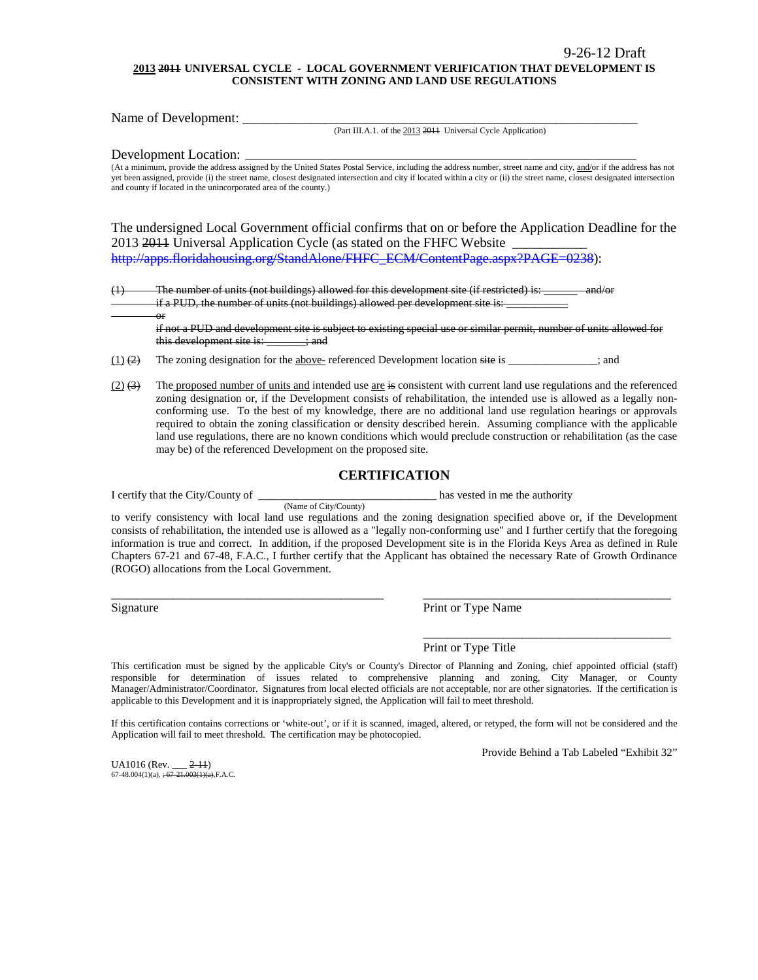#### **2013 2011 UNIVERSAL CYCLE - LOCAL GOVERNMENT VERIFICATION THAT DEVELOPMENT IS CONSISTENT WITH ZONING AND LAND USE REGULATIONS**

Name of Development: \_\_\_\_\_\_\_\_\_\_\_\_\_\_\_\_\_\_\_\_\_\_\_\_\_\_\_\_\_\_\_\_\_\_\_\_\_\_\_\_\_\_\_\_\_\_\_\_\_\_\_\_\_\_\_\_\_\_

(Part III.A.1. of the 2013 2011 Universal Cycle Application)

Development Location:

or

(At a minimum, provide the address assigned by the United States Postal Service, including the address number, street name and city, and/or if the address has not yet been assigned, provide (i) the street name, closest designated intersection and city if located within a city or (ii) the street name, closest designated intersection and county if located in the unincorporated area of the county.)

The undersigned Local Government official confirms that on or before the Application Deadline for the 2013 2014 Universal Application Cycle (as stated on the FHFC Website [http://apps.floridahousing.org/StandAlone/FHFC\\_ECM/ContentPage.aspx?PAGE=0238\)](http://apps.floridahousing.org/StandAlone/FHFC_ECM/ContentPage.aspx?PAGE=0238):

 $(1)$  The number of units (not buildings) allowed for this development site (if restricted) is: if a PUD, the number of units (not buildings) allowed per development site is:

if not a PUD and development site is subject to existing special use or similar permit, number of units allowed for this development site is: \_\_\_\_\_\_; and

 $(1)$  (2) The zoning designation for the above- referenced Development location site is \_\_\_\_\_\_\_\_\_\_\_; and

(Name of City/County)

 $(2)$   $(3)$  The proposed number of units and intended use are is consistent with current land use regulations and the referenced zoning designation or, if the Development consists of rehabilitation, the intended use is allowed as a legally nonconforming use. To the best of my knowledge, there are no additional land use regulation hearings or approvals required to obtain the zoning classification or density described herein. Assuming compliance with the applicable land use regulations, there are no known conditions which would preclude construction or rehabilitation (as the case may be) of the referenced Development on the proposed site.

#### **CERTIFICATION**

I certify that the City/County of \_\_\_\_\_\_\_\_\_\_\_\_\_\_\_\_\_\_\_\_\_\_\_\_\_\_\_\_\_\_\_\_ has vested in me the authority

to verify consistency with local land use regulations and the zoning designation specified above or, if the Development consists of rehabilitation, the intended use is allowed as a "legally non-conforming use" and I further certify that the foregoing information is true and correct. In addition, if the proposed Development site is in the Florida Keys Area as defined in Rule Chapters 67-21 and 67-48, F.A.C., I further certify that the Applicant has obtained the necessary Rate of Growth Ordinance (ROGO) allocations from the Local Government.

\_\_\_\_\_\_\_\_\_\_\_\_\_\_\_\_\_\_\_\_\_\_\_\_\_\_\_\_\_\_\_\_\_\_\_\_\_\_\_\_\_\_\_\_ \_\_\_\_\_\_\_\_\_\_\_\_\_\_\_\_\_\_\_\_\_\_\_\_\_\_\_\_\_\_\_\_\_\_\_\_\_\_\_\_

Signature Print or Type Name

Print or Type Title

This certification must be signed by the applicable City's or County's Director of Planning and Zoning, chief appointed official (staff) responsible for determination of issues related to comprehensive planning and zoning, City Manager, or County Manager/Administrator/Coordinator. Signatures from local elected officials are not acceptable, nor are other signatories. If the certification is applicable to this Development and it is inappropriately signed, the Application will fail to meet threshold.

If this certification contains corrections or 'white-out', or if it is scanned, imaged, altered, or retyped, the form will not be considered and the Application will fail to meet threshold. The certification may be photocopied.

Provide Behind a Tab Labeled "Exhibit 32"

\_\_\_\_\_\_\_\_\_\_\_\_\_\_\_\_\_\_\_\_\_\_\_\_\_\_\_\_\_\_\_\_\_\_\_\_\_\_\_\_

UA1016 (Rev. \_\_\_ 2-11) 67-48.004(1)(a),  $\div 67-21.003(1)(a)$ , F.A.C.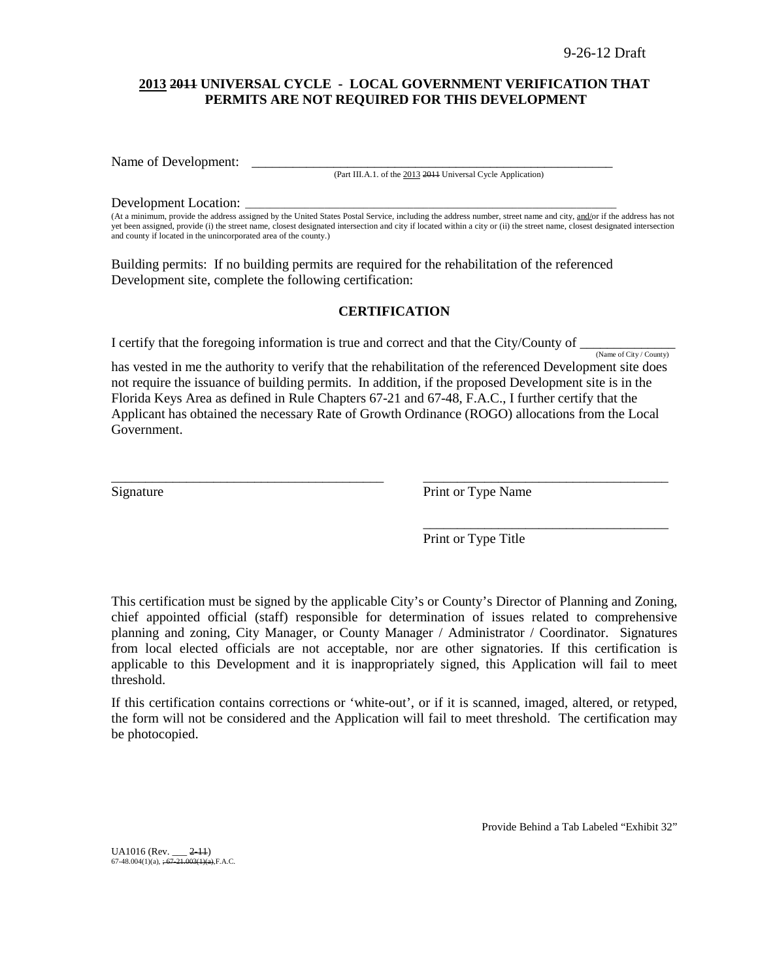### **2013 2011 UNIVERSAL CYCLE - LOCAL GOVERNMENT VERIFICATION THAT PERMITS ARE NOT REQUIRED FOR THIS DEVELOPMENT**

Name of Development:

(Part III.A.1. of the 2013 2011 Universal Cycle Application)

#### Development Location:

(At a minimum, provide the address assigned by the United States Postal Service, including the address number, street name and city, and/or if the address has not yet been assigned, provide (i) the street name, closest designated intersection and city if located within a city or (ii) the street name, closest designated intersection and county if located in the unincorporated area of the county.)

Building permits: If no building permits are required for the rehabilitation of the referenced Development site, complete the following certification:

### **CERTIFICATION**

I certify that the foregoing information is true and correct and that the City/County of  $\frac{N_{\text{ame of City}/\text{Country}}}{N_{\text{amp of City}/\text{Country}}}$ 

has vested in me the authority to verify that the rehabilitation of the referenced Development site does not require the issuance of building permits. In addition, if the proposed Development site is in the Florida Keys Area as defined in Rule Chapters 67-21 and 67-48, F.A.C., I further certify that the Applicant has obtained the necessary Rate of Growth Ordinance (ROGO) allocations from the Local Government.

\_\_\_\_\_\_\_\_\_\_\_\_\_\_\_\_\_\_\_\_\_\_\_\_\_\_\_\_\_\_\_\_\_\_\_\_\_\_\_\_ \_\_\_\_\_\_\_\_\_\_\_\_\_\_\_\_\_\_\_\_\_\_\_\_\_\_\_\_\_\_\_\_\_\_\_\_

Signature Print or Type Name

Print or Type Title

\_\_\_\_\_\_\_\_\_\_\_\_\_\_\_\_\_\_\_\_\_\_\_\_\_\_\_\_\_\_\_\_\_\_\_\_

This certification must be signed by the applicable City's or County's Director of Planning and Zoning, chief appointed official (staff) responsible for determination of issues related to comprehensive planning and zoning, City Manager, or County Manager / Administrator / Coordinator. Signatures from local elected officials are not acceptable, nor are other signatories. If this certification is applicable to this Development and it is inappropriately signed, this Application will fail to meet threshold.

If this certification contains corrections or 'white-out', or if it is scanned, imaged, altered, or retyped, the form will not be considered and the Application will fail to meet threshold. The certification may be photocopied.

Provide Behind a Tab Labeled "Exhibit 32"

UA1016 (Rev. \_\_\_ 2-11)<br>67-48.004(1)(a), <del>; 67-21.003(1)(a),</del>F.A.C.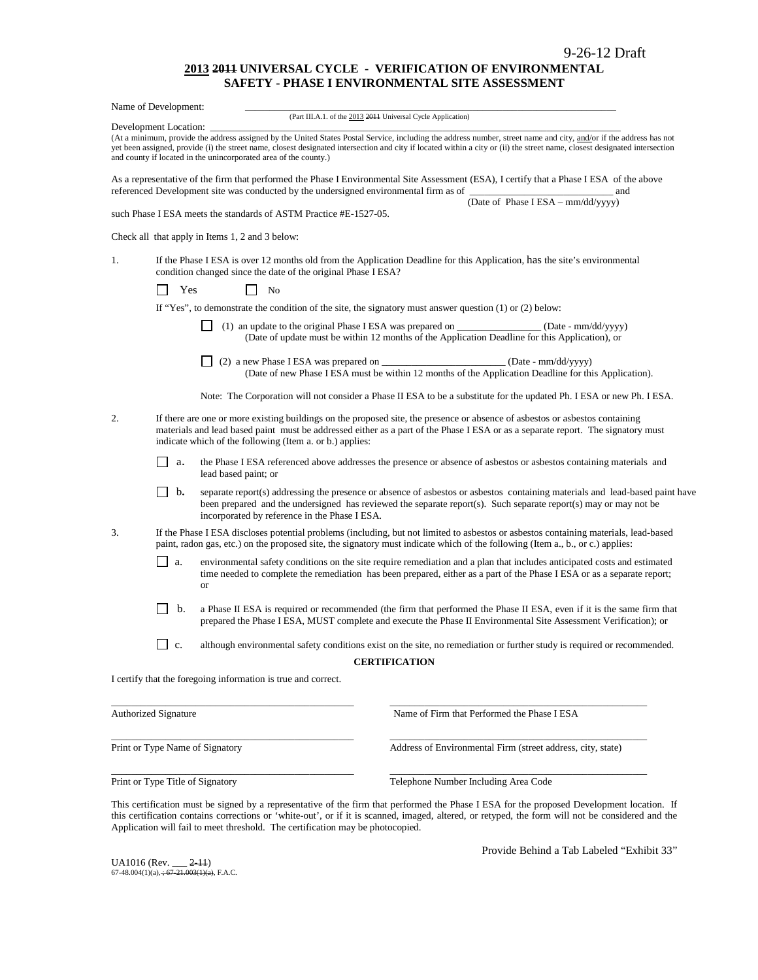#### **2013 2011 UNIVERSAL CYCLE - VERIFICATION OF ENVIRONMENTAL SAFETY - PHASE I ENVIRONMENTAL SITE ASSESSMENT**

|                                                                | Name of Development:  |                                                                                                                                                                                                                                                                      |                                                                                                                                                                                                                                                                                                                                                  |  |  |  |  |
|----------------------------------------------------------------|-----------------------|----------------------------------------------------------------------------------------------------------------------------------------------------------------------------------------------------------------------------------------------------------------------|--------------------------------------------------------------------------------------------------------------------------------------------------------------------------------------------------------------------------------------------------------------------------------------------------------------------------------------------------|--|--|--|--|
|                                                                |                       | (Part III.A.1. of the 2013 2011 Universal Cycle Application)                                                                                                                                                                                                         |                                                                                                                                                                                                                                                                                                                                                  |  |  |  |  |
|                                                                | Development Location: | and county if located in the unincorporated area of the county.)                                                                                                                                                                                                     | (At a minimum, provide the address assigned by the United States Postal Service, including the address number, street name and city, and/or if the address has not<br>yet been assigned, provide (i) the street name, closest designated intersection and city if located within a city or (ii) the street name, closest designated intersection |  |  |  |  |
|                                                                |                       | referenced Development site was conducted by the undersigned environmental firm as of                                                                                                                                                                                | As a representative of the firm that performed the Phase I Environmental Site Assessment (ESA), I certify that a Phase I ESA of the above<br>__ and                                                                                                                                                                                              |  |  |  |  |
|                                                                |                       | such Phase I ESA meets the standards of ASTM Practice #E-1527-05.                                                                                                                                                                                                    | (Date of Phase I ESA - mm/dd/yyyy)                                                                                                                                                                                                                                                                                                               |  |  |  |  |
|                                                                |                       | Check all that apply in Items 1, 2 and 3 below:                                                                                                                                                                                                                      |                                                                                                                                                                                                                                                                                                                                                  |  |  |  |  |
| 1.                                                             |                       | condition changed since the date of the original Phase I ESA?                                                                                                                                                                                                        | If the Phase I ESA is over 12 months old from the Application Deadline for this Application, has the site's environmental                                                                                                                                                                                                                        |  |  |  |  |
|                                                                | Yes                   | No                                                                                                                                                                                                                                                                   |                                                                                                                                                                                                                                                                                                                                                  |  |  |  |  |
|                                                                |                       | If "Yes", to demonstrate the condition of the site, the signatory must answer question $(1)$ or $(2)$ below:                                                                                                                                                         |                                                                                                                                                                                                                                                                                                                                                  |  |  |  |  |
|                                                                |                       |                                                                                                                                                                                                                                                                      | (1) an update to the original Phase I ESA was prepared on ______________________ (Date - mm/dd/yyyy)<br>(Date of update must be within 12 months of the Application Deadline for this Application), or                                                                                                                                           |  |  |  |  |
|                                                                |                       |                                                                                                                                                                                                                                                                      | (2) a new Phase I ESA was prepared on ____________________________(Date - mm/dd/yyyy)<br>(Date of new Phase I ESA must be within 12 months of the Application Deadline for this Application).                                                                                                                                                    |  |  |  |  |
|                                                                |                       |                                                                                                                                                                                                                                                                      | Note: The Corporation will not consider a Phase II ESA to be a substitute for the updated Ph. I ESA or new Ph. I ESA.                                                                                                                                                                                                                            |  |  |  |  |
| 2.<br>indicate which of the following (Item a. or b.) applies: |                       |                                                                                                                                                                                                                                                                      | If there are one or more existing buildings on the proposed site, the presence or absence of asbestos or asbestos containing<br>materials and lead based paint must be addressed either as a part of the Phase IESA or as a separate report. The signatory must                                                                                  |  |  |  |  |
|                                                                | a.                    | lead based paint; or                                                                                                                                                                                                                                                 | the Phase I ESA referenced above addresses the presence or absence of asbestos or asbestos containing materials and                                                                                                                                                                                                                              |  |  |  |  |
|                                                                | $\mathbf{b}$          | incorporated by reference in the Phase I ESA.                                                                                                                                                                                                                        | separate report(s) addressing the presence or absence of asbestos or asbestos containing materials and lead-based paint have<br>been prepared and the undersigned has reviewed the separate report(s). Such separate report(s) may or may not be                                                                                                 |  |  |  |  |
| 3.                                                             |                       |                                                                                                                                                                                                                                                                      | If the Phase I ESA discloses potential problems (including, but not limited to asbestos or asbestos containing materials, lead-based<br>paint, radon gas, etc.) on the proposed site, the signatory must indicate which of the following (Item a., b., or c.) applies:                                                                           |  |  |  |  |
|                                                                | a.                    | environmental safety conditions on the site require remediation and a plan that includes anticipated costs and estimated<br>time needed to complete the remediation has been prepared, either as a part of the Phase I ESA or as a separate report;<br><sub>or</sub> |                                                                                                                                                                                                                                                                                                                                                  |  |  |  |  |
|                                                                | b.                    |                                                                                                                                                                                                                                                                      | a Phase II ESA is required or recommended (the firm that performed the Phase II ESA, even if it is the same firm that<br>prepared the Phase I ESA, MUST complete and execute the Phase II Environmental Site Assessment Verification); or                                                                                                        |  |  |  |  |
|                                                                | $\Box$ c.             |                                                                                                                                                                                                                                                                      | although environmental safety conditions exist on the site, no remediation or further study is required or recommended.                                                                                                                                                                                                                          |  |  |  |  |
|                                                                |                       |                                                                                                                                                                                                                                                                      | <b>CERTIFICATION</b>                                                                                                                                                                                                                                                                                                                             |  |  |  |  |
|                                                                |                       | I certify that the foregoing information is true and correct.                                                                                                                                                                                                        |                                                                                                                                                                                                                                                                                                                                                  |  |  |  |  |
|                                                                | Authorized Signature  |                                                                                                                                                                                                                                                                      | Name of Firm that Performed the Phase I ESA                                                                                                                                                                                                                                                                                                      |  |  |  |  |
|                                                                |                       | Print or Type Name of Signatory                                                                                                                                                                                                                                      | Address of Environmental Firm (street address, city, state)                                                                                                                                                                                                                                                                                      |  |  |  |  |

Print or Type Title of Signatory Telephone Number Including Area Code

This certification must be signed by a representative of the firm that performed the Phase I ESA for the proposed Development location.If this certification contains corrections or 'white-out', or if it is scanned, imaged, altered, or retyped, the form will not be considered and the Application will fail to meet threshold. The certification may be photocopied.

\_\_\_\_\_\_\_\_\_\_\_\_\_\_\_\_\_\_\_\_\_\_\_\_\_\_\_\_\_\_\_\_\_\_\_\_\_\_\_\_\_\_\_\_\_\_\_\_\_ \_\_\_\_\_\_\_\_\_\_\_\_\_\_\_\_\_\_\_\_\_\_\_\_\_\_\_\_\_\_\_\_\_\_\_\_\_\_\_\_\_\_\_\_\_\_\_\_\_\_\_\_

UA1016 (Rev. \_\_\_ <del>2-11</del>)<br>67-48.004(1)(a), <del>; 67-21.003(1)(a)</del>, F.A.C.

Provide Behind a Tab Labeled "Exhibit 33"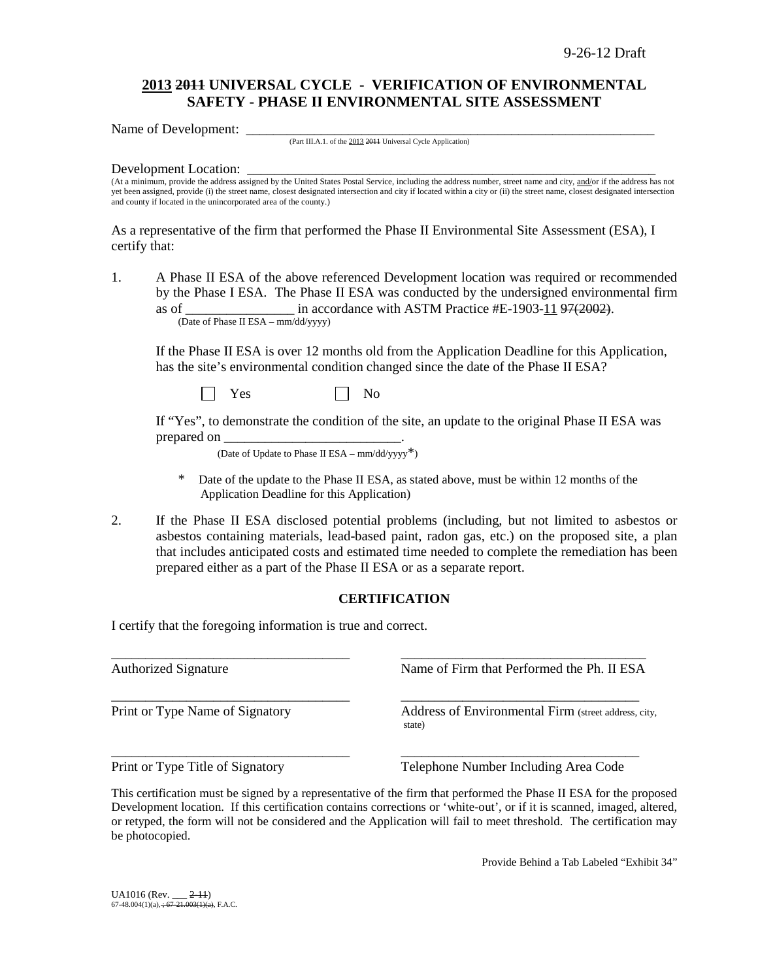# **2013 2011 UNIVERSAL CYCLE - VERIFICATION OF ENVIRONMENTAL SAFETY - PHASE II ENVIRONMENTAL SITE ASSESSMENT**

Name of Development:

(Part III.A.1. of the 2013 2011 Universal Cycle Application)

#### Development Location:

(At a minimum, provide the address assigned by the United States Postal Service, including the address number, street name and city, and/or if the address has not yet been assigned, provide (i) the street name, closest designated intersection and city if located within a city or (ii) the street name, closest designated intersection and county if located in the unincorporated area of the county.)

As a representative of the firm that performed the Phase II Environmental Site Assessment (ESA), I certify that:

1. A Phase II ESA of the above referenced Development location was required or recommended by the Phase I ESA. The Phase II ESA was conducted by the undersigned environmental firm as of  $\frac{1}{2}$  in accordance with ASTM Practice #E-1903-11 97(2002). (Date of Phase II ESA – mm/dd/yyyy)

If the Phase II ESA is over 12 months old from the Application Deadline for this Application, has the site's environmental condition changed since the date of the Phase II ESA?

 $Yes \t\t \Box No$ 

If "Yes", to demonstrate the condition of the site, an update to the original Phase II ESA was prepared on

(Date of Update to Phase II ESA –  $mm/dd/yyyy^*$ )

- Date of the update to the Phase II ESA, as stated above, must be within 12 months of the Application Deadline for this Application)
- 2. If the Phase II ESA disclosed potential problems (including, but not limited to asbestos or asbestos containing materials, lead-based paint, radon gas, etc.) on the proposed site, a plan that includes anticipated costs and estimated time needed to complete the remediation has been prepared either as a part of the Phase II ESA or as a separate report.

### **CERTIFICATION**

I certify that the foregoing information is true and correct.

\_\_\_\_\_\_\_\_\_\_\_\_\_\_\_\_\_\_\_\_\_\_\_\_\_\_\_\_\_\_\_\_\_\_\_ \_\_\_\_\_\_\_\_\_\_\_\_\_\_\_\_\_\_\_\_\_\_\_\_\_\_\_\_\_\_\_\_\_\_\_\_ Authorized Signature Name of Firm that Performed the Ph. II ESA \_\_\_\_\_\_\_\_\_\_\_\_\_\_\_\_\_\_\_\_\_\_\_\_\_\_\_\_\_\_\_\_\_\_\_ \_\_\_\_\_\_\_\_\_\_\_\_\_\_\_\_\_\_\_\_\_\_\_\_\_\_\_\_\_\_\_\_\_\_\_ Print or Type Name of Signatory **Address of Environmental Firm** (street address, city, state) \_\_\_\_\_\_\_\_\_\_\_\_\_\_\_\_\_\_\_\_\_\_\_\_\_\_\_\_\_\_\_\_\_\_\_ \_\_\_\_\_\_\_\_\_\_\_\_\_\_\_\_\_\_\_\_\_\_\_\_\_\_\_\_\_\_\_\_\_\_\_ Print or Type Title of Signatory Telephone Number Including Area Code

This certification must be signed by a representative of the firm that performed the Phase II ESA for the proposed Development location.If this certification contains corrections or 'white-out', or if it is scanned, imaged, altered, or retyped, the form will not be considered and the Application will fail to meet threshold. The certification may be photocopied.

Provide Behind a Tab Labeled "Exhibit 34"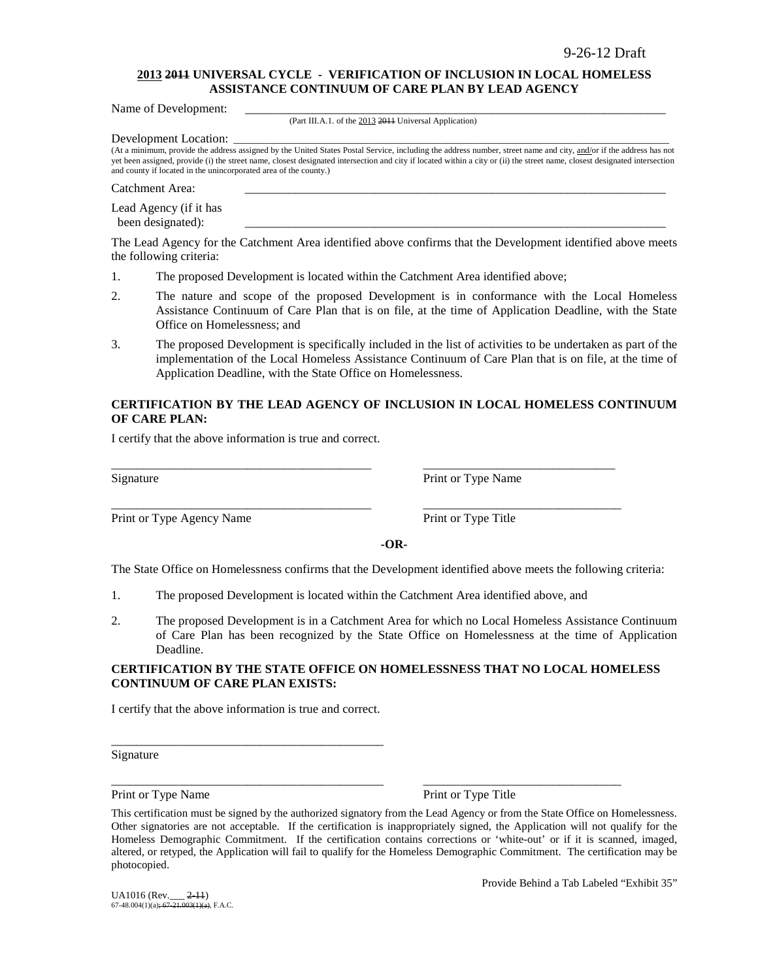#### **2013 2011 UNIVERSAL CYCLE - VERIFICATION OF INCLUSION IN LOCAL HOMELESS ASSISTANCE CONTINUUM OF CARE PLAN BY LEAD AGENCY**

Name of Development:

(Part III.A.1. of the 2013 2011 Universal Application)

Development Location:

(At a minimum, provide the address assigned by the United States Postal Service, including the address number, street name and city, and/or if the address has not yet been assigned, provide (i) the street name, closest designated intersection and city if located within a city or (ii) the street name, closest designated intersection and county if located in the unincorporated area of the county.)

Catchment Area:

Lead Agency (if it has been designated):

The Lead Agency for the Catchment Area identified above confirms that the Development identified above meets the following criteria:

- 1. The proposed Development is located within the Catchment Area identified above;
- 2. The nature and scope of the proposed Development is in conformance with the Local Homeless Assistance Continuum of Care Plan that is on file, at the time of Application Deadline, with the State Office on Homelessness; and
- 3. The proposed Development is specifically included in the list of activities to be undertaken as part of the implementation of the Local Homeless Assistance Continuum of Care Plan that is on file, at the time of Application Deadline, with the State Office on Homelessness.

### **CERTIFICATION BY THE LEAD AGENCY OF INCLUSION IN LOCAL HOMELESS CONTINUUM OF CARE PLAN:**

I certify that the above information is true and correct.

Print or Type Agency Name Print or Type Title

Signature Print or Type Name

**-OR-**

The State Office on Homelessness confirms that the Development identified above meets the following criteria:

1. The proposed Development is located within the Catchment Area identified above, and

\_\_\_\_\_\_\_\_\_\_\_\_\_\_\_\_\_\_\_\_\_\_\_\_\_\_\_\_\_\_\_\_\_\_\_\_\_\_\_\_\_\_ \_\_\_\_\_\_\_\_\_\_\_\_\_\_\_\_\_\_\_\_\_\_\_\_\_\_\_\_\_\_\_

\_\_\_\_\_\_\_\_\_\_\_\_\_\_\_\_\_\_\_\_\_\_\_\_\_\_\_\_\_\_\_\_\_\_\_\_\_\_\_\_\_\_ \_\_\_\_\_\_\_\_\_\_\_\_\_\_\_\_\_\_\_\_\_\_\_\_\_\_\_\_\_\_\_\_

2. The proposed Development is in a Catchment Area for which no Local Homeless Assistance Continuum of Care Plan has been recognized by the State Office on Homelessness at the time of Application Deadline.

#### **CERTIFICATION BY THE STATE OFFICE ON HOMELESSNESS THAT NO LOCAL HOMELESS CONTINUUM OF CARE PLAN EXISTS:**

I certify that the above information is true and correct.

\_\_\_\_\_\_\_\_\_\_\_\_\_\_\_\_\_\_\_\_\_\_\_\_\_\_\_\_\_\_\_\_\_\_\_\_\_\_\_\_\_\_\_\_

Signature

Print or Type Name Print or Type Title

\_\_\_\_\_\_\_\_\_\_\_\_\_\_\_\_\_\_\_\_\_\_\_\_\_\_\_\_\_\_\_\_\_\_\_\_\_\_\_\_\_\_\_\_ \_\_\_\_\_\_\_\_\_\_\_\_\_\_\_\_\_\_\_\_\_\_\_\_\_\_\_\_\_\_\_\_

Provide Behind a Tab Labeled "Exhibit 35"

This certification must be signed by the authorized signatory from the Lead Agency or from the State Office on Homelessness. Other signatories are not acceptable. If the certification is inappropriately signed, the Application will not qualify for the Homeless Demographic Commitment. If the certification contains corrections or 'white-out' or if it is scanned, imaged, altered, or retyped, the Application will fail to qualify for the Homeless Demographic Commitment. The certification may be photocopied.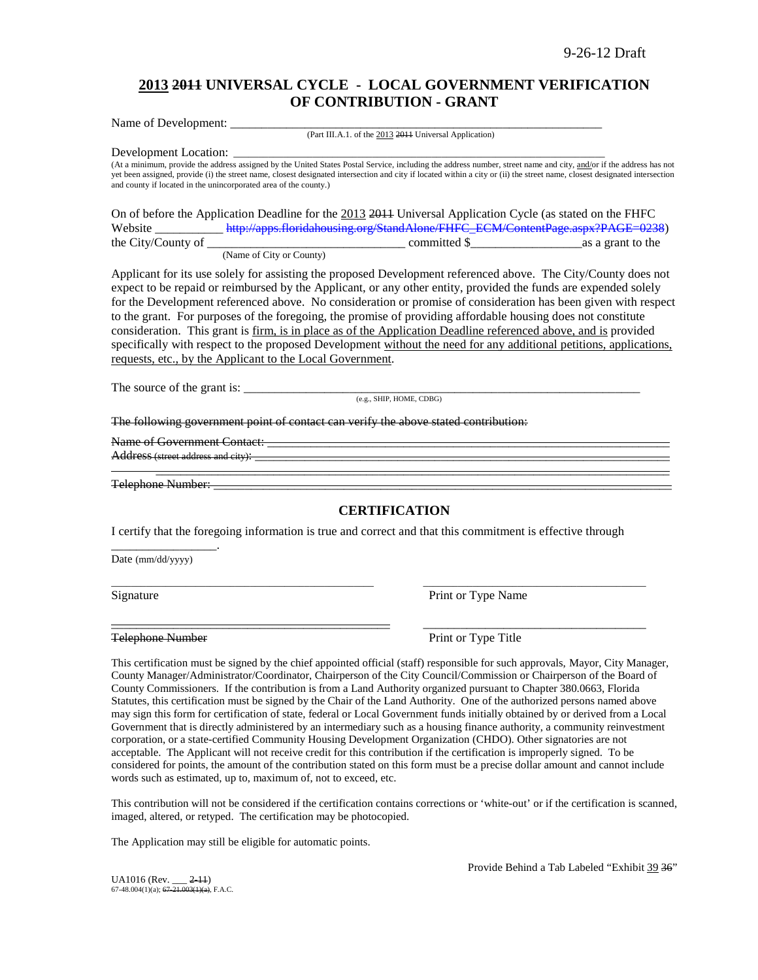# **2013 2011 UNIVERSAL CYCLE - LOCAL GOVERNMENT VERIFICATION OF CONTRIBUTION - GRANT**

Name of Development: (Part III.A.1. of the 2013 2011 Universal Application)

Development Location:

(At a minimum, provide the address assigned by the United States Postal Service, including the address number, street name and city, and/or if the address has not yet been assigned, provide (i) the street name, closest designated intersection and city if located within a city or (ii) the street name, closest designated intersection and county if located in the unincorporated area of the county.)

On of before the Application Deadline for the 2013 2011 Universal Application Cycle (as stated on the FHFC Website \_\_\_\_\_\_\_\_\_\_\_\_\_\_ [http://apps.floridahousing.org/StandAlone/FHFC\\_ECM/ContentPage.aspx?PAGE=0238\)](http://apps.floridahousing.org/StandAlone/FHFC_ECM/ContentPage.aspx?PAGE=0238)<br>committed \$ as a grant to the  $\frac{1}{\sqrt{1-\frac{1}{\sqrt{1-\frac{1}{\sqrt{1-\frac{1}{\sqrt{1-\frac{1}{\sqrt{1-\frac{1}{\sqrt{1-\frac{1}{\sqrt{1-\frac{1}{\sqrt{1-\frac{1}{\sqrt{1-\frac{1}{\sqrt{1-\frac{1}{\sqrt{1-\frac{1}{\sqrt{1-\frac{1}{\sqrt{1-\frac{1}{\sqrt{1-\frac{1}{\sqrt{1-\frac{1}{\sqrt{1-\frac{1}{\sqrt{1-\frac{1}{\sqrt{1-\frac{1}{\sqrt{1-\frac{1}{\sqrt{1-\frac{1}{\sqrt{1-\frac{1}{\sqrt{1-\frac{1}{\sqrt{1-\frac{1}{\sqrt{1-\frac{1$ (Name of City or County)

Applicant for its use solely for assisting the proposed Development referenced above. The City/County does not expect to be repaid or reimbursed by the Applicant, or any other entity, provided the funds are expended solely for the Development referenced above. No consideration or promise of consideration has been given with respect to the grant. For purposes of the foregoing, the promise of providing affordable housing does not constitute consideration. This grant is firm, is in place as of the Application Deadline referenced above, and is provided specifically with respect to the proposed Development without the need for any additional petitions, applications, requests, etc., by the Applicant to the Local Government.

The source of the grant is: \_\_\_\_\_\_\_\_\_\_\_\_\_\_\_\_\_\_\_\_\_\_\_\_\_\_\_\_\_\_\_\_\_\_\_\_\_\_\_\_\_\_\_\_\_\_\_\_\_\_\_\_\_\_\_\_\_\_\_\_\_\_\_\_

(e.g., SHIP, HOME, CDBG)

The following government point of contact can verify the above stated contribution:

Name of Government Contact:

Address (street address and city):

Telephone Number:

\_\_\_\_\_\_\_\_\_\_\_\_\_\_\_\_\_.

## **CERTIFICATION**

\_\_\_\_\_\_\_\_\_\_\_\_\_\_\_\_\_\_\_\_\_\_\_\_\_\_\_\_\_\_\_\_\_\_\_\_\_\_\_\_\_\_\_\_\_\_\_\_\_\_\_\_\_\_\_\_\_\_\_\_\_\_\_\_\_\_\_\_\_\_\_\_\_\_\_\_\_\_\_\_\_\_\_

I certify that the foregoing information is true and correct and that this commitment is effective through

\_\_\_\_\_\_\_\_\_\_\_\_\_\_\_\_\_\_\_\_\_\_\_\_\_\_\_\_\_\_\_\_\_\_\_\_\_\_\_\_\_\_\_\_\_\_\_\_\_\_\_\_\_ \_\_\_\_\_\_\_\_\_\_\_\_\_\_\_\_\_\_\_\_\_\_\_\_\_\_\_\_\_\_\_\_\_\_\_\_\_\_\_\_\_\_\_\_\_

\_\_\_\_\_\_\_\_\_\_\_\_\_\_\_\_\_\_\_\_\_\_\_\_\_\_\_\_\_\_\_\_\_\_\_\_\_\_\_\_\_\_\_\_\_ \_\_\_\_\_\_\_\_\_\_\_\_\_\_\_\_\_\_\_\_\_\_\_\_\_\_\_\_\_\_\_\_\_\_\_\_

Date (mm/dd/yyyy)

Signature Print or Type Name

Telephone Number **Print of Type Title** 

This certification must be signed by the chief appointed official (staff) responsible for such approvals, Mayor, City Manager, County Manager/Administrator/Coordinator, Chairperson of the City Council/Commission or Chairperson of the Board of County Commissioners. If the contribution is from a Land Authority organized pursuant to Chapter 380.0663, Florida Statutes, this certification must be signed by the Chair of the Land Authority. One of the authorized persons named above may sign this form for certification of state, federal or Local Government funds initially obtained by or derived from a Local Government that is directly administered by an intermediary such as a housing finance authority, a community reinvestment corporation, or a state-certified Community Housing Development Organization (CHDO). Other signatories are not acceptable. The Applicant will not receive credit for this contribution if the certification is improperly signed. To be considered for points, the amount of the contribution stated on this form must be a precise dollar amount and cannot include words such as estimated, up to, maximum of, not to exceed, etc.

This contribution will not be considered if the certification contains corrections or 'white-out' or if the certification is scanned, imaged, altered, or retyped. The certification may be photocopied.

The Application may still be eligible for automatic points.

Provide Behind a Tab Labeled "Exhibit 39 36"

UA1016 (Rev. \_\_\_ <del>2-11</del>)<br>67-48.004(1)(a); <del>67-21.003(1)(a)</del>, F.A.C.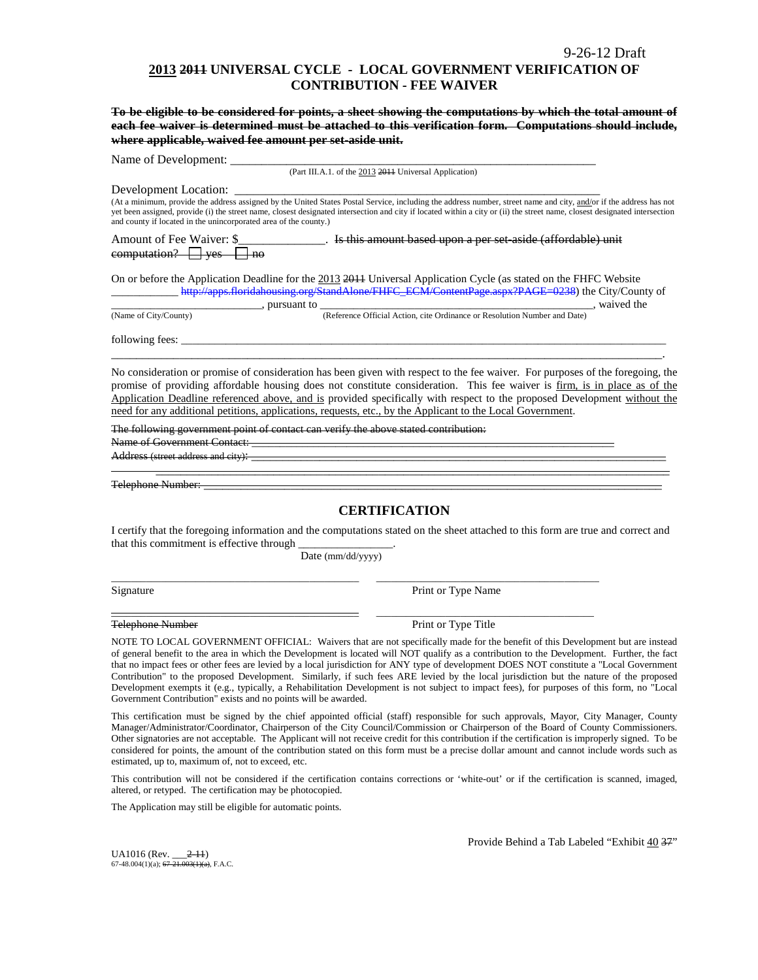### **2013 2011 UNIVERSAL CYCLE - LOCAL GOVERNMENT VERIFICATION OF CONTRIBUTION - FEE WAIVER**

**To be eligible to be considered for points, a sheet showing the computations by which the total amount of each fee waiver is determined must be attached to this verification form. Computations should include, where applicable, waived fee amount per set-aside unit.**

Name of Development:

(Part III.A.1. of the 2013 2011 Universal Application)

Development Location: \_

(At a minimum, provide the address assigned by the United States Postal Service, including the address number, street name and city, and/or if the address has not yet been assigned, provide (i) the street name, closest designated intersection and city if located within a city or (ii) the street name, closest designated intersection and county if located in the unincorporated area of the county.)

Amount of Fee Waiver: \$\_\_\_\_\_\_\_\_\_\_\_\_\_\_\_. Is this amount based upon a per set aside (affordable) unit  $computation? \t\t yes \t\t \Box no$ 

On or before the Application Deadline for the 2013 2011 Universal Application Cycle (as stated on the FHFC Website \_\_\_\_\_\_\_\_\_\_\_[\\_ http://apps.floridahousing.org/StandAlone/FHFC\\_ECM/ContentPage.aspx?PAGE=0238\)](http://apps.floridahousing.org/StandAlone/FHFC_ECM/ContentPage.aspx?PAGE=0238) the City/County of

 $\overline{\text{(Name of City/Country)}}$ , pursuant to  $\overline{\text{ (Reference Official Action, cite Ordinance or Resolution Number and Date)}}$ , waived the (Reference Official Action, cite Ordinance or Resolution Number and Date)

following fees:

No consideration or promise of consideration has been given with respect to the fee waiver. For purposes of the foregoing, the promise of providing affordable housing does not constitute consideration. This fee waiver is firm, is in place as of the Application Deadline referenced above, and is provided specifically with respect to the proposed Development without the need for any additional petitions, applications, requests, etc., by the Applicant to the Local Government.

\_\_\_\_\_\_\_\_\_\_\_\_\_\_\_\_\_\_\_\_\_\_\_\_\_\_\_\_\_\_\_\_\_\_\_\_\_\_\_\_\_\_\_\_\_\_\_\_\_\_\_\_\_\_\_\_\_\_\_\_\_\_\_\_\_\_\_\_\_\_\_\_\_\_\_\_\_\_\_\_\_\_\_\_\_\_\_\_\_.

The following government point of contact can verify the above stated contribution:

Name of Government Contact:

Address (street address and city):

Telephone Number:

### **CERTIFICATION**

\_\_\_\_\_\_\_\_\_\_\_\_\_\_\_\_\_\_\_\_\_\_\_\_\_\_\_\_\_\_\_\_\_\_\_\_\_\_\_\_\_\_\_\_\_\_\_\_\_\_\_\_\_\_\_\_\_\_\_\_\_\_\_\_\_\_\_\_\_\_\_\_\_\_\_\_\_\_\_\_\_\_\_

I certify that the foregoing information and the computations stated on the sheet attached to this form are true and correct and that this commitment is effective through

Date (mm/dd/yyyy)

\_\_\_\_\_\_\_\_\_\_\_\_\_\_\_\_\_\_\_\_\_\_\_\_\_\_\_\_\_\_\_\_\_\_\_\_\_\_\_\_\_\_\_\_\_\_\_\_\_\_ \_\_\_\_\_\_\_\_\_\_\_\_\_\_\_\_\_\_\_\_\_\_\_\_\_\_\_\_\_\_\_\_\_\_\_\_\_\_\_\_\_\_\_\_\_

\_\_\_\_\_\_\_\_\_\_\_\_\_\_\_\_\_\_\_\_\_\_\_\_\_\_\_\_\_\_\_\_\_\_\_\_\_\_\_\_\_\_\_\_\_\_\_\_\_\_ \_\_\_\_\_\_\_\_\_\_\_\_\_\_\_\_\_\_\_\_\_\_\_\_\_\_\_\_\_\_\_\_\_\_\_\_\_\_\_\_\_\_\_\_

Signature Print or Type Name

Telephone Number Print or Type Title

NOTE TO LOCAL GOVERNMENT OFFICIAL: Waivers that are not specifically made for the benefit of this Development but are instead of general benefit to the area in which the Development is located will NOT qualify as a contribution to the Development. Further, the fact that no impact fees or other fees are levied by a local jurisdiction for ANY type of development DOES NOT constitute a "Local Government Contribution" to the proposed Development. Similarly, if such fees ARE levied by the local jurisdiction but the nature of the proposed Development exempts it (e.g., typically, a Rehabilitation Development is not subject to impact fees), for purposes of this form, no "Local Government Contribution" exists and no points will be awarded.

This certification must be signed by the chief appointed official (staff) responsible for such approvals, Mayor, City Manager, County Manager/Administrator/Coordinator, Chairperson of the City Council/Commission or Chairperson of the Board of County Commissioners. Other signatories are not acceptable. The Applicant will not receive credit for this contribution if the certification is improperly signed. To be considered for points, the amount of the contribution stated on this form must be a precise dollar amount and cannot include words such as estimated, up to, maximum of, not to exceed, etc.

This contribution will not be considered if the certification contains corrections or 'white-out' or if the certification is scanned, imaged, altered, or retyped. The certification may be photocopied.

The Application may still be eligible for automatic points.

UA1016 (Rev. \_\_\_2-11) 67-48.004(1)(a);  $67-\overline{21.003(1)(a)}$ , F.A.C. Provide Behind a Tab Labeled "Exhibit 40 37"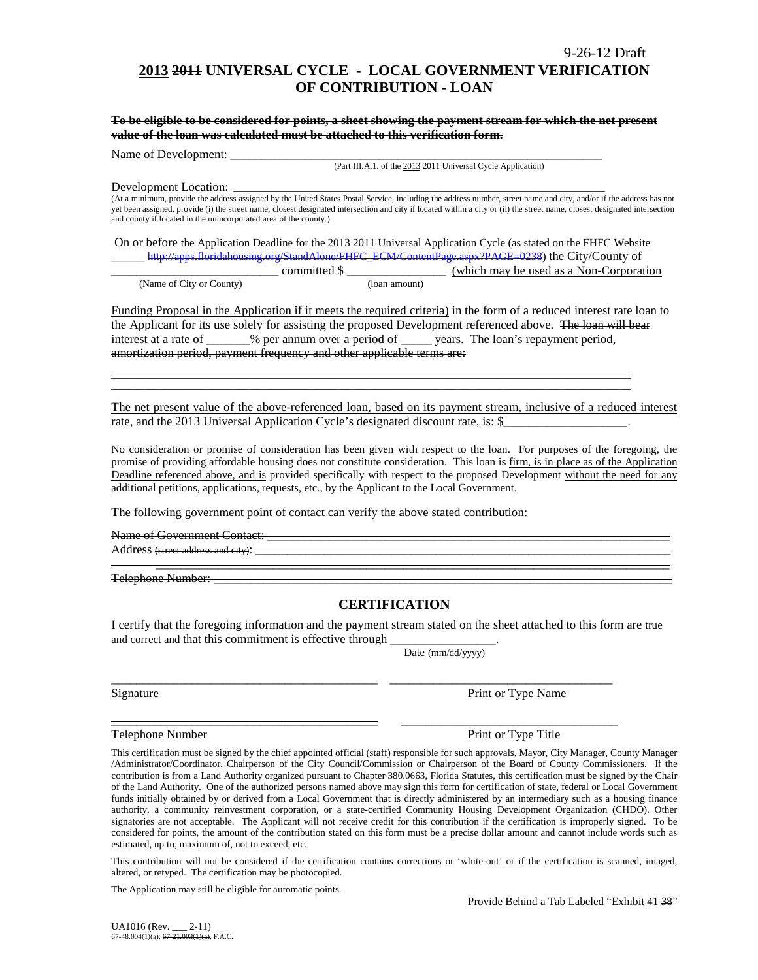This contribution will not be considered if the certification contains corrections or 'white-out' or if the certification is scanned, imaged, altered, or retyped. The certification may be photocopied.

The Application may still be eligible for automatic points.

estimated, up to, maximum of, not to exceed, etc.

Provide Behind a Tab Labeled "Exhibit 41 38"

# **2013 2011 UNIVERSAL CYCLE - LOCAL GOVERNMENT VERIFICATION OF CONTRIBUTION - LOAN**

**To be eligible to be considered for points, a sheet showing the payment stream for which the net present value of the loan was calculated must be attached to this verification form.** 

Name of Development:

(Part III.A.1. of the 2013 2011 Universal Cycle Application)

#### Development Location:

(At a minimum, provide the address assigned by the United States Postal Service, including the address number, street name and city, and/or if the address has not yet been assigned, provide (i) the street name, closest designated intersection and city if located within a city or (ii) the street name, closest designated intersection and county if located in the unincorporated area of the county.)

On or before the Application Deadline for the 2013 2014 Universal Application Cycle (as stated on the FHFC Website \_\_\_\_\_[\\_ http://apps.floridahousing.org/StandAlone/FHFC\\_ECM/ContentPage.aspx?PAGE=0238\)](http://apps.floridahousing.org/StandAlone/FHFC_ECM/ContentPage.aspx?PAGE=0238) the City/County of

|                          |               | $\frac{1}{2}$ internal content content of $\frac{1}{2}$ is the content of $\frac{1}{2}$ content $\frac{1}{2}$ ( $\frac{1}{2}$ $\frac{1}{2}$ $\frac{1}{2}$ $\frac{1}{2}$ $\frac{1}{2}$ $\frac{1}{2}$ $\frac{1}{2}$ $\frac{1}{2}$ $\frac{1}{2}$ $\frac{1}{2}$ $\frac{1}{2}$ $\frac{1}{2}$ $\frac{1}{$ |
|--------------------------|---------------|-----------------------------------------------------------------------------------------------------------------------------------------------------------------------------------------------------------------------------------------------------------------------------------------------------|
|                          | committed \$  | (which may be used as a Non-Corporation)                                                                                                                                                                                                                                                            |
| (Name of City or County) | (loan amount) |                                                                                                                                                                                                                                                                                                     |

Funding Proposal in the Application if it meets the required criteria) in the form of a reduced interest rate loan to the Applicant for its use solely for assisting the proposed Development referenced above. The loan will bear interest at a rate of \_\_\_\_\_\_% per annum over a period of \_\_\_\_\_ years. The loan's repayment period, amortization period, payment frequency and other applicable terms are:

\_\_\_\_\_\_\_\_\_\_\_\_\_\_\_\_\_\_\_\_\_\_\_\_\_\_\_\_\_\_\_\_\_\_\_\_\_\_\_\_\_\_\_\_\_\_\_\_\_\_\_\_\_\_\_\_\_\_\_\_\_\_\_\_\_\_\_\_\_\_\_\_\_\_\_\_\_\_\_\_\_\_\_\_\_\_\_\_\_\_\_\_\_\_\_\_\_\_\_\_\_\_\_\_\_ \_\_\_\_\_\_\_\_\_\_\_\_\_\_\_\_\_\_\_\_\_\_\_\_\_\_\_\_\_\_\_\_\_\_\_\_\_\_\_\_\_\_\_\_\_\_\_\_\_\_\_\_\_\_\_\_\_\_\_\_\_\_\_\_\_\_\_\_\_\_\_\_\_\_\_\_\_\_\_\_\_\_\_\_\_\_\_\_\_\_\_\_\_\_\_\_\_\_\_\_\_\_\_\_\_

The net present value of the above-referenced loan, based on its payment stream, inclusive of a reduced interest rate, and the 2013 Universal Application Cycle's designated discount rate, is: \$

No consideration or promise of consideration has been given with respect to the loan. For purposes of the foregoing, the promise of providing affordable housing does not constitute consideration. This loan is firm, is in place as of the Application Deadline referenced above, and is provided specifically with respect to the proposed Development without the need for any additional petitions, applications, requests, etc., by the Applicant to the Local Government.

The following government point of contact can verify the above stated contribution:

Name of Government Contact: \_\_\_\_\_\_\_\_\_\_\_\_\_\_\_\_\_\_\_\_\_\_\_\_\_\_\_\_\_\_\_\_\_\_\_\_\_\_\_\_\_\_\_\_\_\_\_\_\_\_\_\_\_\_\_\_\_\_\_\_\_\_\_\_\_ Address (street address and city):

### **CERTIFICATION**

I certify that the foregoing information and the payment stream stated on the sheet attached to this form are true and correct and that this commitment is effective through

\_\_\_\_\_\_\_\_\_\_\_\_\_\_\_\_\_\_\_\_\_\_\_\_\_\_\_\_\_\_\_\_\_\_\_\_\_\_\_\_\_\_\_ \_\_\_\_\_\_\_\_\_\_\_\_\_\_\_\_\_\_\_\_\_\_\_\_\_\_\_\_\_\_\_\_\_\_\_\_ Signature Print or Type Name

Date (mm/dd/yyyy)

\_\_\_\_\_\_\_\_\_\_\_\_\_\_\_\_\_\_\_\_\_\_\_\_\_\_\_\_\_\_\_\_\_\_\_\_\_\_\_\_\_\_\_ \_\_\_\_\_\_\_\_\_\_\_\_\_\_\_\_\_\_\_\_\_\_\_\_\_\_\_\_\_\_\_\_\_\_\_ Telephone Number **Print of Type Title** Print or Type Title This certification must be signed by the chief appointed official (staff) responsible for such approvals, Mayor, City Manager, County Manager /Administrator/Coordinator, Chairperson of the City Council/Commission or Chairperson of the Board of County Commissioners. If the

contribution is from a Land Authority organized pursuant to Chapter 380.0663, Florida Statutes, this certification must be signed by the Chair of the Land Authority. One of the authorized persons named above may sign this form for certification of state, federal or Local Government funds initially obtained by or derived from a Local Government that is directly administered by an intermediary such as a housing finance authority, a community reinvestment corporation, or a state-certified Community Housing Development Organization (CHDO). Other signatories are not acceptable. The Applicant will not receive credit for this contribution if the certification is improperly signed. To be

\_\_\_\_\_\_\_\_\_\_\_\_\_\_\_\_\_\_\_\_\_\_\_\_\_\_\_\_\_\_\_\_\_\_\_\_\_\_\_\_\_\_\_\_\_\_\_\_\_\_\_\_\_\_\_\_\_\_\_\_\_\_\_\_\_\_\_\_\_\_\_\_\_\_\_\_\_\_\_\_\_\_\_ Telephone Number: \_\_\_\_\_\_\_\_\_\_\_\_\_\_\_\_\_\_\_\_\_\_\_\_\_\_\_\_\_\_\_\_\_\_\_\_\_\_\_\_\_\_\_\_\_\_\_\_\_\_\_\_\_\_\_\_\_\_\_\_\_\_\_\_\_\_\_\_\_\_\_\_\_\_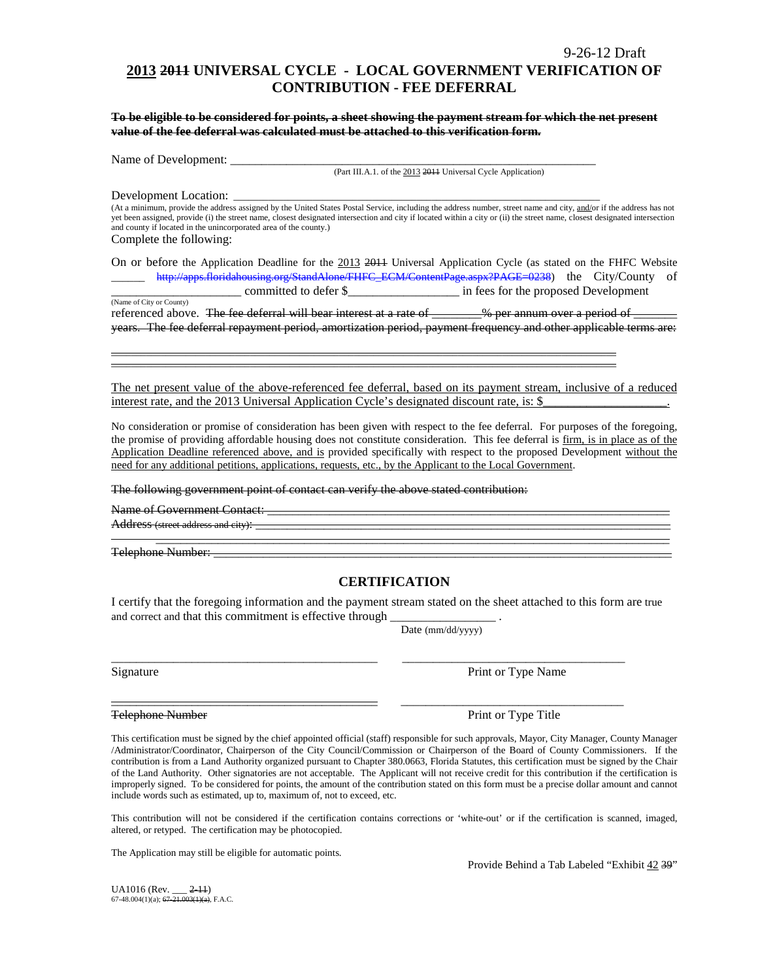# **2013 2011 UNIVERSAL CYCLE - LOCAL GOVERNMENT VERIFICATION OF CONTRIBUTION - FEE DEFERRAL**

**To be eligible to be considered for points, a sheet showing the payment stream for which the net present value of the fee deferral was calculated must be attached to this verification form.**

Name of Development:

(Part III.A.1. of the 2013 2011 Universal Cycle Application)

Development Location:

(At a minimum, provide the address assigned by the United States Postal Service, including the address number, street name and city, and/or if the address has not yet been assigned, provide (i) the street name, closest designated intersection and city if located within a city or (ii) the street name, closest designated intersection and county if located in the unincorporated area of the county.) Complete the following:

On or before the Application Deadline for the 2013 2011 Universal Application Cycle (as stated on the FHFC Website \_\_\_\_\_\_ [http://apps.floridahousing.org/StandAlone/FHFC\\_ECM/ContentPage.aspx?PAGE=0238\)](http://apps.floridahousing.org/StandAlone/FHFC_ECM/ContentPage.aspx?PAGE=0238) the City/County of \_\_\_\_\_\_\_\_\_\_\_\_\_\_\_\_\_\_\_\_\_ committed to defer \$\_\_\_\_\_\_\_\_\_\_\_\_\_\_\_\_\_\_ in fees for the proposed Development

(Name of City or County) referenced above. The fee deferral will bear interest at a rate of \_\_\_\_\_\_\_% per annum over a period of \_ years. The fee deferral repayment period, amortization period, payment frequency and other applicable terms are:

\_\_\_\_\_\_\_\_\_\_\_\_\_\_\_\_\_\_\_\_\_\_\_\_\_\_\_\_\_\_\_\_\_\_\_\_\_\_\_\_\_\_\_\_\_\_\_\_\_\_\_\_\_\_\_\_\_\_\_\_\_\_\_\_\_\_\_\_\_\_\_\_\_\_\_\_\_\_\_\_\_\_\_\_\_\_\_\_\_\_\_\_\_\_\_\_\_\_\_\_\_\_ \_\_\_\_\_\_\_\_\_\_\_\_\_\_\_\_\_\_\_\_\_\_\_\_\_\_\_\_\_\_\_\_\_\_\_\_\_\_\_\_\_\_\_\_\_\_\_\_\_\_\_\_\_\_\_\_\_\_\_\_\_\_\_\_\_\_\_\_\_\_\_\_\_\_\_\_\_\_\_\_\_\_\_\_\_\_\_\_\_\_\_\_\_\_\_\_\_\_\_\_\_\_

The net present value of the above-referenced fee deferral, based on its payment stream, inclusive of a reduced interest rate, and the 2013 Universal Application Cycle's designated discount rate, is: \$

No consideration or promise of consideration has been given with respect to the fee deferral. For purposes of the foregoing, the promise of providing affordable housing does not constitute consideration. This fee deferral is firm, is in place as of the Application Deadline referenced above, and is provided specifically with respect to the proposed Development without the need for any additional petitions, applications, requests, etc., by the Applicant to the Local Government.

The following government point of contact can verify the above stated contribution:

Name of Government Contact:

Address (street address and city):

Telephone Number: \_\_\_\_\_\_\_\_\_\_\_\_\_\_\_\_\_\_\_\_\_\_\_\_\_\_\_\_\_\_\_\_\_\_\_\_\_\_\_\_\_\_\_\_\_\_\_\_\_\_\_\_\_\_\_\_\_\_\_\_\_\_\_\_\_\_\_\_\_\_\_\_\_\_

### **CERTIFICATION**

\_\_\_\_\_\_\_\_\_\_\_\_\_\_\_\_\_\_\_\_\_\_\_\_\_\_\_\_\_\_\_\_\_\_\_\_\_\_\_\_\_\_\_\_\_\_\_\_\_\_\_\_\_\_\_\_\_\_\_\_\_\_\_\_\_\_\_\_\_\_\_\_\_\_\_\_\_\_\_\_\_\_\_

I certify that the foregoing information and the payment stream stated on the sheet attached to this form are true and correct and that this commitment is effective through

\_\_\_\_\_\_\_\_\_\_\_\_\_\_\_\_\_\_\_\_\_\_\_\_\_\_\_\_\_\_\_\_\_\_\_\_\_\_\_\_\_\_\_ \_\_\_\_\_\_\_\_\_\_\_\_\_\_\_\_\_\_\_\_\_\_\_\_\_\_\_\_\_\_\_\_\_\_\_\_

Date (mm/dd/yyyy)

Signature Print or Type Name

Telephone Number **Print of Type Title** Print or Type Title

This certification must be signed by the chief appointed official (staff) responsible for such approvals, Mayor, City Manager, County Manager /Administrator/Coordinator, Chairperson of the City Council/Commission or Chairperson of the Board of County Commissioners. If the contribution is from a Land Authority organized pursuant to Chapter 380.0663, Florida Statutes, this certification must be signed by the Chair of the Land Authority. Other signatories are not acceptable. The Applicant will not receive credit for this contribution if the certification is improperly signed. To be considered for points, the amount of the contribution stated on this form must be a precise dollar amount and cannot include words such as estimated, up to, maximum of, not to exceed, etc.

This contribution will not be considered if the certification contains corrections or 'white-out' or if the certification is scanned, imaged, altered, or retyped. The certification may be photocopied.

The Application may still be eligible for automatic points.

Provide Behind a Tab Labeled "Exhibit 42 39"

 $U_A$ 1016 (Rev.  $2-11$ ) 67-48.004(1)(a); 67-21.003(1)(a), F.A.C.

\_\_\_\_\_\_\_\_\_\_\_\_\_\_\_\_\_\_\_\_\_\_\_\_\_\_\_\_\_\_\_\_\_\_\_\_\_\_\_\_\_\_\_ \_\_\_\_\_\_\_\_\_\_\_\_\_\_\_\_\_\_\_\_\_\_\_\_\_\_\_\_\_\_\_\_\_\_\_\_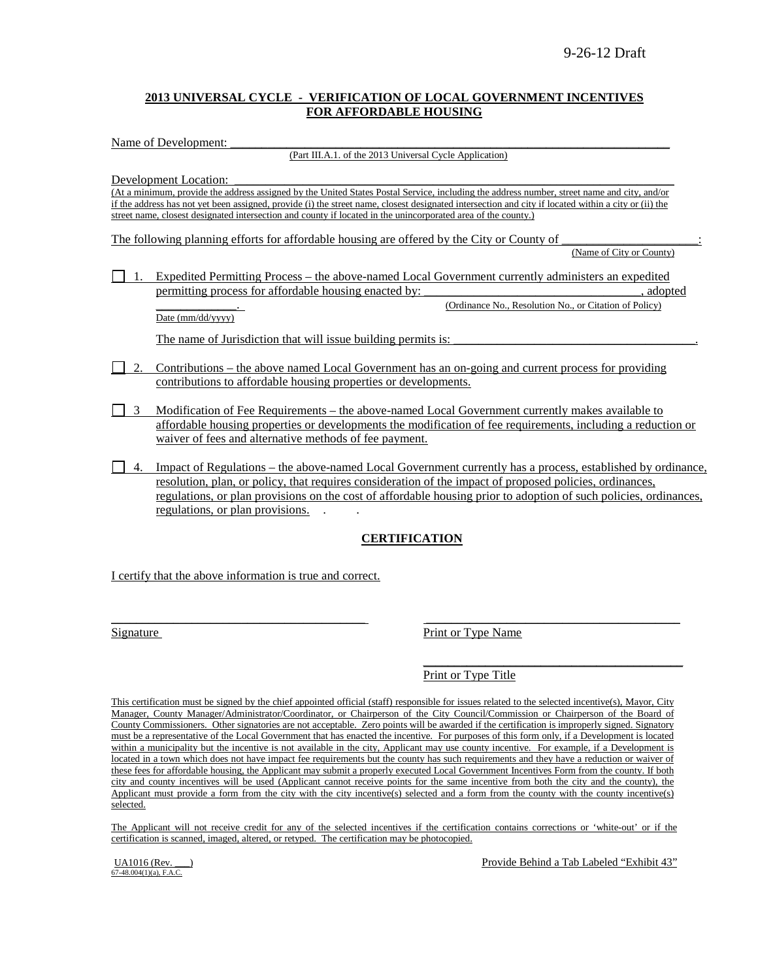### **2013 UNIVERSAL CYCLE - VERIFICATION OF LOCAL GOVERNMENT INCENTIVES FOR AFFORDABLE HOUSING**

Name of Development:

(Part III.A.1. of the 2013 Universal Cycle Application)

Development Location:

(At a minimum, provide the address assigned by the United States Postal Service, including the address number, street name and city, and/or if the address has not yet been assigned, provide (i) the street name, closest designated intersection and city if located within a city or (ii) the street name, closest designated intersection and county if located in the unincorporated area of the county.)

The following planning efforts for affordable housing are offered by the City or County of (Name of City or County)

1. Expedited Permitting Process – the above-named Local Government currently administers an expedited permitting process for affordable housing enacted by:  $\qquad \qquad$ , adopted (Ordinance No., Resolution No., or Citation of Policy)

Date (mm/dd/yyyy)

The name of Jurisdiction that will issue building permits is:

- 2. Contributions the above named Local Government has an on-going and current process for providing contributions to affordable housing properties or developments.
- 3 Modification of Fee Requirements the above-named Local Government currently makes available to affordable housing properties or developments the modification of fee requirements, including a reduction or waiver of fees and alternative methods of fee payment.
- 4. Impact of Regulations the above-named Local Government currently has a process, established by ordinance, resolution, plan, or policy, that requires consideration of the impact of proposed policies, ordinances, regulations, or plan provisions on the cost of affordable housing prior to adoption of such policies, ordinances, regulations, or plan provisions. . .

### **CERTIFICATION**

I certify that the above information is true and correct.

 $\overline{\phantom{a}}$  , and the contribution of the contribution of the contribution of the contribution of the contribution of the contribution of the contribution of the contribution of the contribution of the contribution of the Signature Print or Type Name

> $\overline{\phantom{a}}$  , where the contract of the contract of the contract of the contract of the contract of the contract of the contract of the contract of the contract of the contract of the contract of the contract of the contr Print or Type Title

This certification must be signed by the chief appointed official (staff) responsible for issues related to the selected incentive(s), Mayor, City Manager, County Manager/Administrator/Coordinator, or Chairperson of the City Council/Commission or Chairperson of the Board of County Commissioners. Other signatories are not acceptable. Zero points will be awarded if the certification is improperly signed. Signatory must be a representative of the Local Government that has enacted the incentive. For purposes of this form only, if a Development is located within a municipality but the incentive is not available in the city, Applicant may use county incentive. For example, if a Development is located in a town which does not have impact fee requirements but the county has such requirements and they have a reduction or waiver of these fees for affordable housing, the Applicant may submit a properly executed Local Government Incentives Form from the county. If both city and county incentives will be used (Applicant cannot receive points for the same incentive from both the city and the county), the Applicant must provide a form from the city with the city incentive(s) selected and a form from the county with the county incentive(s) selected.

The Applicant will not receive credit for any of the selected incentives if the certification contains corrections or 'white-out' or if the certification is scanned, imaged, altered, or retyped. The certification may be photocopied.

67-48.004(1)(a), F.A.C.

UA1016 (Rev. \_\_\_) **Provide Behind a Tab Labeled "Exhibit 43"** Provide Behind a Tab Labeled "Exhibit 43"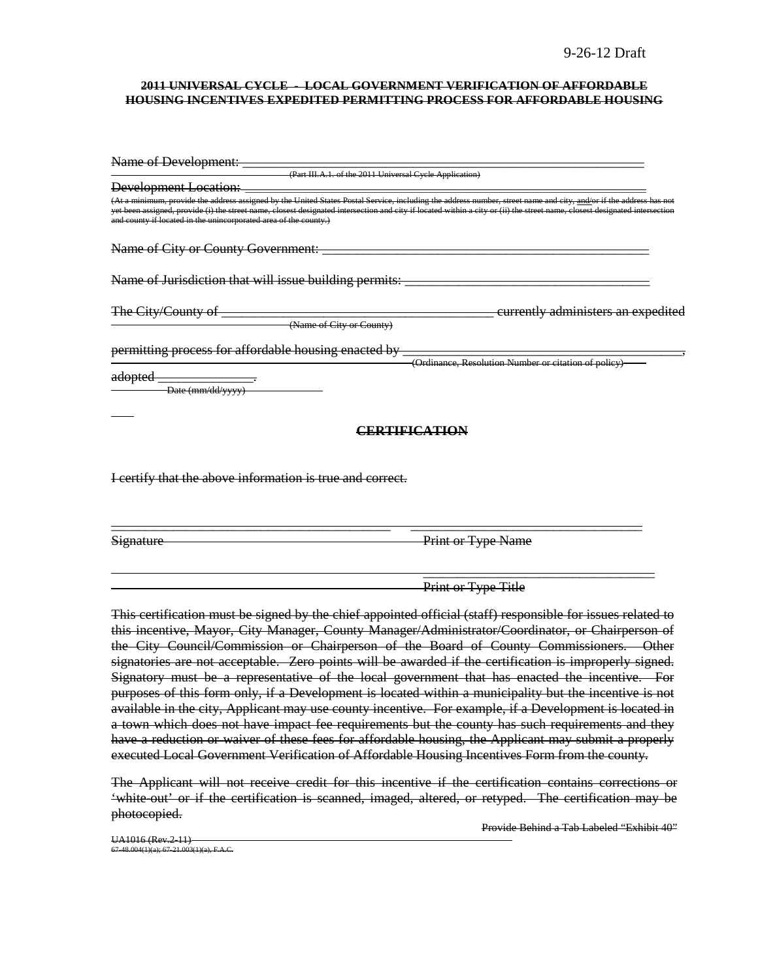#### **2011 UNIVERSAL CYCLE - LOCAL GOVERNMENT VERIFICATION OF AFFORDABLE HOUSING INCENTIVES EXPEDITED PERMITTING PROCESS FOR AFFORDABLE HOUSING**

| Name of Development:                                                                                                                                                                                                                                                                                                                                                                                                 |                                                      |
|----------------------------------------------------------------------------------------------------------------------------------------------------------------------------------------------------------------------------------------------------------------------------------------------------------------------------------------------------------------------------------------------------------------------|------------------------------------------------------|
| (Part III.A.1. of the 2011 Universal Cycle Application)                                                                                                                                                                                                                                                                                                                                                              |                                                      |
| <b>Development Location:</b>                                                                                                                                                                                                                                                                                                                                                                                         |                                                      |
| (At a minimum, provide the address assigned by the United States Postal Service, including the address number, street name and city, and/or if the address has not<br>yet been assigned, provide (i) the street name, closest designated intersection and city if located within a city or (ii) the street name, closest designated intersection<br>and county if located in the unincorporated area of the county.) |                                                      |
| Name of City or County Government:                                                                                                                                                                                                                                                                                                                                                                                   |                                                      |
| Name of Jurisdiction that will issue building permits:                                                                                                                                                                                                                                                                                                                                                               |                                                      |
| The City/County of<br>(Name of City or County)                                                                                                                                                                                                                                                                                                                                                                       | currently administers an expedited                   |
| permitting process for affordable housing enacted by<br>adopted<br>Date (mm/dd/yyyy)                                                                                                                                                                                                                                                                                                                                 | (Ordinance, Resolution Number or citation of policy) |
| CERTIFICATION                                                                                                                                                                                                                                                                                                                                                                                                        |                                                      |
| I certify that the above information is true and correct.                                                                                                                                                                                                                                                                                                                                                            |                                                      |
|                                                                                                                                                                                                                                                                                                                                                                                                                      |                                                      |

Signature Print or Type Name

 $\overline{\phantom{a}}$  , and the contract of the contract of the contract of the contract of the contract of the contract of the contract of the contract of the contract of the contract of the contract of the contract of the contrac Print or Type Title

This certification must be signed by the chief appointed official (staff) responsible for issues related to this incentive, Mayor, City Manager, County Manager/Administrator/Coordinator, or Chairperson of the City Council/Commission or Chairperson of the Board of County Commissioners. Other signatories are not acceptable. Zero points will be awarded if the certification is improperly signed. Signatory must be a representative of the local government that has enacted the incentive. For purposes of this form only, if a Development is located within a municipality but the incentive is not available in the city, Applicant may use county incentive. For example, if a Development is located in a town which does not have impact fee requirements but the county has such requirements and they have a reduction or waiver of these fees for affordable housing, the Applicant may submit a properly executed Local Government Verification of Affordable Housing Incentives Form from the county.

The Applicant will not receive credit for this incentive if the certification contains corrections or 'white-out' or if the certification is scanned, imaged, altered, or retyped. The certification may be photocopied.

Provide Behind a Tab Labeled "Exhibit 40"

UA1016 (Rev.2-11)  $6.7-7-7=6$  (1)(a); 67-21.003(1)(a), F.A.C.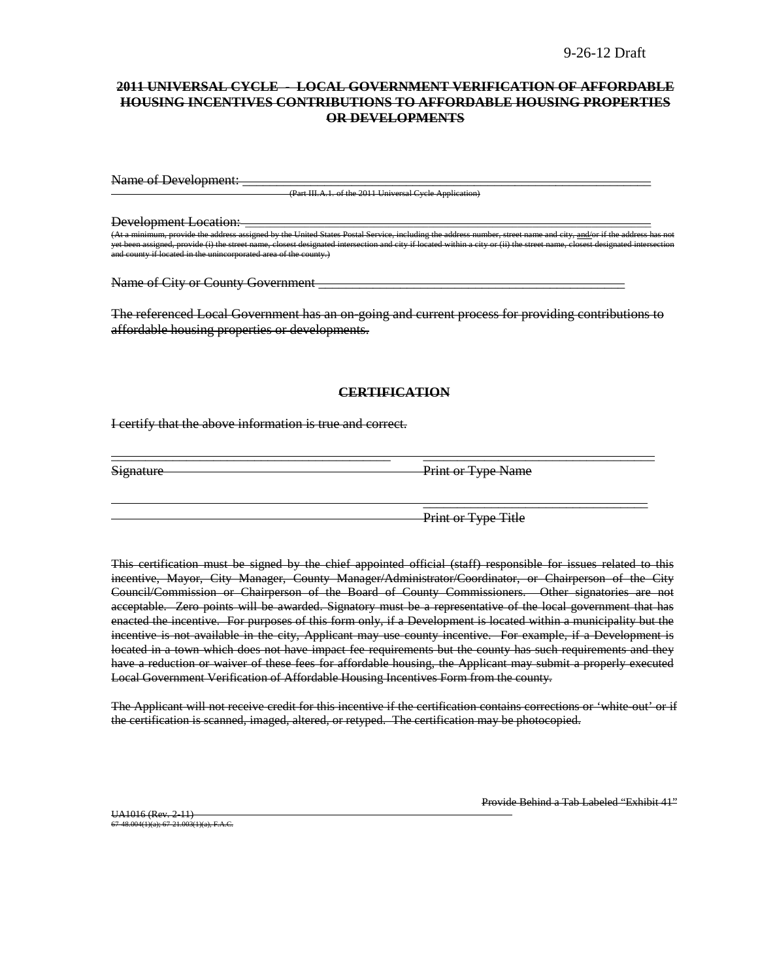### **2011 UNIVERSAL CYCLE - LOCAL GOVERNMENT VERIFICATION OF AFFORDABLE HOUSING INCENTIVES CONTRIBUTIONS TO AFFORDABLE HOUSING PROPERTIES OR DEVELOPMENTS**

Name of Development:

 $\overline{O(Part III A.1. of the 2011 Universal Cycle Apollo A.11}$ 

Development Location:

d by the United States Postal Service, including the address number, street name and city, and city, and and c ide (i) the street name, closest designated intersection and city if located within a city or (ii) the and county if located in the unincorporated area of the county.)

Name of City or County Government **example 2** 

The referenced Local Government has an on-going and current process for providing contributions to affordable housing properties or developments.

#### **CERTIFICATION**

\_\_\_\_\_\_\_\_\_\_\_\_\_\_\_\_\_\_\_\_\_\_\_\_\_\_\_\_\_\_\_\_\_\_\_\_\_\_\_\_\_ \_\_\_\_\_\_\_\_\_\_\_\_\_\_\_\_\_\_\_\_\_\_\_\_\_\_\_\_\_\_\_\_\_\_

I certify that the above information is true and correct.

Signature Print or Type Name

Print or Type Title

 $\overline{\phantom{a}}$  , which is a set of the set of the set of the set of the set of the set of the set of the set of the set of the set of the set of the set of the set of the set of the set of the set of the set of the set of th

This certification must be signed by the chief appointed official (staff) responsible for issues related to this incentive, Mayor, City Manager, County Manager/Administrator/Coordinator, or Chairperson of the City Council/Commission or Chairperson of the Board of County Commissioners. Other signatories are not acceptable. Zero points will be awarded. Signatory must be a representative of the local government that has enacted the incentive. For purposes of this form only, if a Development is located within a municipality but the incentive is not available in the city, Applicant may use county incentive. For example, if a Development is located in a town which does not have impact fee requirements but the county has such requirements and they have a reduction or waiver of these fees for affordable housing, the Applicant may submit a properly executed Local Government Verification of Affordable Housing Incentives Form from the county.

The Applicant will not receive credit for this incentive if the certification contains corrections or 'white-out' or if the certification is scanned, imaged, altered, or retyped. The certification may be photocopied.

UA1016 (Rev. 2-11) 67-48.004(1)(a); 67-21.003(1)(a), F.A.C. Provide Behind a Tab Labeled "Exhibit 41"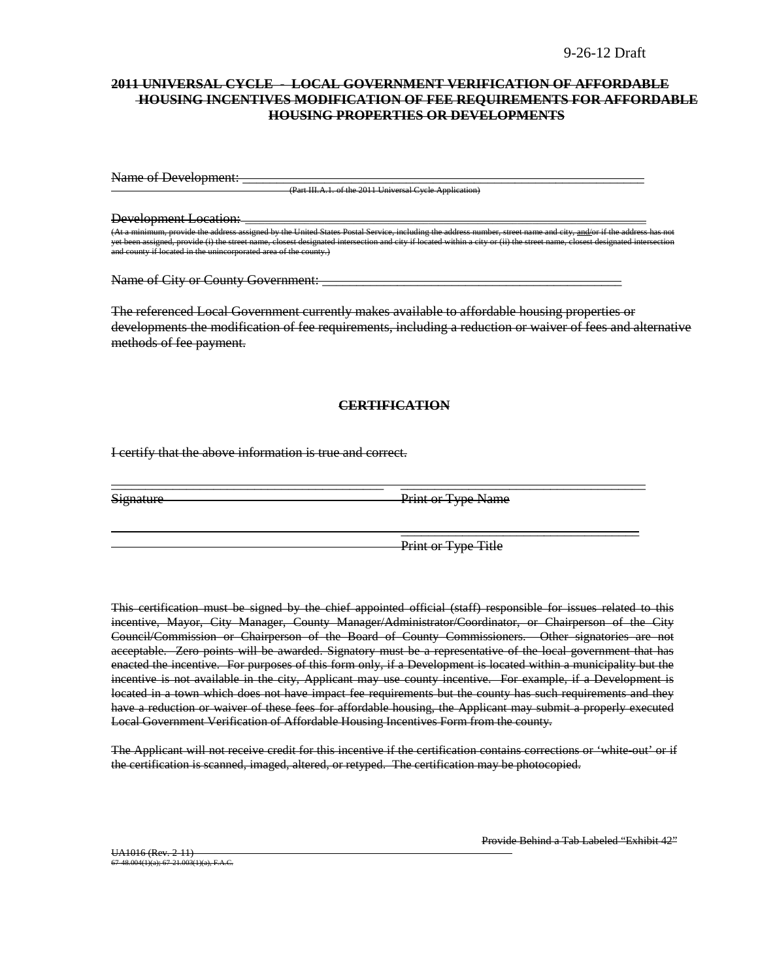### **2011 UNIVERSAL CYCLE - LOCAL GOVERNMENT VERIFICATION OF AFFORDABLE HOUSING INCENTIVES MODIFICATION OF FEE REQUIREMENTS FOR AFFORDABLE HOUSING PROPERTIES OR DEVELOPMENTS**

Name of Development: \_

(Part III.A.1. of the 2011 Universal Cycle Application)

Development Location: \_\_\_\_\_\_\_\_\_\_\_\_\_\_\_\_\_\_\_\_\_\_\_\_\_\_\_\_\_\_\_\_\_\_\_\_\_\_\_\_\_\_\_\_\_\_\_\_\_\_\_\_\_\_\_\_\_\_\_\_\_\_\_\_\_\_\_\_\_\_\_\_\_\_\_\_\_\_\_\_\_ m, provide the address assigned by the United States Postal Service, including the address number, not if the a yrovide (i) the street name, closest designated intersection and city if located within a city or (iii) the street name, closest designated intersection and city if located within  $m$  in and comporated area of the county.)

Name of City or County Government:

The referenced Local Government currently makes available to affordable housing properties or developments the modification of fee requirements, including a reduction or waiver of fees and alternative methods of fee payment.

#### **CERTIFICATION**

\_\_\_\_\_\_\_\_\_\_\_\_\_\_\_\_\_\_\_\_\_\_\_\_\_\_\_\_\_\_\_\_\_\_\_\_\_\_\_\_ \_\_\_\_\_\_\_\_\_\_\_\_\_\_\_\_\_\_\_\_\_\_\_\_\_\_\_\_\_\_\_\_\_\_\_\_

I certify that the above information is true and correct.

Signature Print or Type Name

Print or Type Title

 $\overline{\phantom{a}}$  , and the contract of the contract of the contract of the contract of the contract of the contract of the contract of the contract of the contract of the contract of the contract of the contract of the contrac

This certification must be signed by the chief appointed official (staff) responsible for issues related to this incentive, Mayor, City Manager, County Manager/Administrator/Coordinator, or Chairperson of the City Council/Commission or Chairperson of the Board of County Commissioners. Other signatories are not acceptable. Zero points will be awarded. Signatory must be a representative of the local government that has enacted the incentive. For purposes of this form only, if a Development is located within a municipality but the incentive is not available in the city, Applicant may use county incentive. For example, if a Development is located in a town which does not have impact fee requirements but the county has such requirements and they have a reduction or waiver of these fees for affordable housing, the Applicant may submit a properly executed Local Government Verification of Affordable Housing Incentives Form from the county.

The Applicant will not receive credit for this incentive if the certification contains corrections or 'white out' or if the certification is scanned, imaged, altered, or retyped. The certification may be photocopied.

Provide Behind a Tab Labeled "Exhibit 42"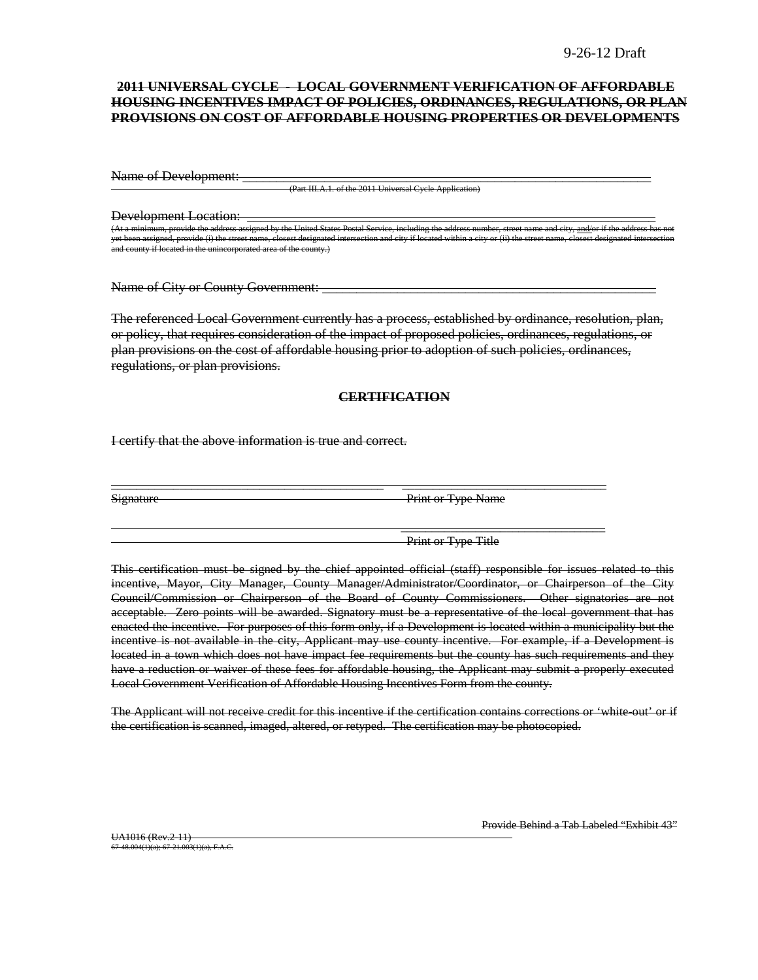### **2011 UNIVERSAL CYCLE - LOCAL GOVERNMENT VERIFICATION OF AFFORDABLE HOUSING INCENTIVES IMPACT OF POLICIES, ORDINANCES, REGULATIONS, OR PLAN PROVISIONS ON COST OF AFFORDABLE HOUSING PROPERTIES OR DEVELOPMENTS**

Name of Development:

(Part III.A.1. of the 2011 Universal Cycle Appli

Development Location:

(United States Postal Service, including United States Postal Service, including the address number, including the address number, and  $\frac{1}{n}$  the address of the address of the address of the address has not the address yet been assigned, provide (i) the street name, closest designated intersection and city if located within a city or (ii) the street name, closest designated intersection and county if located in the unincorporated area of the county.)

Name of City or County Government:

The referenced Local Government currently has a process, established by ordinance, resolution, plan, or policy, that requires consideration of the impact of proposed policies, ordinances, regulations, or plan provisions on the cost of affordable housing prior to adoption of such policies, ordinances, regulations, or plan provisions.

#### **CERTIFICATION**

\_\_\_\_\_\_\_\_\_\_\_\_\_\_\_\_\_\_\_\_\_\_\_\_\_\_\_\_\_\_\_\_\_\_\_\_\_\_\_\_\_\_\_\_ \_\_\_\_\_\_\_\_\_\_\_\_\_\_\_\_\_\_\_\_\_\_\_\_\_\_\_\_\_\_\_\_\_

I certify that the above information is true and correct.

Signature Print or Type Name

Print or Type Title

\_\_\_\_\_\_\_\_\_\_\_\_\_\_\_\_\_\_\_\_\_\_\_\_\_\_\_\_\_\_\_\_\_

This certification must be signed by the chief appointed official (staff) responsible for issues related to this incentive, Mayor, City Manager, County Manager/Administrator/Coordinator, or Chairperson of the City Council/Commission or Chairperson of the Board of County Commissioners. Other signatories are not acceptable. Zero points will be awarded. Signatory must be a representative of the local government that has enacted the incentive. For purposes of this form only, if a Development is located within a municipality but the incentive is not available in the city, Applicant may use county incentive. For example, if a Development is located in a town which does not have impact fee requirements but the county has such requirements and they have a reduction or waiver of these fees for affordable housing, the Applicant may submit a properly executed Local Government Verification of Affordable Housing Incentives Form from the county.

The Applicant will not receive credit for this incentive if the certification contains corrections or 'white-out' or if the certification is scanned, imaged, altered, or retyped. The certification may be photocopied.

UA1016 (Rev.2-11) 67-48.004(1)(a); 67-21.003(1)(a), F.A.C. Provide Behind a Tab Labeled "Exhibit 43"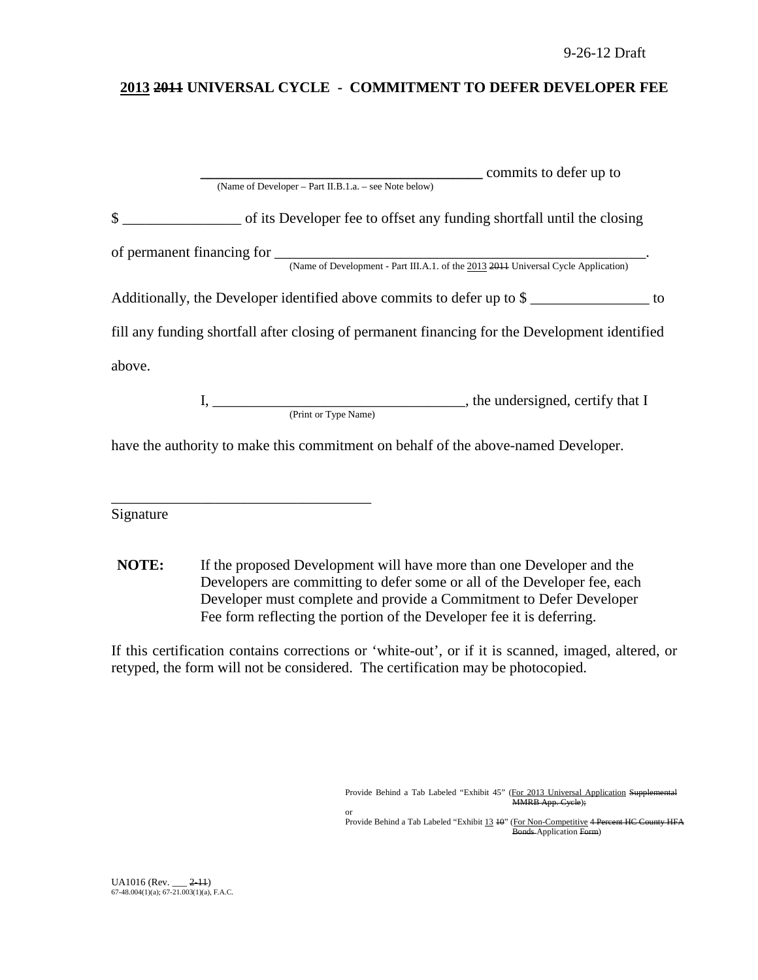# **2013 2011 UNIVERSAL CYCLE - COMMITMENT TO DEFER DEVELOPER FEE**

|              |                                                       | commits to defer up to                                                                         |  |
|--------------|-------------------------------------------------------|------------------------------------------------------------------------------------------------|--|
|              | (Name of Developer - Part II.B.1.a. - see Note below) |                                                                                                |  |
| $\mathbb{S}$ |                                                       | of its Developer fee to offset any funding shortfall until the closing                         |  |
|              |                                                       |                                                                                                |  |
|              |                                                       | (Name of Development - Part III.A.1. of the 2013 2014 Universal Cycle Application)             |  |
|              |                                                       | Additionally, the Developer identified above commits to defer up to \$<br>to                   |  |
|              |                                                       | fill any funding shortfall after closing of permanent financing for the Development identified |  |
| above.       |                                                       |                                                                                                |  |
|              |                                                       |                                                                                                |  |
|              | (Print or Type Name)                                  |                                                                                                |  |
|              |                                                       | have the authority to make this commitment on behalf of the above-named Developer.             |  |

Signature

\_\_\_\_\_\_\_\_\_\_\_\_\_\_\_\_\_\_\_\_\_\_\_\_\_\_\_\_\_\_\_\_\_\_\_

**NOTE:** If the proposed Development will have more than one Developer and the Developers are committing to defer some or all of the Developer fee, each Developer must complete and provide a Commitment to Defer Developer Fee form reflecting the portion of the Developer fee it is deferring.

or

If this certification contains corrections or 'white-out', or if it is scanned, imaged, altered, or retyped, the form will not be considered. The certification may be photocopied.

> Provide Behind a Tab Labeled "Exhibit 45" (For 2013 Universal Application Supplemental MMRB App. Cycle);

Provide Behind a Tab Labeled "Exhibit 13 40" (For Non-Competitive 4 Percent HC County HFA Bonds Application Form)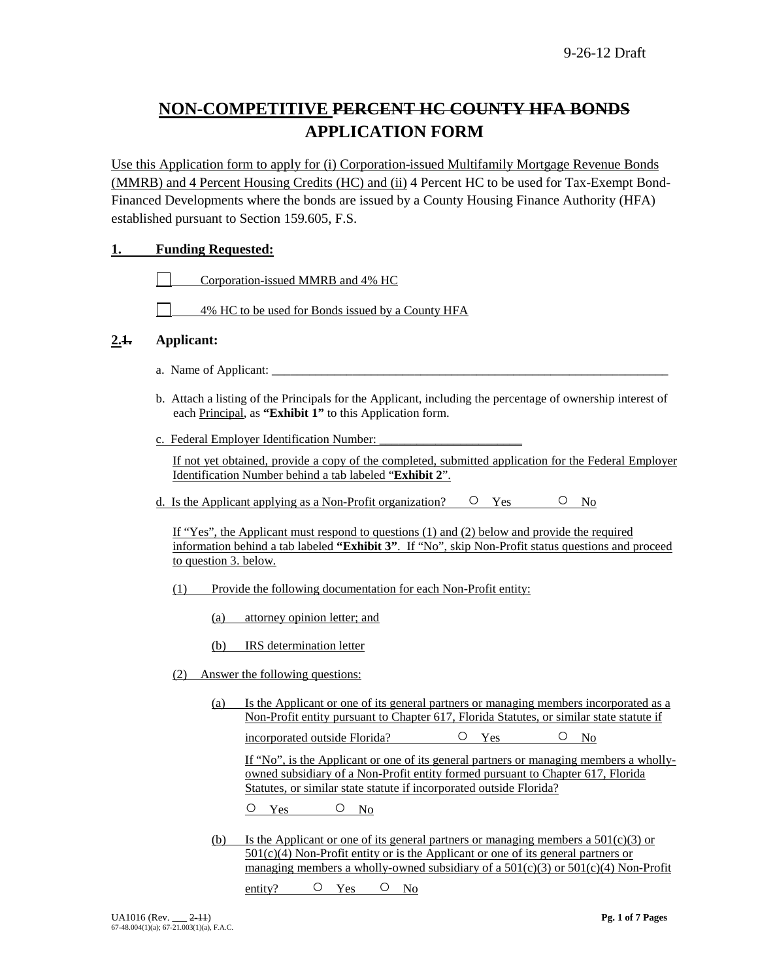# **NON-COMPETITIVE PERCENT HC COUNTY HFA BONDS APPLICATION FORM**

Use this Application form to apply for (i) Corporation-issued Multifamily Mortgage Revenue Bonds (MMRB) and 4 Percent Housing Credits (HC) and (ii) 4 Percent HC to be used for Tax-Exempt Bond-Financed Developments where the bonds are issued by a County Housing Finance Authority (HFA) established pursuant to Section 159.605, F.S.

### **1. Funding Requested:**

Corporation-issued MMRB and 4% HC

4% HC to be used for Bonds issued by a County HFA

### **2.1. Applicant:**

- a. Name of Applicant:
- b. Attach a listing of the Principals for the Applicant, including the percentage of ownership interest of each Principal, as **"Exhibit 1"** to this Application form.
- c. Federal Employer Identification Number:

If not yet obtained, provide a copy of the completed, submitted application for the Federal Employer Identification Number behind a tab labeled "**Exhibit 2**".

d. Is the Applicant applying as a Non-Profit organization?  $\circ$  Yes  $\circ$  No

If "Yes", the Applicant must respond to questions (1) and (2) below and provide the required information behind a tab labeled **"Exhibit 3"**. If "No", skip Non-Profit status questions and proceed to question 3. below.

- (1) Provide the following documentation for each Non-Profit entity:
	- (a) attorney opinion letter; and
	- (b) IRS determination letter
- (2) Answer the following questions:
	- (a) Is the Applicant or one of its general partners or managing members incorporated as a Non-Profit entity pursuant to Chapter 617, Florida Statutes, or similar state statute if

incorporated outside Florida? 
<br>  $O$  Yes  $O$  No

If "No", is the Applicant or one of its general partners or managing members a whollyowned subsidiary of a Non-Profit entity formed pursuant to Chapter 617, Florida Statutes, or similar state statute if incorporated outside Florida?

O Yes O No

(b) Is the Applicant or one of its general partners or managing members a  $501(c)(3)$  or 501(c)(4) Non-Profit entity or is the Applicant or one of its general partners or managing members a wholly-owned subsidiary of a  $501(c)(3)$  or  $501(c)(4)$  Non-Profit

entity? O Yes O No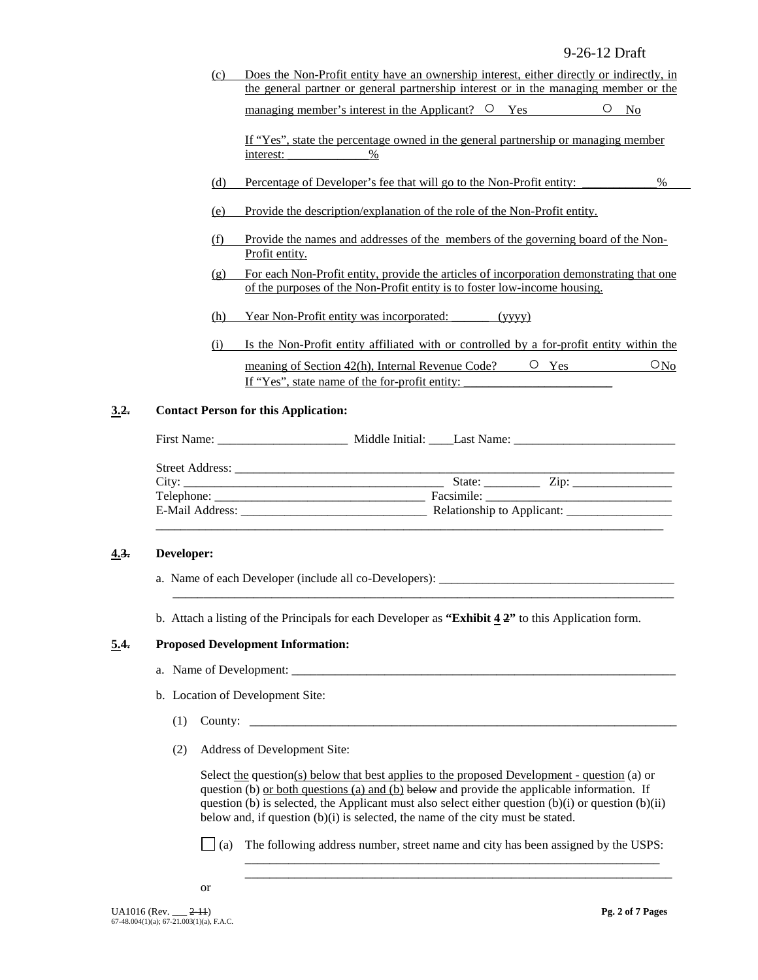(c) Does the Non-Profit entity have an ownership interest, either directly or indirectly, in the general partner or general partnership interest or in the managing member or the managing member's interest in the Applicant?  $\circ$  Yes  $\circ$  No

If "Yes", state the percentage owned in the general partnership or managing member interest:  $\%$ 

- (d) Percentage of Developer's fee that will go to the Non-Profit entity: \_\_\_\_\_\_\_\_\_\_\_\_%
- (e) Provide the description/explanation of the role of the Non-Profit entity.
- (f) Provide the names and addresses of the members of the governing board of the Non-Profit entity.
- (g) For each Non-Profit entity, provide the articles of incorporation demonstrating that one of the purposes of the Non-Profit entity is to foster low-income housing.
- (h) Year Non-Profit entity was incorporated: \_\_\_\_\_\_ (yyyy)
- (i) Is the Non-Profit entity affiliated with or controlled by a for-profit entity within the meaning of Section 42(h), Internal Revenue Code?  $\qquad \qquad \circ$  Yes  $\qquad \qquad \circ$  No If "Yes", state name of the for-profit entity:

#### **3.2. Contact Person for this Application:**

| State: $\angle$ Zip: $\angle$ |       |
|-------------------------------|-------|
|                               |       |
|                               |       |
|                               | City: |

#### **4.3. Developer:**

- a. Name of each Developer (include all co-Developers): \_\_\_\_\_\_\_\_\_\_\_\_\_\_\_\_\_\_\_\_\_\_\_\_\_\_\_\_\_\_\_\_\_\_\_\_\_\_
- b. Attach a listing of the Principals for each Developer as **"Exhibit 4 2"** to this Application form.

\_\_\_\_\_\_\_\_\_\_\_\_\_\_\_\_\_\_\_\_\_\_\_\_\_\_\_\_\_\_\_\_\_\_\_\_\_\_\_\_\_\_\_\_\_\_\_\_\_\_\_\_\_\_\_\_\_\_\_\_\_\_\_\_\_\_\_\_\_\_\_\_\_\_\_\_\_\_\_\_\_

#### **5.4. Proposed Development Information:**

- a. Name of Development:
- b. Location of Development Site:
	- (1) County: \_\_\_\_\_\_\_\_\_\_\_\_\_\_\_\_\_\_\_\_\_\_\_\_\_\_\_\_\_\_\_\_\_\_\_\_\_\_\_\_\_\_\_\_\_\_\_\_\_\_\_\_\_\_\_\_\_\_\_\_\_\_\_\_\_\_\_\_\_
	- (2) Address of Development Site:

Select the question(s) below that best applies to the proposed Development - question (a) or question (b) or both questions (a) and (b) below and provide the applicable information. If question (b) is selected, the Applicant must also select either question  $(b)(i)$  or question  $(b)(ii)$ below and, if question (b)(i) is selected, the name of the city must be stated.

(a) The following address number, street name and city has been assigned by the USPS:

\_\_\_\_\_\_\_\_\_\_\_\_\_\_\_\_\_\_\_\_\_\_\_\_\_\_\_\_\_\_\_\_\_\_\_\_\_\_\_\_\_\_\_\_\_\_\_\_\_\_\_\_\_\_\_\_\_\_\_\_\_\_\_\_\_\_\_ \_\_\_\_\_\_\_\_\_\_\_\_\_\_\_\_\_\_\_\_\_\_\_\_\_\_\_\_\_\_\_\_\_\_\_\_\_\_\_\_\_\_\_\_\_\_\_\_\_\_\_\_\_\_\_\_\_\_\_\_\_\_\_\_\_\_\_\_\_

or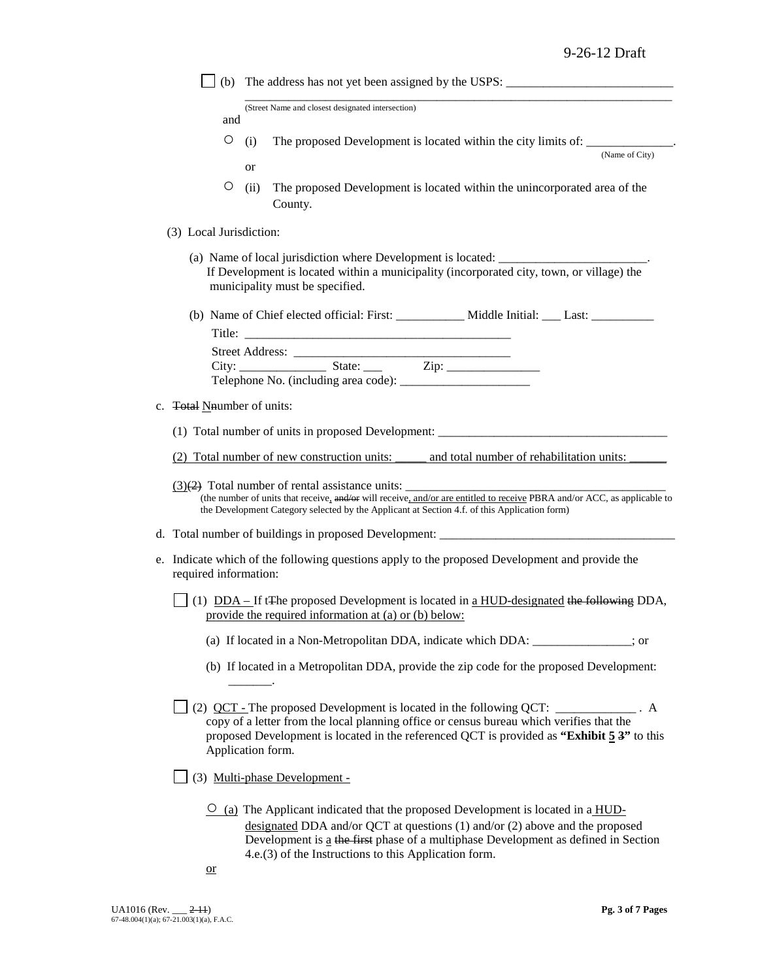|                            | (b) The address has not yet been assigned by the USPS: $\frac{1}{\frac{1}{1-\frac{1}{1-\frac{1}{1-\frac{1}{1-\frac{1}{1-\frac{1}{1-\frac{1}{1-\frac{1}{1-\frac{1}{1-\frac{1}{1-\frac{1}{1-\frac{1}{1-\frac{1}{1-\frac{1}{1-\frac{1}{1-\frac{1}{1-\frac{1}{1-\frac{1}{1-\frac{1}{1-\frac{1}{1-\frac{1}{1-\frac{1}{1-\frac{1}{1-\frac{1}{1-\frac{1}{1-\frac{1}{1-\frac{1$ |
|----------------------------|-------------------------------------------------------------------------------------------------------------------------------------------------------------------------------------------------------------------------------------------------------------------------------------------------------------------------------------------------------------------------|
| and                        | (Street Name and closest designated intersection)                                                                                                                                                                                                                                                                                                                       |
|                            |                                                                                                                                                                                                                                                                                                                                                                         |
| O                          | The proposed Development is located within the city limits of: _________________<br>(i)<br>(Name of City)                                                                                                                                                                                                                                                               |
|                            | or                                                                                                                                                                                                                                                                                                                                                                      |
| O                          | The proposed Development is located within the unincorporated area of the<br>(ii)<br>County.                                                                                                                                                                                                                                                                            |
| (3) Local Jurisdiction:    |                                                                                                                                                                                                                                                                                                                                                                         |
|                            | (a) Name of local jurisdiction where Development is located: ___________________<br>If Development is located within a municipality (incorporated city, town, or village) the<br>municipality must be specified.                                                                                                                                                        |
|                            |                                                                                                                                                                                                                                                                                                                                                                         |
|                            |                                                                                                                                                                                                                                                                                                                                                                         |
|                            |                                                                                                                                                                                                                                                                                                                                                                         |
|                            |                                                                                                                                                                                                                                                                                                                                                                         |
| c. Total Nnumber of units: |                                                                                                                                                                                                                                                                                                                                                                         |
|                            |                                                                                                                                                                                                                                                                                                                                                                         |
|                            | (2) Total number of new construction units: and total number of rehabilitation units:                                                                                                                                                                                                                                                                                   |
|                            | $(3)(2)$ Total number of rental assistance units:<br>(the number of units that receive, and/or will receive, and/or are entitled to receive PBRA and/or ACC, as applicable to<br>the Development Category selected by the Applicant at Section 4.f. of this Application form)                                                                                           |
|                            | d. Total number of buildings in proposed Development: __________________________                                                                                                                                                                                                                                                                                        |
| required information:      | e. Indicate which of the following questions apply to the proposed Development and provide the                                                                                                                                                                                                                                                                          |
|                            | (1) $DDA – If tTh$ eproposed Development is located in <u>a HUD-designated the following</u> DDA,<br>provide the required information at (a) or (b) below:                                                                                                                                                                                                              |
|                            | (a) If located in a Non-Metropolitan DDA, indicate which DDA: _____________; or                                                                                                                                                                                                                                                                                         |
|                            | (b) If located in a Metropolitan DDA, provide the zip code for the proposed Development:                                                                                                                                                                                                                                                                                |
|                            | (2) $QCT$ - The proposed Development is located in the following $QCT$ : ____________. A<br>copy of a letter from the local planning office or census bureau which verifies that the<br>proposed Development is located in the referenced QCT is provided as "Exhibit 5 3" to this<br>Application form.                                                                 |
|                            | (3) Multi-phase Development -                                                                                                                                                                                                                                                                                                                                           |
|                            | $\frac{O}{O}$ (a) The Applicant indicated that the proposed Development is located in a HUD-<br>designated DDA and/or QCT at questions $(1)$ and/or $(2)$ above and the proposed<br>Development is a the first phase of a multiphase Development as defined in Section                                                                                                  |

4.e.(3) of the Instructions to this Application form.

or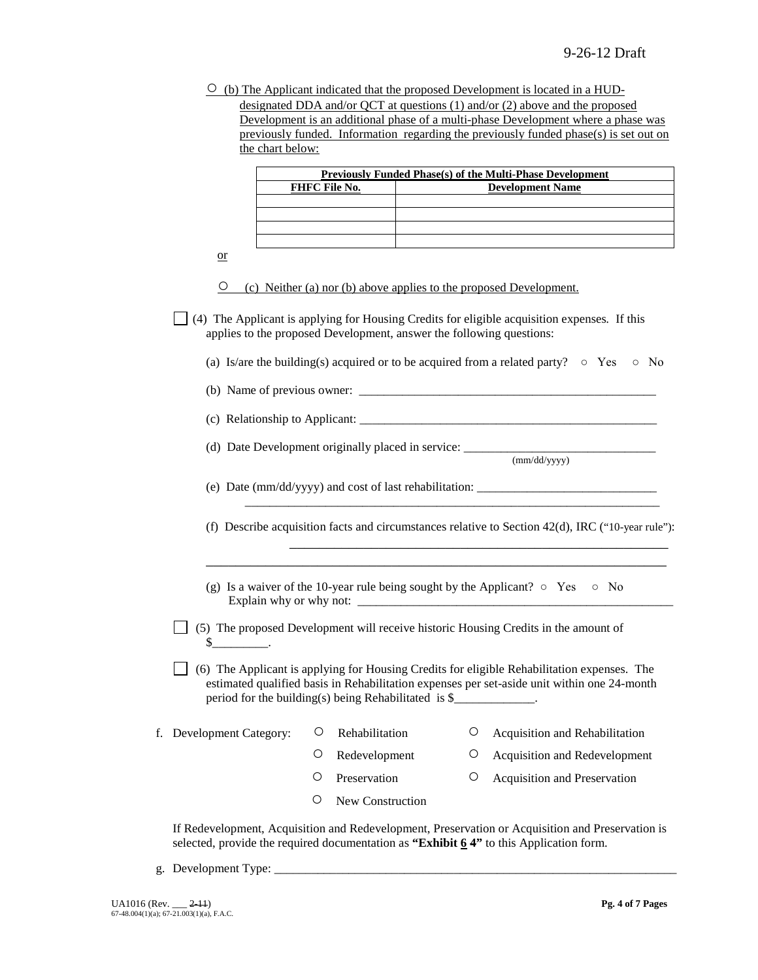$\circ$  (b) The Applicant indicated that the proposed Development is located in a HUDdesignated DDA and/or QCT at questions (1) and/or (2) above and the proposed Development is an additional phase of a multi-phase Development where a phase was previously funded. Information regarding the previously funded phase(s) is set out on

|                          | <b>FHFC File No.</b> |                                                                      |   | <b>Previously Funded Phase(s) of the Multi-Phase Development</b><br><b>Development Name</b>                                                                                                |
|--------------------------|----------------------|----------------------------------------------------------------------|---|--------------------------------------------------------------------------------------------------------------------------------------------------------------------------------------------|
|                          |                      |                                                                      |   |                                                                                                                                                                                            |
|                          |                      |                                                                      |   |                                                                                                                                                                                            |
| $\alpha$                 |                      |                                                                      |   |                                                                                                                                                                                            |
| $\circ$                  |                      | (c) Neither (a) nor (b) above applies to the proposed Development.   |   |                                                                                                                                                                                            |
|                          |                      | applies to the proposed Development, answer the following questions: |   | (4) The Applicant is applying for Housing Credits for eligible acquisition expenses. If this                                                                                               |
|                          |                      |                                                                      |   | (a) Is/are the building(s) acquired or to be acquired from a related party? $\circ$ Yes<br>$\circ$ No                                                                                      |
|                          |                      |                                                                      |   |                                                                                                                                                                                            |
|                          |                      |                                                                      |   |                                                                                                                                                                                            |
|                          |                      |                                                                      |   | (d) Date Development originally placed in service: ______________________________<br>(mm/dd/yyyy)                                                                                          |
|                          |                      |                                                                      |   |                                                                                                                                                                                            |
|                          |                      |                                                                      |   | (e) Date (mm/dd/yyyy) and cost of last rehabilitation: _________________________                                                                                                           |
|                          |                      |                                                                      |   | (f) Describe acquisition facts and circumstances relative to Section $42(d)$ , IRC ("10-year rule"):                                                                                       |
|                          |                      |                                                                      |   | (g) Is a waiver of the 10-year rule being sought by the Applicant? $\circ$ Yes $\circ$ No                                                                                                  |
|                          |                      |                                                                      |   |                                                                                                                                                                                            |
| $\mathbb{S}$ .           |                      |                                                                      |   | (5) The proposed Development will receive historic Housing Credits in the amount of                                                                                                        |
|                          |                      | period for the building(s) being Rehabilitated is \$                 |   | (6) The Applicant is applying for Housing Credits for eligible Rehabilitation expenses. The<br>estimated qualified basis in Rehabilitation expenses per set-aside unit within one 24-month |
| f. Development Category: | О                    | Rehabilitation                                                       | Ő | Acquisition and Rehabilitation                                                                                                                                                             |
|                          | O                    | Redevelopment                                                        | O | Acquisition and Redevelopment                                                                                                                                                              |
|                          | О                    | Preservation                                                         | О | Acquisition and Preservation                                                                                                                                                               |
|                          |                      |                                                                      |   |                                                                                                                                                                                            |

g. Development Type: \_\_\_\_\_\_\_\_\_\_\_\_\_\_\_\_\_\_\_\_\_\_\_\_\_\_\_\_\_\_\_\_\_\_\_\_\_\_\_\_\_\_\_\_\_\_\_\_\_\_\_\_\_\_\_\_\_\_\_\_\_\_\_\_\_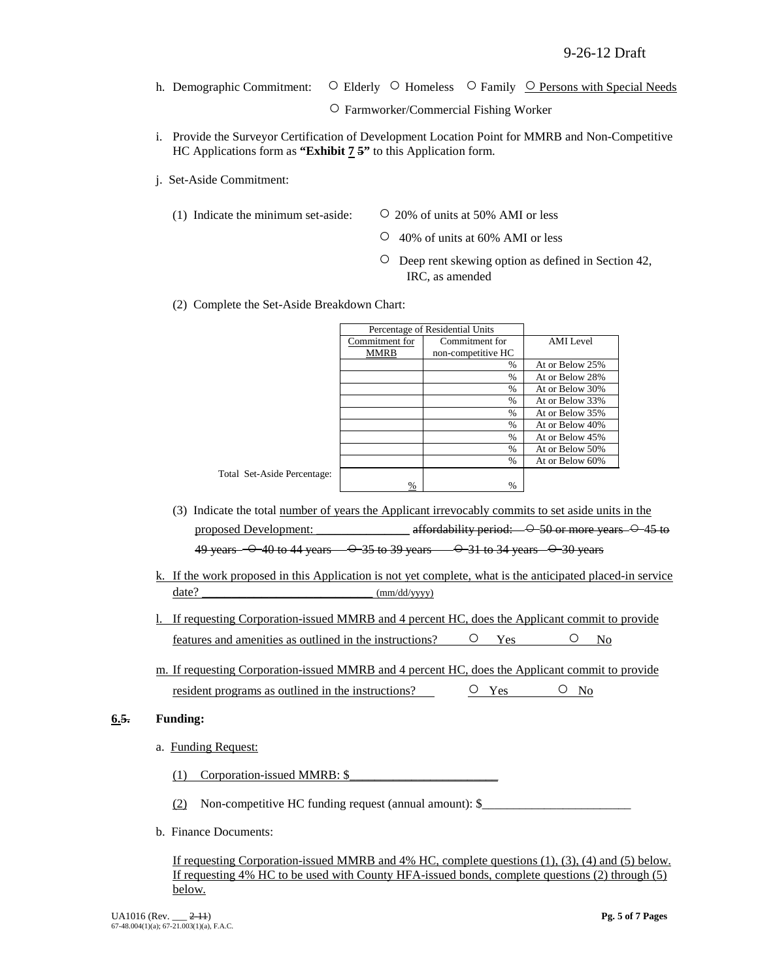h. Demographic Commitment: ○ Elderly ○ Homeless ○ Family <u>○ Persons with Special Needs</u>

○ Farmworker/Commercial Fishing Worker

- i. Provide the Surveyor Certification of Development Location Point for MMRB and Non-Competitive HC Applications form as **"Exhibit 7 5"** to this Application form.
- j. Set-Aside Commitment:
	- (1) Indicate the minimum set-aside:  $\qquad \qquad \circ$  20% of units at 50% AMI or less

Total Set-Aside Percent

- 
- 40% of units at 60% AMI or less
- Deep rent skewing option as defined in Section 42, IRC, as amended
- (2) Complete the Set-Aside Breakdown Chart:

|                |      | Percentage of Residential Units |                  |
|----------------|------|---------------------------------|------------------|
| Commitment for |      | Commitment for                  | <b>AMI</b> Level |
|                | MMRB | non-competitive HC              |                  |
|                |      | $\%$                            | At or Below 25%  |
|                |      | $\frac{0}{0}$                   | At or Below 28%  |
|                |      | $\frac{0}{0}$                   | At or Below 30%  |
|                |      | $\%$                            | At or Below 33%  |
|                |      | $\frac{0}{0}$                   | At or Below 35%  |
|                |      | $\%$                            | At or Below 40%  |
|                |      | $\%$                            | At or Below 45%  |
|                |      | $\frac{0}{0}$                   | At or Below 50%  |
|                |      | $\frac{0}{0}$                   | At or Below 60%  |
| tage:          |      |                                 |                  |
|                | %    | %                               |                  |

- (3) Indicate the total number of years the Applicant irrevocably commits to set aside units in the proposed Development: \_\_\_\_\_\_\_\_\_\_\_\_\_\_\_ affordability period:  $-$  0-50 or more years  $-$  0-45 to 49 years  $-$  0 40 to 44 years  $-$  0 35 to 39 years  $-$  0 31 to 34 years  $-$  0 30 years
- k. If the work proposed in this Application is not yet complete, what is the anticipated placed-in service date? \_\_\_\_\_\_\_\_\_\_\_\_\_\_\_\_\_\_\_\_\_\_\_ (mm/dd/yyyy)
- l. If requesting Corporation-issued MMRB and 4 percent HC, does the Applicant commit to provide features and amenities as outlined in the instructions?  $\qquad \qquad \circ \qquad$  Yes  $\qquad \qquad \circ \qquad$  No
- m. If requesting Corporation-issued MMRB and 4 percent HC, does the Applicant commit to provide resident programs as outlined in the instructions?  $\qquad \qquad \circ \qquad \qquad \circ \qquad \circ \qquad \circ \qquad \circ \circ$

### **6.5. Funding:**

a. Funding Request:

(1) Corporation-issued MMRB:  $\S$ 

(2) Non-competitive HC funding request (annual amount):  $\$ 

b. Finance Documents:

If requesting Corporation-issued MMRB and 4% HC, complete questions (1), (3), (4) and (5) below. If requesting 4% HC to be used with County HFA-issued bonds, complete questions (2) through (5) below.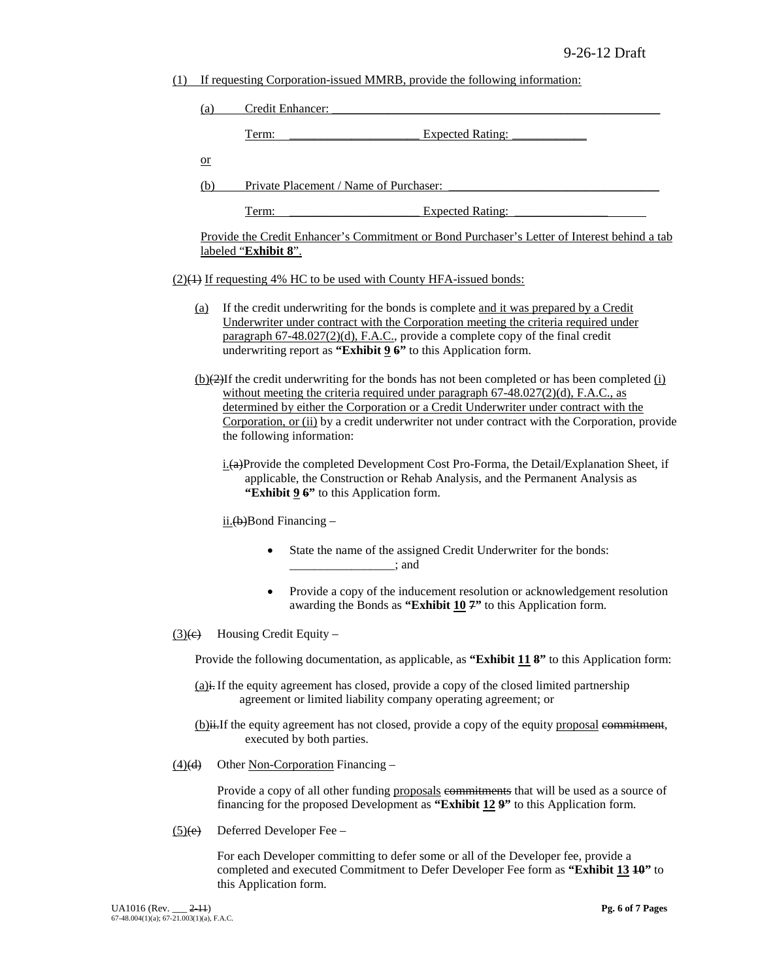(1) If requesting Corporation-issued MMRB, provide the following information:

| (a)                                                                                                                                                                                                                         |                                               | Credit Enhancer:                                                                                                                                                                                                                                                                                                                                                                                                  |
|-----------------------------------------------------------------------------------------------------------------------------------------------------------------------------------------------------------------------------|-----------------------------------------------|-------------------------------------------------------------------------------------------------------------------------------------------------------------------------------------------------------------------------------------------------------------------------------------------------------------------------------------------------------------------------------------------------------------------|
|                                                                                                                                                                                                                             | Term:                                         | <b>Expected Rating:</b>                                                                                                                                                                                                                                                                                                                                                                                           |
| $\alpha$                                                                                                                                                                                                                    |                                               |                                                                                                                                                                                                                                                                                                                                                                                                                   |
|                                                                                                                                                                                                                             | (b)<br>Private Placement / Name of Purchaser: |                                                                                                                                                                                                                                                                                                                                                                                                                   |
|                                                                                                                                                                                                                             | Term:                                         | <b>Expected Rating:</b>                                                                                                                                                                                                                                                                                                                                                                                           |
| Provide the Credit Enhancer's Commitment or Bond Purchaser's Letter of Interest behind a tab<br>labeled "Exhibit 8".                                                                                                        |                                               |                                                                                                                                                                                                                                                                                                                                                                                                                   |
|                                                                                                                                                                                                                             |                                               | (2)(1) If requesting 4% HC to be used with County HFA-issued bonds:                                                                                                                                                                                                                                                                                                                                               |
| <u>(a)</u>                                                                                                                                                                                                                  |                                               | If the credit underwriting for the bonds is complete and it was prepared by a Credit<br>Underwriter under contract with the Corporation meeting the criteria required under<br>paragraph 67-48.027(2)(d), F.A.C., provide a complete copy of the final credit<br>underwriting report as "Exhibit $96$ " to this Application form.                                                                                 |
|                                                                                                                                                                                                                             |                                               | $(b)(2)$ If the credit underwriting for the bonds has not been completed or has been completed (i)<br>without meeting the criteria required under paragraph $67-48.027(2)(d)$ , F.A.C., as<br>determined by either the Corporation or a Credit Underwriter under contract with the<br>Corporation, or (ii) by a credit underwriter not under contract with the Corporation, provide<br>the following information: |
| $i$ $\pm$ (a)Provide the completed Development Cost Pro-Forma, the Detail/Explanation Sheet, if<br>applicable, the Construction or Rehab Analysis, and the Permanent Analysis as<br>"Exhibit 9 6" to this Application form. |                                               |                                                                                                                                                                                                                                                                                                                                                                                                                   |
| $\frac{\text{ii.}(b)}{\text{Bond Finance}}$                                                                                                                                                                                 |                                               |                                                                                                                                                                                                                                                                                                                                                                                                                   |
|                                                                                                                                                                                                                             | $\bullet$                                     | State the name of the assigned Credit Underwriter for the bonds:<br>$\frac{1}{2}$ and $\frac{1}{2}$                                                                                                                                                                                                                                                                                                               |
|                                                                                                                                                                                                                             |                                               | Provide a copy of the inducement resolution or acknowledgement resolution<br>awarding the Bonds as "Exhibit 10 7" to this Application form.                                                                                                                                                                                                                                                                       |
| $\left(\frac{3}{e}\right)$                                                                                                                                                                                                  | Housing Credit Equity -                       |                                                                                                                                                                                                                                                                                                                                                                                                                   |
|                                                                                                                                                                                                                             |                                               | Provide the following documentation, as applicable, as "Exhibit 11 8" to this Application form:                                                                                                                                                                                                                                                                                                                   |
|                                                                                                                                                                                                                             |                                               | $(a)$ i. If the equity agreement has closed, provide a copy of the closed limited partnership<br>agreement or limited liability company operating agreement; or                                                                                                                                                                                                                                                   |
|                                                                                                                                                                                                                             |                                               | (b) ii. If the equity agreement has not closed, provide a copy of the equity proposal commitment,<br>executed by both parties.                                                                                                                                                                                                                                                                                    |

 $(4)$ (d) Other Non-Corporation Financing –

Provide a copy of all other funding proposals commitments that will be used as a source of financing for the proposed Development as **"Exhibit 12 9"** to this Application form.

 $(5)(e)$  Deferred Developer Fee –

For each Developer committing to defer some or all of the Developer fee, provide a completed and executed Commitment to Defer Developer Fee form as **"Exhibit 13 10"** to this Application form.